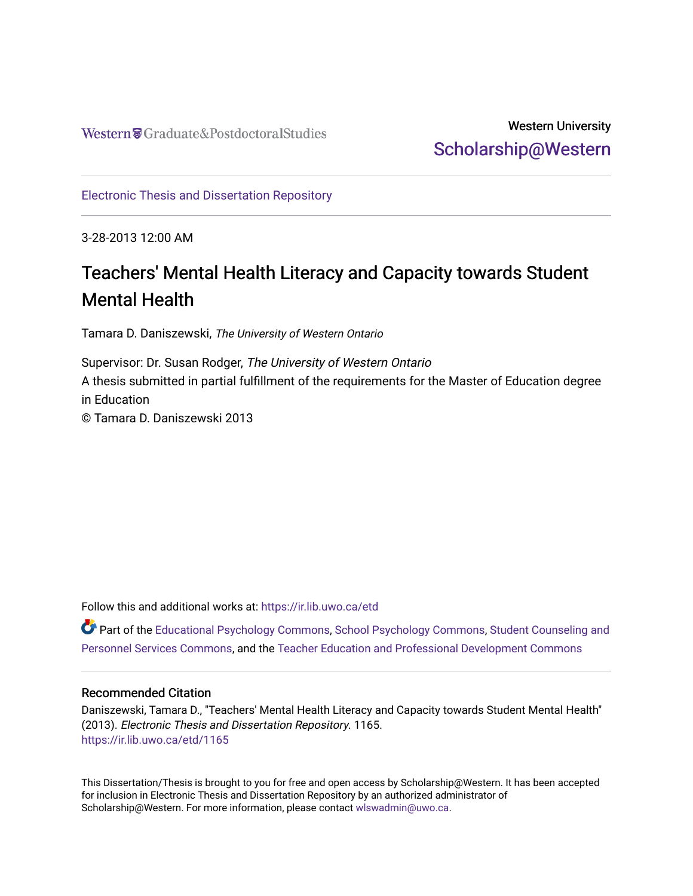# Western University [Scholarship@Western](https://ir.lib.uwo.ca/)

[Electronic Thesis and Dissertation Repository](https://ir.lib.uwo.ca/etd)

3-28-2013 12:00 AM

# Teachers' Mental Health Literacy and Capacity towards Student Mental Health

Tamara D. Daniszewski, The University of Western Ontario

Supervisor: Dr. Susan Rodger, The University of Western Ontario A thesis submitted in partial fulfillment of the requirements for the Master of Education degree in Education

© Tamara D. Daniszewski 2013

Follow this and additional works at: [https://ir.lib.uwo.ca/etd](https://ir.lib.uwo.ca/etd?utm_source=ir.lib.uwo.ca%2Fetd%2F1165&utm_medium=PDF&utm_campaign=PDFCoverPages) 

Part of the [Educational Psychology Commons,](http://network.bepress.com/hgg/discipline/798?utm_source=ir.lib.uwo.ca%2Fetd%2F1165&utm_medium=PDF&utm_campaign=PDFCoverPages) [School Psychology Commons,](http://network.bepress.com/hgg/discipline/1072?utm_source=ir.lib.uwo.ca%2Fetd%2F1165&utm_medium=PDF&utm_campaign=PDFCoverPages) [Student Counseling and](http://network.bepress.com/hgg/discipline/802?utm_source=ir.lib.uwo.ca%2Fetd%2F1165&utm_medium=PDF&utm_campaign=PDFCoverPages)  [Personnel Services Commons](http://network.bepress.com/hgg/discipline/802?utm_source=ir.lib.uwo.ca%2Fetd%2F1165&utm_medium=PDF&utm_campaign=PDFCoverPages), and the [Teacher Education and Professional Development Commons](http://network.bepress.com/hgg/discipline/803?utm_source=ir.lib.uwo.ca%2Fetd%2F1165&utm_medium=PDF&utm_campaign=PDFCoverPages) 

#### Recommended Citation

Daniszewski, Tamara D., "Teachers' Mental Health Literacy and Capacity towards Student Mental Health" (2013). Electronic Thesis and Dissertation Repository. 1165. [https://ir.lib.uwo.ca/etd/1165](https://ir.lib.uwo.ca/etd/1165?utm_source=ir.lib.uwo.ca%2Fetd%2F1165&utm_medium=PDF&utm_campaign=PDFCoverPages)

This Dissertation/Thesis is brought to you for free and open access by Scholarship@Western. It has been accepted for inclusion in Electronic Thesis and Dissertation Repository by an authorized administrator of Scholarship@Western. For more information, please contact [wlswadmin@uwo.ca.](mailto:wlswadmin@uwo.ca)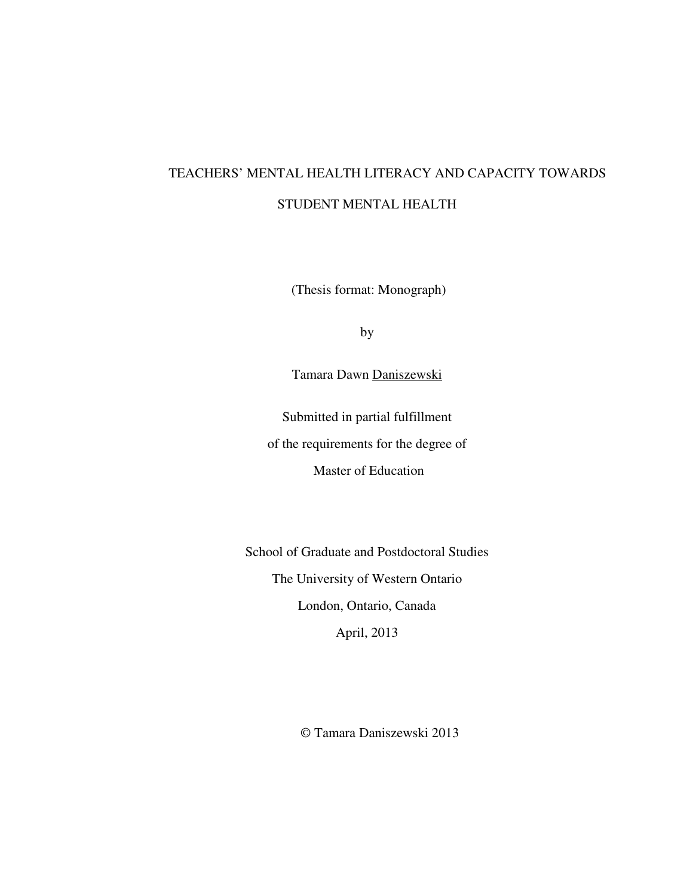# TEACHERS' MENTAL HEALTH LITERACY AND CAPACITY TOWARDS STUDENT MENTAL HEALTH

(Thesis format: Monograph)

by

Tamara Dawn Daniszewski

Submitted in partial fulfillment of the requirements for the degree of Master of Education

School of Graduate and Postdoctoral Studies The University of Western Ontario London, Ontario, Canada April, 2013

© Tamara Daniszewski 2013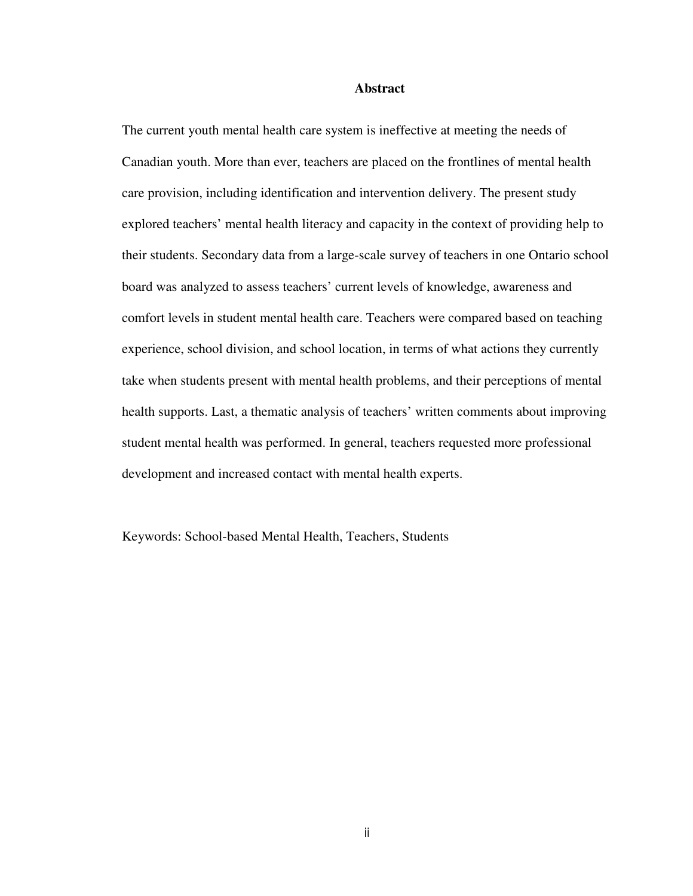#### **Abstract**

The current youth mental health care system is ineffective at meeting the needs of Canadian youth. More than ever, teachers are placed on the frontlines of mental health care provision, including identification and intervention delivery. The present study explored teachers' mental health literacy and capacity in the context of providing help to their students. Secondary data from a large-scale survey of teachers in one Ontario school board was analyzed to assess teachers' current levels of knowledge, awareness and comfort levels in student mental health care. Teachers were compared based on teaching experience, school division, and school location, in terms of what actions they currently take when students present with mental health problems, and their perceptions of mental health supports. Last, a thematic analysis of teachers' written comments about improving student mental health was performed. In general, teachers requested more professional development and increased contact with mental health experts.

Keywords: School-based Mental Health, Teachers, Students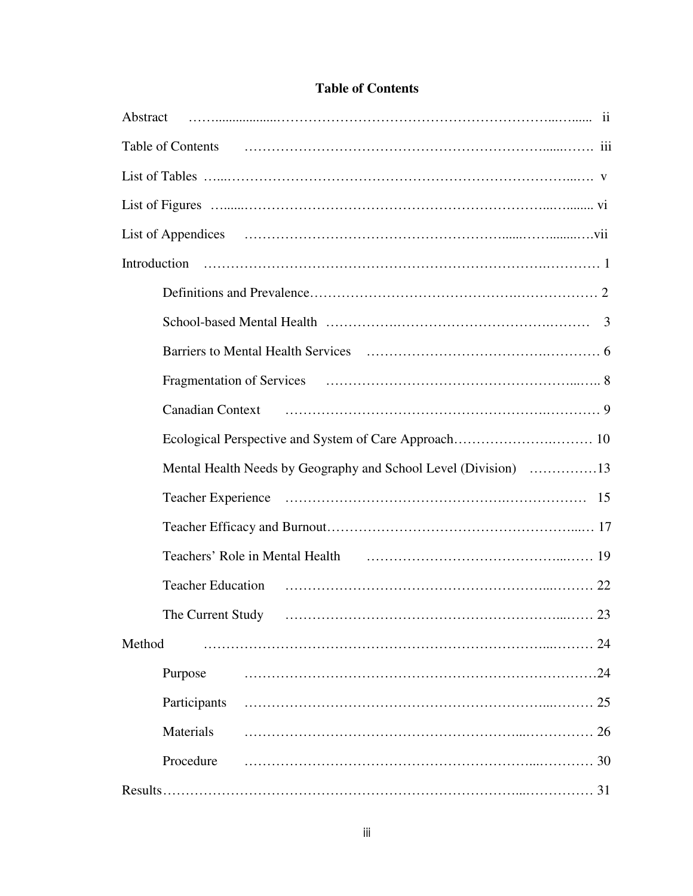| Table of Contents                                                                                              |
|----------------------------------------------------------------------------------------------------------------|
|                                                                                                                |
|                                                                                                                |
|                                                                                                                |
|                                                                                                                |
|                                                                                                                |
|                                                                                                                |
|                                                                                                                |
|                                                                                                                |
|                                                                                                                |
|                                                                                                                |
| Mental Health Needs by Geography and School Level (Division) 13                                                |
|                                                                                                                |
|                                                                                                                |
|                                                                                                                |
| Teachers' Role in Mental Health (2008) continuous care and the Mental Health (2008) continuous care and the UP |
| <b>Teacher Education</b>                                                                                       |
| The Current Study                                                                                              |
| Method<br>24                                                                                                   |
| .24<br>Purpose                                                                                                 |
| Participants                                                                                                   |
| Materials                                                                                                      |
| Procedure<br>30                                                                                                |

# **Table of Contents**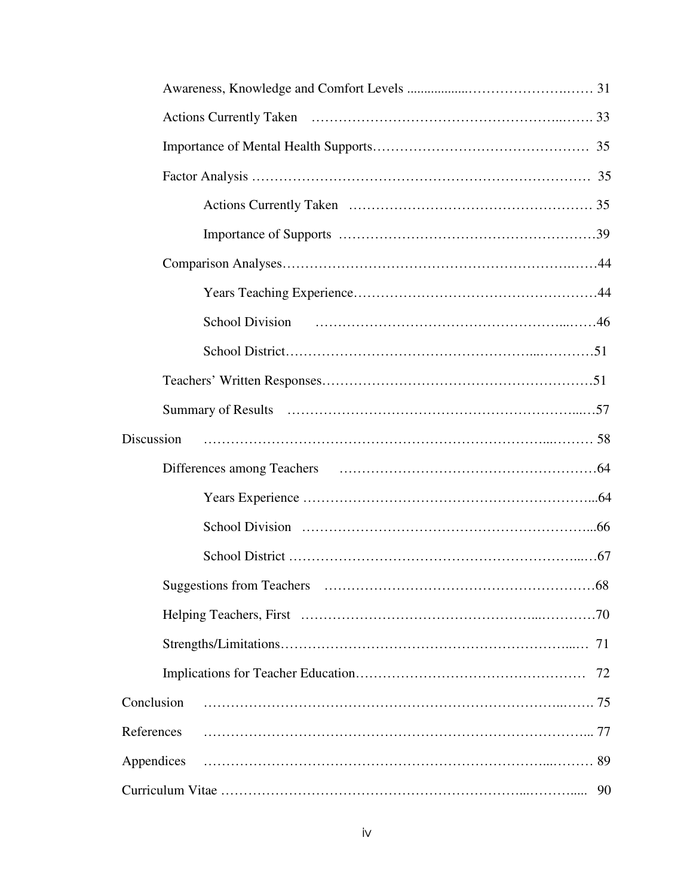| Discussion |    |
|------------|----|
|            |    |
|            |    |
|            |    |
|            |    |
|            |    |
|            |    |
|            |    |
|            | 72 |
| Conclusion |    |
| References |    |
| Appendices |    |
|            |    |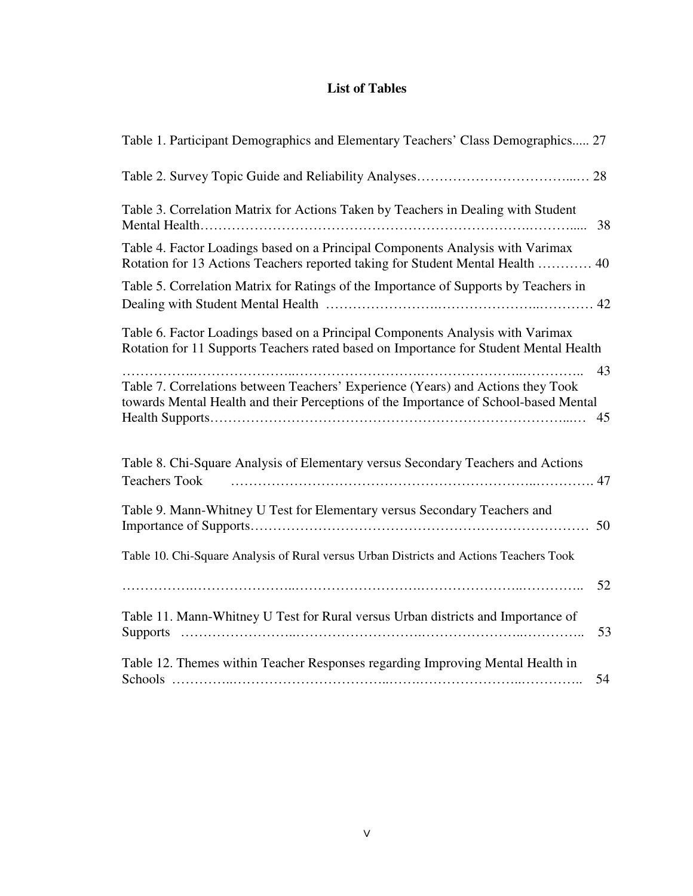# **List of Tables**

| Table 1. Participant Demographics and Elementary Teachers' Class Demographics 27                                                                                                     |
|--------------------------------------------------------------------------------------------------------------------------------------------------------------------------------------|
|                                                                                                                                                                                      |
| Table 3. Correlation Matrix for Actions Taken by Teachers in Dealing with Student<br>38                                                                                              |
| Table 4. Factor Loadings based on a Principal Components Analysis with Varimax<br>Rotation for 13 Actions Teachers reported taking for Student Mental Health  40                     |
| Table 5. Correlation Matrix for Ratings of the Importance of Supports by Teachers in                                                                                                 |
| Table 6. Factor Loadings based on a Principal Components Analysis with Varimax<br>Rotation for 11 Supports Teachers rated based on Importance for Student Mental Health              |
| 43<br>Table 7. Correlations between Teachers' Experience (Years) and Actions they Took<br>towards Mental Health and their Perceptions of the Importance of School-based Mental<br>45 |
| Table 8. Chi-Square Analysis of Elementary versus Secondary Teachers and Actions<br><b>Teachers Took</b>                                                                             |
| Table 9. Mann-Whitney U Test for Elementary versus Secondary Teachers and<br>50                                                                                                      |
| Table 10. Chi-Square Analysis of Rural versus Urban Districts and Actions Teachers Took                                                                                              |
| 52<br>Table 11. Mann-Whitney U Test for Rural versus Urban districts and Importance of<br>53                                                                                         |
| Table 12. Themes within Teacher Responses regarding Improving Mental Health in<br>54                                                                                                 |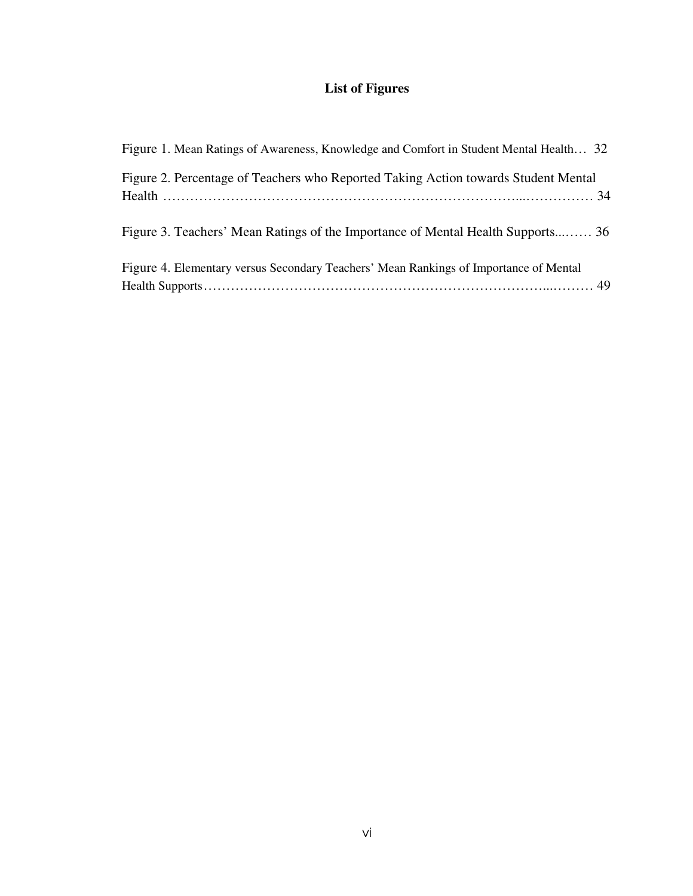# **List of Figures**

| Figure 1. Mean Ratings of Awareness, Knowledge and Comfort in Student Mental Health 32 |  |
|----------------------------------------------------------------------------------------|--|
| Figure 2. Percentage of Teachers who Reported Taking Action towards Student Mental     |  |
| Figure 3. Teachers' Mean Ratings of the Importance of Mental Health Supports 36        |  |
| Figure 4. Elementary versus Secondary Teachers' Mean Rankings of Importance of Mental  |  |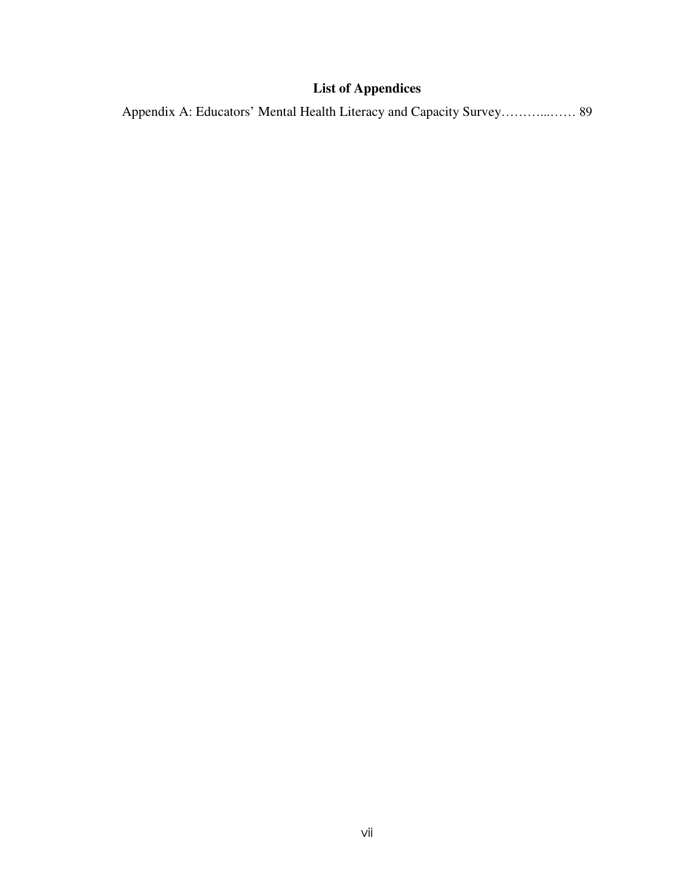# **List of Appendices**

Appendix A: Educators' Mental Health Literacy and Capacity Survey………...…… 89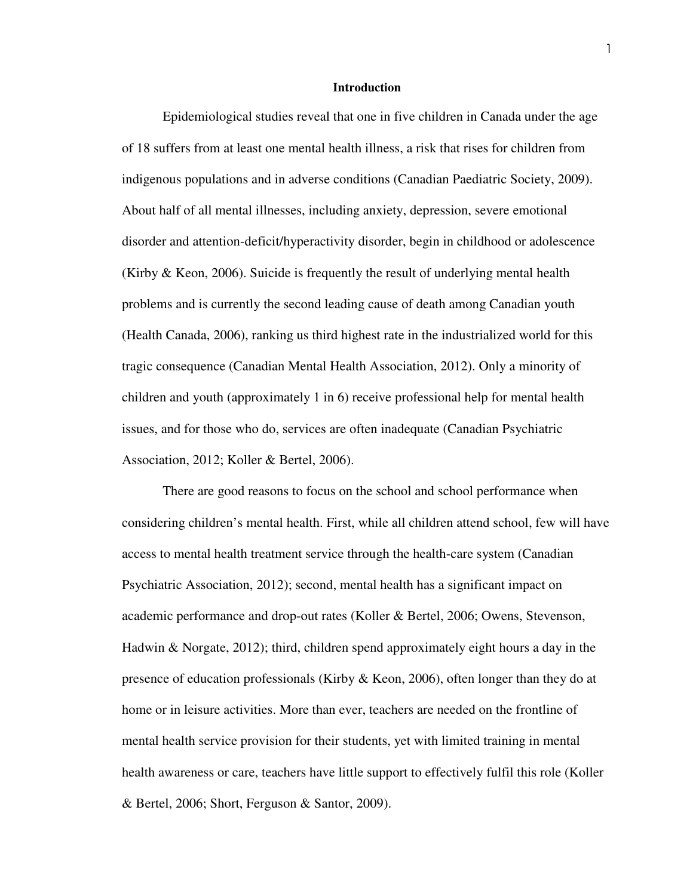#### **Introduction**

Epidemiological studies reveal that one in five children in Canada under the age of 18 suffers from at least one mental health illness, a risk that rises for children from indigenous populations and in adverse conditions (Canadian Paediatric Society, 2009). About half of all mental illnesses, including anxiety, depression, severe emotional disorder and attention-deficit/hyperactivity disorder, begin in childhood or adolescence (Kirby & Keon, 2006). Suicide is frequently the result of underlying mental health problems and is currently the second leading cause of death among Canadian youth (Health Canada, 2006), ranking us third highest rate in the industrialized world for this tragic consequence (Canadian Mental Health Association, 2012). Only a minority of children and youth (approximately 1 in 6) receive professional help for mental health issues, and for those who do, services are often inadequate (Canadian Psychiatric Association, 2012; Koller & Bertel, 2006).

 There are good reasons to focus on the school and school performance when considering children's mental health. First, while all children attend school, few will have access to mental health treatment service through the health-care system (Canadian Psychiatric Association, 2012); second, mental health has a significant impact on academic performance and drop-out rates (Koller & Bertel, 2006; Owens, Stevenson, Hadwin & Norgate, 2012); third, children spend approximately eight hours a day in the presence of education professionals (Kirby & Keon, 2006), often longer than they do at home or in leisure activities. More than ever, teachers are needed on the frontline of mental health service provision for their students, yet with limited training in mental health awareness or care, teachers have little support to effectively fulfil this role (Koller & Bertel, 2006; Short, Ferguson & Santor, 2009).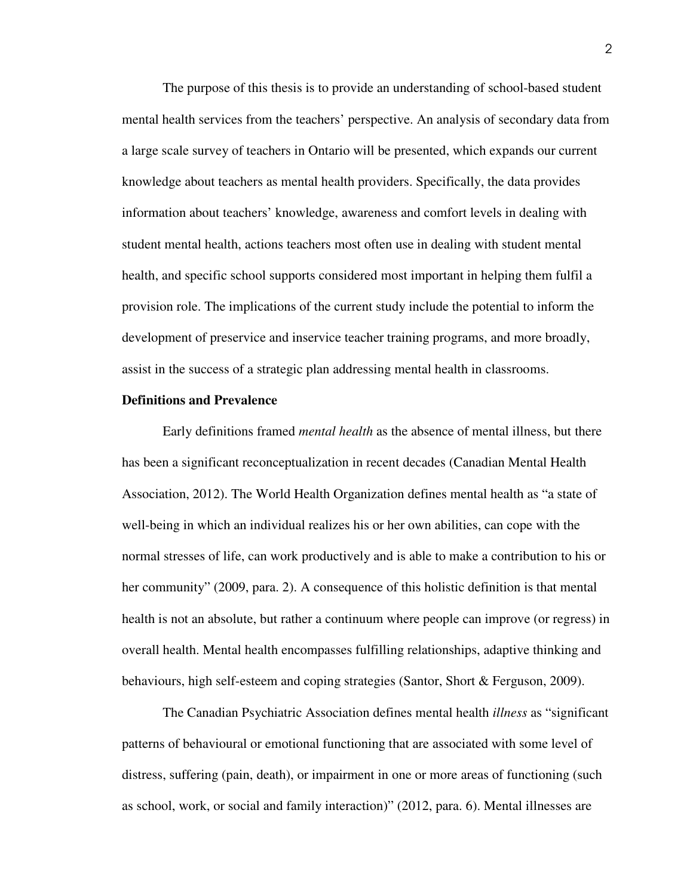The purpose of this thesis is to provide an understanding of school-based student mental health services from the teachers' perspective. An analysis of secondary data from a large scale survey of teachers in Ontario will be presented, which expands our current knowledge about teachers as mental health providers. Specifically, the data provides information about teachers' knowledge, awareness and comfort levels in dealing with student mental health, actions teachers most often use in dealing with student mental health, and specific school supports considered most important in helping them fulfil a provision role. The implications of the current study include the potential to inform the development of preservice and inservice teacher training programs, and more broadly, assist in the success of a strategic plan addressing mental health in classrooms.

#### **Definitions and Prevalence**

 Early definitions framed *mental health* as the absence of mental illness, but there has been a significant reconceptualization in recent decades (Canadian Mental Health Association, 2012). The World Health Organization defines mental health as "a state of well-being in which an individual realizes his or her own abilities, can cope with the normal stresses of life, can work productively and is able to make a contribution to his or her community" (2009, para. 2). A consequence of this holistic definition is that mental health is not an absolute, but rather a continuum where people can improve (or regress) in overall health. Mental health encompasses fulfilling relationships, adaptive thinking and behaviours, high self-esteem and coping strategies (Santor, Short & Ferguson, 2009).

 The Canadian Psychiatric Association defines mental health *illness* as "significant patterns of behavioural or emotional functioning that are associated with some level of distress, suffering (pain, death), or impairment in one or more areas of functioning (such as school, work, or social and family interaction)" (2012, para. 6). Mental illnesses are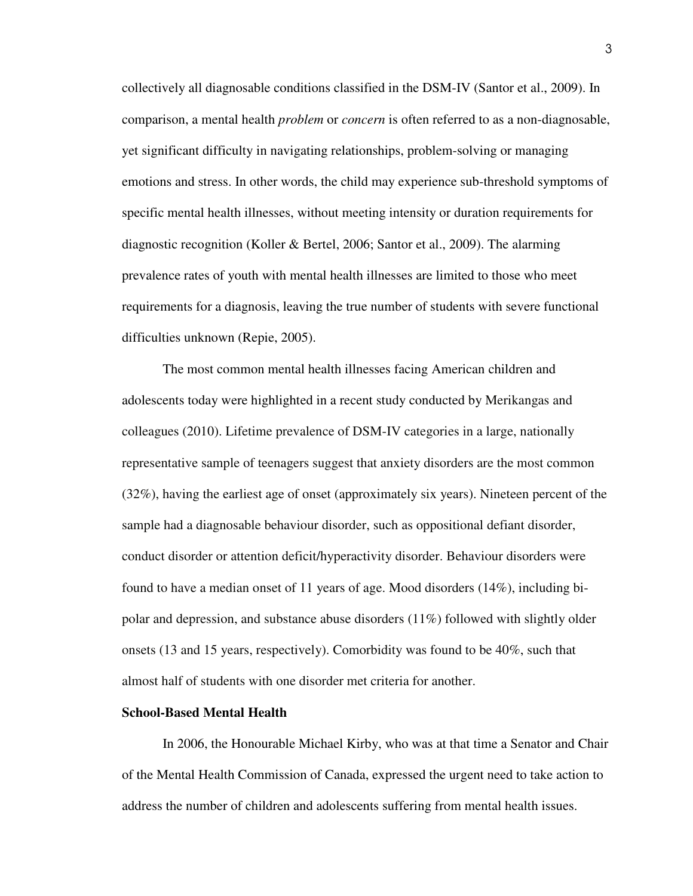collectively all diagnosable conditions classified in the DSM-IV (Santor et al., 2009). In comparison, a mental health *problem* or *concern* is often referred to as a non-diagnosable, yet significant difficulty in navigating relationships, problem-solving or managing emotions and stress. In other words, the child may experience sub-threshold symptoms of specific mental health illnesses, without meeting intensity or duration requirements for diagnostic recognition (Koller & Bertel, 2006; Santor et al., 2009). The alarming prevalence rates of youth with mental health illnesses are limited to those who meet requirements for a diagnosis, leaving the true number of students with severe functional difficulties unknown (Repie, 2005).

The most common mental health illnesses facing American children and adolescents today were highlighted in a recent study conducted by Merikangas and colleagues (2010). Lifetime prevalence of DSM-IV categories in a large, nationally representative sample of teenagers suggest that anxiety disorders are the most common (32%), having the earliest age of onset (approximately six years). Nineteen percent of the sample had a diagnosable behaviour disorder, such as oppositional defiant disorder, conduct disorder or attention deficit/hyperactivity disorder. Behaviour disorders were found to have a median onset of 11 years of age. Mood disorders (14%), including bipolar and depression, and substance abuse disorders (11%) followed with slightly older onsets (13 and 15 years, respectively). Comorbidity was found to be 40%, such that almost half of students with one disorder met criteria for another.

#### **School-Based Mental Health**

In 2006, the Honourable Michael Kirby, who was at that time a Senator and Chair of the Mental Health Commission of Canada, expressed the urgent need to take action to address the number of children and adolescents suffering from mental health issues.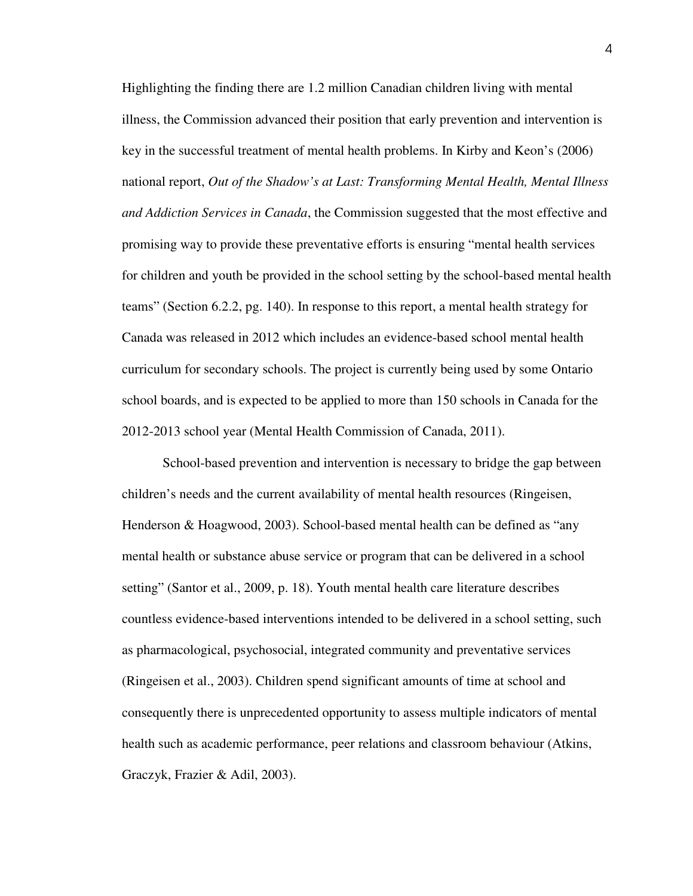Highlighting the finding there are 1.2 million Canadian children living with mental illness, the Commission advanced their position that early prevention and intervention is key in the successful treatment of mental health problems. In Kirby and Keon's (2006) national report, *Out of the Shadow's at Last: Transforming Mental Health, Mental Illness and Addiction Services in Canada*, the Commission suggested that the most effective and promising way to provide these preventative efforts is ensuring "mental health services for children and youth be provided in the school setting by the school-based mental health teams" (Section 6.2.2, pg. 140). In response to this report, a mental health strategy for Canada was released in 2012 which includes an evidence-based school mental health curriculum for secondary schools. The project is currently being used by some Ontario school boards, and is expected to be applied to more than 150 schools in Canada for the 2012-2013 school year (Mental Health Commission of Canada, 2011).

 School-based prevention and intervention is necessary to bridge the gap between children's needs and the current availability of mental health resources (Ringeisen, Henderson & Hoagwood, 2003). School-based mental health can be defined as "any mental health or substance abuse service or program that can be delivered in a school setting" (Santor et al., 2009, p. 18). Youth mental health care literature describes countless evidence-based interventions intended to be delivered in a school setting, such as pharmacological, psychosocial, integrated community and preventative services (Ringeisen et al., 2003). Children spend significant amounts of time at school and consequently there is unprecedented opportunity to assess multiple indicators of mental health such as academic performance, peer relations and classroom behaviour (Atkins, Graczyk, Frazier & Adil, 2003).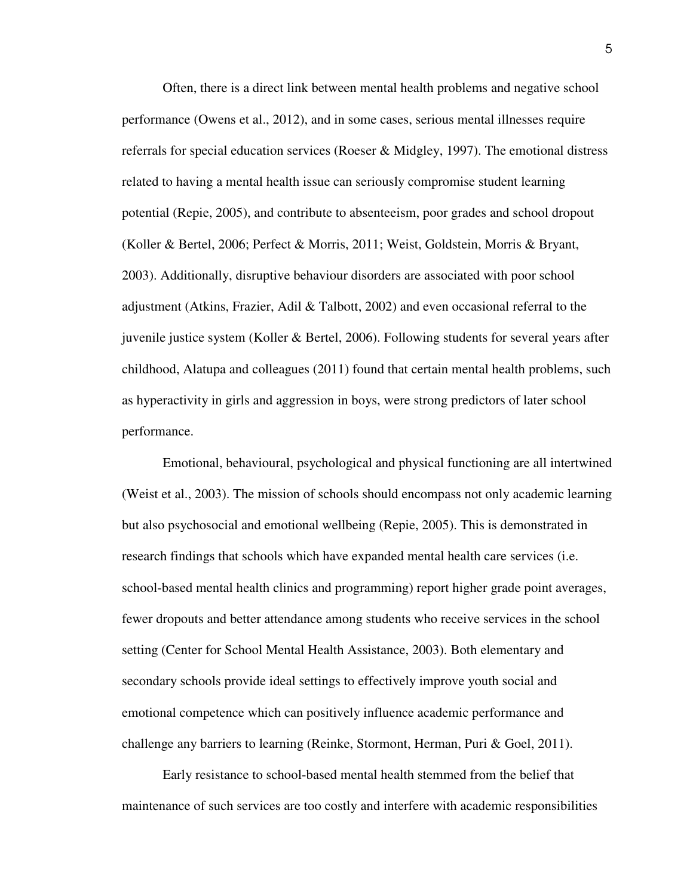Often, there is a direct link between mental health problems and negative school performance (Owens et al., 2012), and in some cases, serious mental illnesses require referrals for special education services (Roeser & Midgley, 1997). The emotional distress related to having a mental health issue can seriously compromise student learning potential (Repie, 2005), and contribute to absenteeism, poor grades and school dropout (Koller & Bertel, 2006; Perfect & Morris, 2011; Weist, Goldstein, Morris & Bryant, 2003). Additionally, disruptive behaviour disorders are associated with poor school adjustment (Atkins, Frazier, Adil & Talbott, 2002) and even occasional referral to the juvenile justice system (Koller & Bertel, 2006). Following students for several years after childhood, Alatupa and colleagues (2011) found that certain mental health problems, such as hyperactivity in girls and aggression in boys, were strong predictors of later school performance.

 Emotional, behavioural, psychological and physical functioning are all intertwined (Weist et al., 2003). The mission of schools should encompass not only academic learning but also psychosocial and emotional wellbeing (Repie, 2005). This is demonstrated in research findings that schools which have expanded mental health care services (i.e. school-based mental health clinics and programming) report higher grade point averages, fewer dropouts and better attendance among students who receive services in the school setting (Center for School Mental Health Assistance, 2003). Both elementary and secondary schools provide ideal settings to effectively improve youth social and emotional competence which can positively influence academic performance and challenge any barriers to learning (Reinke, Stormont, Herman, Puri & Goel, 2011).

 Early resistance to school-based mental health stemmed from the belief that maintenance of such services are too costly and interfere with academic responsibilities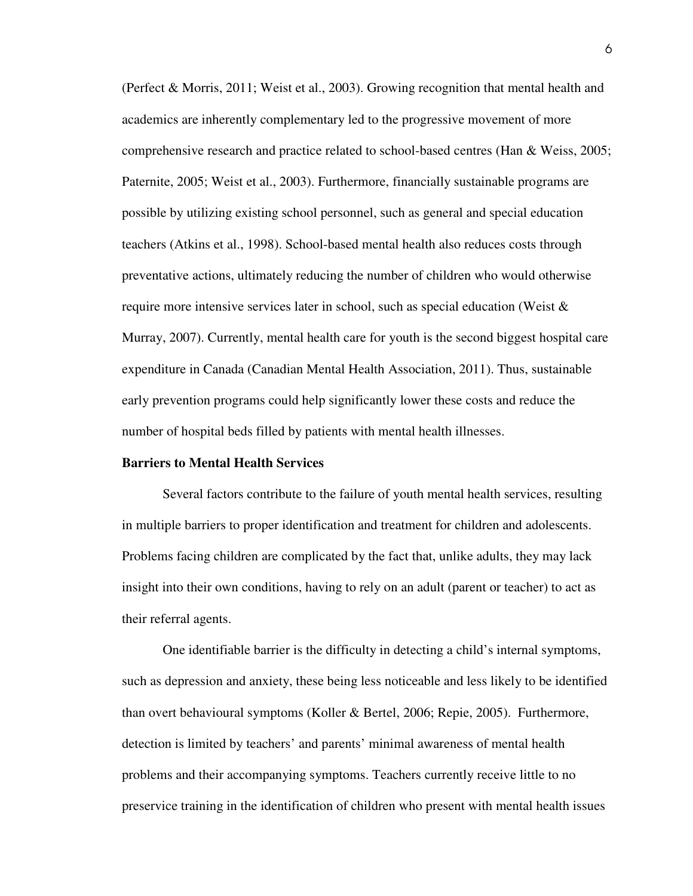(Perfect & Morris, 2011; Weist et al., 2003). Growing recognition that mental health and academics are inherently complementary led to the progressive movement of more comprehensive research and practice related to school-based centres (Han & Weiss, 2005; Paternite, 2005; Weist et al., 2003). Furthermore, financially sustainable programs are possible by utilizing existing school personnel, such as general and special education teachers (Atkins et al., 1998). School-based mental health also reduces costs through preventative actions, ultimately reducing the number of children who would otherwise require more intensive services later in school, such as special education (Weist & Murray, 2007). Currently, mental health care for youth is the second biggest hospital care expenditure in Canada (Canadian Mental Health Association, 2011). Thus, sustainable early prevention programs could help significantly lower these costs and reduce the number of hospital beds filled by patients with mental health illnesses.

#### **Barriers to Mental Health Services**

 Several factors contribute to the failure of youth mental health services, resulting in multiple barriers to proper identification and treatment for children and adolescents. Problems facing children are complicated by the fact that, unlike adults, they may lack insight into their own conditions, having to rely on an adult (parent or teacher) to act as their referral agents.

One identifiable barrier is the difficulty in detecting a child's internal symptoms, such as depression and anxiety, these being less noticeable and less likely to be identified than overt behavioural symptoms (Koller & Bertel, 2006; Repie, 2005). Furthermore, detection is limited by teachers' and parents' minimal awareness of mental health problems and their accompanying symptoms. Teachers currently receive little to no preservice training in the identification of children who present with mental health issues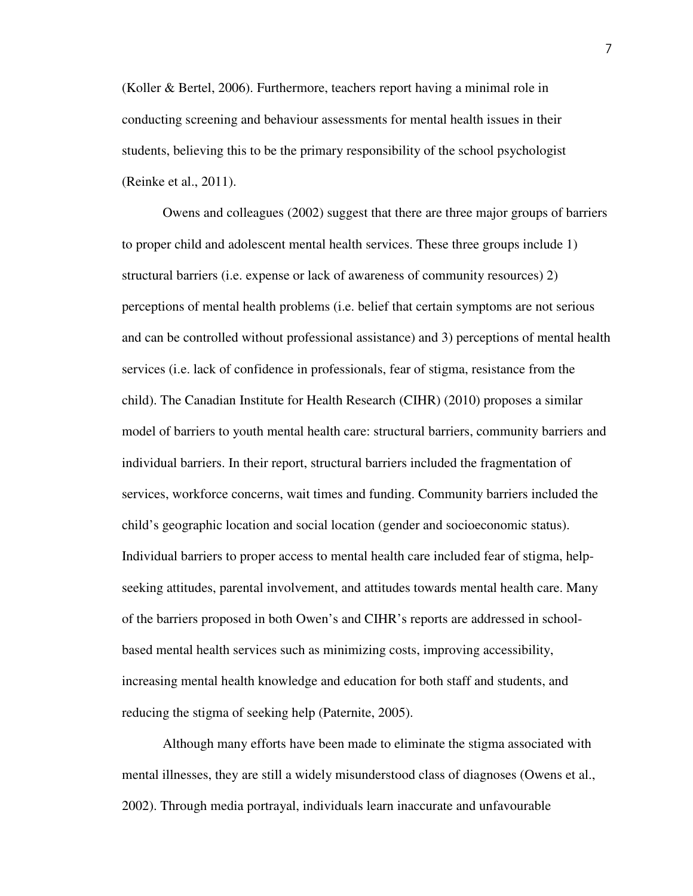(Koller & Bertel, 2006). Furthermore, teachers report having a minimal role in conducting screening and behaviour assessments for mental health issues in their students, believing this to be the primary responsibility of the school psychologist (Reinke et al., 2011).

 Owens and colleagues (2002) suggest that there are three major groups of barriers to proper child and adolescent mental health services. These three groups include 1) structural barriers (i.e. expense or lack of awareness of community resources) 2) perceptions of mental health problems (i.e. belief that certain symptoms are not serious and can be controlled without professional assistance) and 3) perceptions of mental health services (i.e. lack of confidence in professionals, fear of stigma, resistance from the child). The Canadian Institute for Health Research (CIHR) (2010) proposes a similar model of barriers to youth mental health care: structural barriers, community barriers and individual barriers. In their report, structural barriers included the fragmentation of services, workforce concerns, wait times and funding. Community barriers included the child's geographic location and social location (gender and socioeconomic status). Individual barriers to proper access to mental health care included fear of stigma, helpseeking attitudes, parental involvement, and attitudes towards mental health care. Many of the barriers proposed in both Owen's and CIHR's reports are addressed in schoolbased mental health services such as minimizing costs, improving accessibility, increasing mental health knowledge and education for both staff and students, and reducing the stigma of seeking help (Paternite, 2005).

 Although many efforts have been made to eliminate the stigma associated with mental illnesses, they are still a widely misunderstood class of diagnoses (Owens et al., 2002). Through media portrayal, individuals learn inaccurate and unfavourable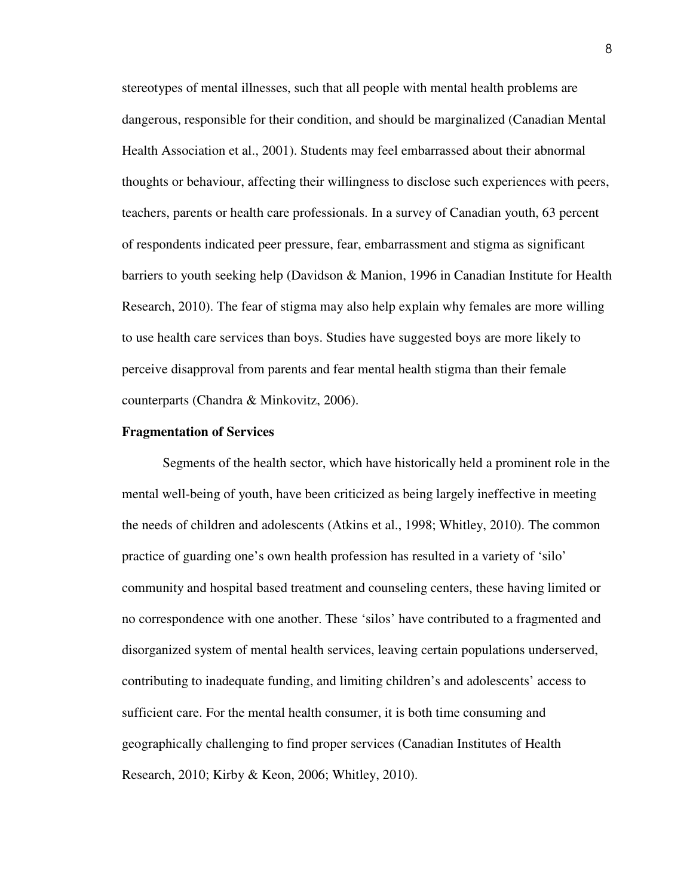stereotypes of mental illnesses, such that all people with mental health problems are dangerous, responsible for their condition, and should be marginalized (Canadian Mental Health Association et al., 2001). Students may feel embarrassed about their abnormal thoughts or behaviour, affecting their willingness to disclose such experiences with peers, teachers, parents or health care professionals. In a survey of Canadian youth, 63 percent of respondents indicated peer pressure, fear, embarrassment and stigma as significant barriers to youth seeking help (Davidson & Manion, 1996 in Canadian Institute for Health Research, 2010). The fear of stigma may also help explain why females are more willing to use health care services than boys. Studies have suggested boys are more likely to perceive disapproval from parents and fear mental health stigma than their female counterparts (Chandra & Minkovitz, 2006).

#### **Fragmentation of Services**

Segments of the health sector, which have historically held a prominent role in the mental well-being of youth, have been criticized as being largely ineffective in meeting the needs of children and adolescents (Atkins et al., 1998; Whitley, 2010). The common practice of guarding one's own health profession has resulted in a variety of 'silo' community and hospital based treatment and counseling centers, these having limited or no correspondence with one another. These 'silos' have contributed to a fragmented and disorganized system of mental health services, leaving certain populations underserved, contributing to inadequate funding, and limiting children's and adolescents' access to sufficient care. For the mental health consumer, it is both time consuming and geographically challenging to find proper services (Canadian Institutes of Health Research, 2010; Kirby & Keon, 2006; Whitley, 2010).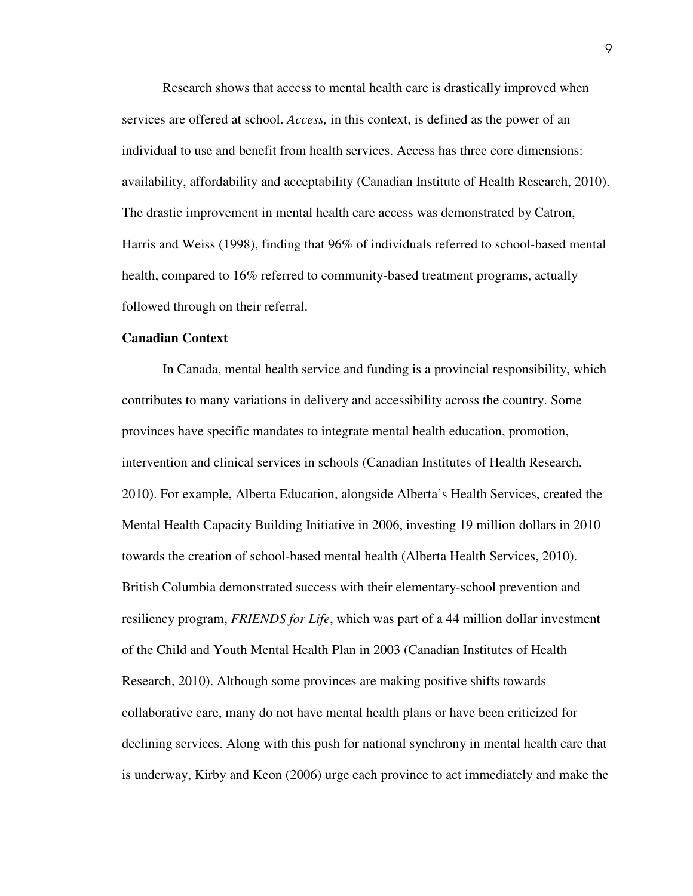Research shows that access to mental health care is drastically improved when services are offered at school. *Access,* in this context, is defined as the power of an individual to use and benefit from health services. Access has three core dimensions: availability, affordability and acceptability (Canadian Institute of Health Research, 2010). The drastic improvement in mental health care access was demonstrated by Catron, Harris and Weiss (1998), finding that 96% of individuals referred to school-based mental health, compared to 16% referred to community-based treatment programs, actually followed through on their referral.

#### **Canadian Context**

 In Canada, mental health service and funding is a provincial responsibility, which contributes to many variations in delivery and accessibility across the country. Some provinces have specific mandates to integrate mental health education, promotion, intervention and clinical services in schools (Canadian Institutes of Health Research, 2010). For example, Alberta Education, alongside Alberta's Health Services, created the Mental Health Capacity Building Initiative in 2006, investing 19 million dollars in 2010 towards the creation of school-based mental health (Alberta Health Services, 2010). British Columbia demonstrated success with their elementary-school prevention and resiliency program, *FRIENDS for Life*, which was part of a 44 million dollar investment of the Child and Youth Mental Health Plan in 2003 (Canadian Institutes of Health Research, 2010). Although some provinces are making positive shifts towards collaborative care, many do not have mental health plans or have been criticized for declining services. Along with this push for national synchrony in mental health care that is underway, Kirby and Keon (2006) urge each province to act immediately and make the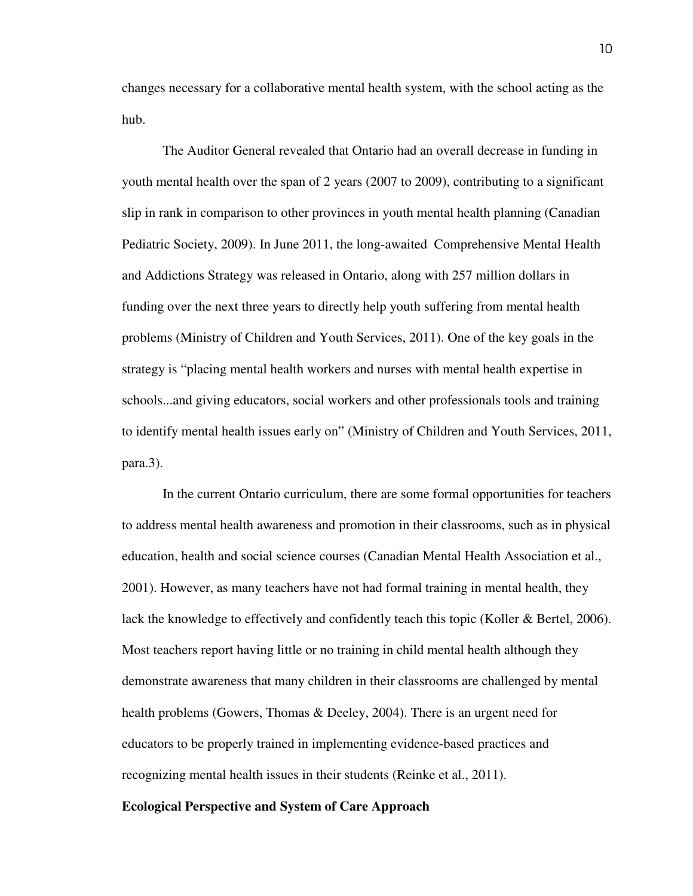changes necessary for a collaborative mental health system, with the school acting as the hub.

 The Auditor General revealed that Ontario had an overall decrease in funding in youth mental health over the span of 2 years (2007 to 2009), contributing to a significant slip in rank in comparison to other provinces in youth mental health planning (Canadian Pediatric Society, 2009). In June 2011, the long-awaited Comprehensive Mental Health and Addictions Strategy was released in Ontario, along with 257 million dollars in funding over the next three years to directly help youth suffering from mental health problems (Ministry of Children and Youth Services, 2011). One of the key goals in the strategy is "placing mental health workers and nurses with mental health expertise in schools...and giving educators, social workers and other professionals tools and training to identify mental health issues early on" (Ministry of Children and Youth Services, 2011, para.3).

 In the current Ontario curriculum, there are some formal opportunities for teachers to address mental health awareness and promotion in their classrooms, such as in physical education, health and social science courses (Canadian Mental Health Association et al., 2001). However, as many teachers have not had formal training in mental health, they lack the knowledge to effectively and confidently teach this topic (Koller & Bertel, 2006). Most teachers report having little or no training in child mental health although they demonstrate awareness that many children in their classrooms are challenged by mental health problems (Gowers, Thomas & Deeley, 2004). There is an urgent need for educators to be properly trained in implementing evidence-based practices and recognizing mental health issues in their students (Reinke et al., 2011).

#### **Ecological Perspective and System of Care Approach**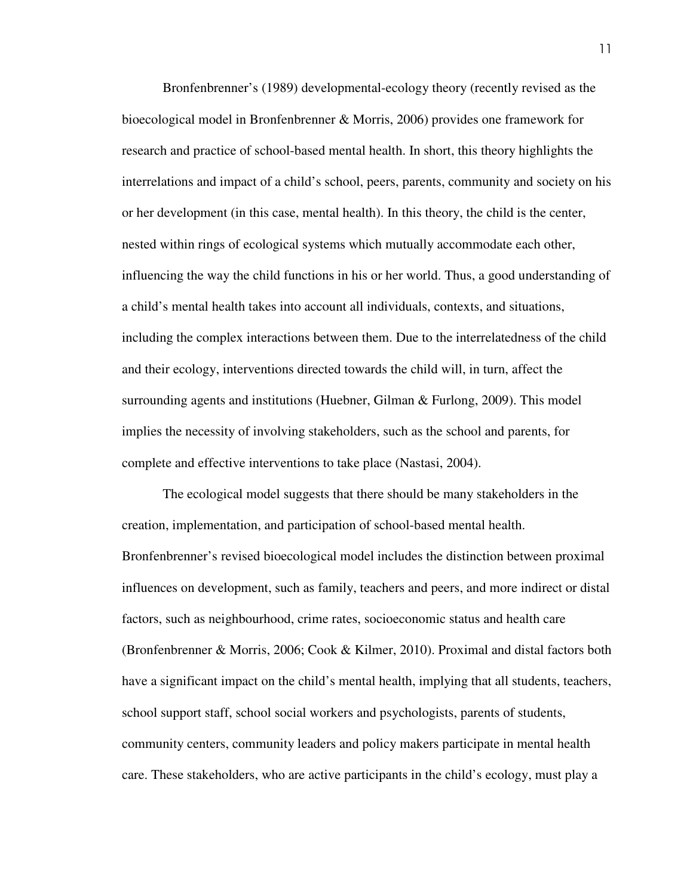Bronfenbrenner's (1989) developmental-ecology theory (recently revised as the bioecological model in Bronfenbrenner & Morris, 2006) provides one framework for research and practice of school-based mental health. In short, this theory highlights the interrelations and impact of a child's school, peers, parents, community and society on his or her development (in this case, mental health). In this theory, the child is the center, nested within rings of ecological systems which mutually accommodate each other, influencing the way the child functions in his or her world. Thus, a good understanding of a child's mental health takes into account all individuals, contexts, and situations, including the complex interactions between them. Due to the interrelatedness of the child and their ecology, interventions directed towards the child will, in turn, affect the surrounding agents and institutions (Huebner, Gilman & Furlong, 2009). This model implies the necessity of involving stakeholders, such as the school and parents, for complete and effective interventions to take place (Nastasi, 2004).

 The ecological model suggests that there should be many stakeholders in the creation, implementation, and participation of school-based mental health. Bronfenbrenner's revised bioecological model includes the distinction between proximal influences on development, such as family, teachers and peers, and more indirect or distal factors, such as neighbourhood, crime rates, socioeconomic status and health care (Bronfenbrenner & Morris, 2006; Cook & Kilmer, 2010). Proximal and distal factors both have a significant impact on the child's mental health, implying that all students, teachers, school support staff, school social workers and psychologists, parents of students, community centers, community leaders and policy makers participate in mental health care. These stakeholders, who are active participants in the child's ecology, must play a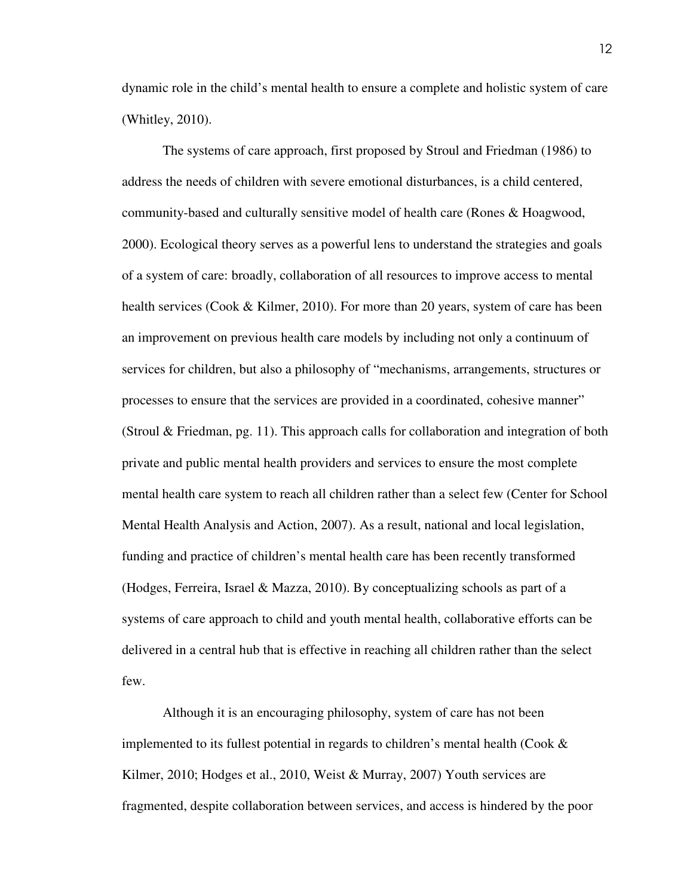dynamic role in the child's mental health to ensure a complete and holistic system of care (Whitley, 2010).

 The systems of care approach, first proposed by Stroul and Friedman (1986) to address the needs of children with severe emotional disturbances, is a child centered, community-based and culturally sensitive model of health care (Rones & Hoagwood, 2000). Ecological theory serves as a powerful lens to understand the strategies and goals of a system of care: broadly, collaboration of all resources to improve access to mental health services (Cook & Kilmer, 2010). For more than 20 years, system of care has been an improvement on previous health care models by including not only a continuum of services for children, but also a philosophy of "mechanisms, arrangements, structures or processes to ensure that the services are provided in a coordinated, cohesive manner" (Stroul & Friedman, pg. 11). This approach calls for collaboration and integration of both private and public mental health providers and services to ensure the most complete mental health care system to reach all children rather than a select few (Center for School Mental Health Analysis and Action, 2007). As a result, national and local legislation, funding and practice of children's mental health care has been recently transformed (Hodges, Ferreira, Israel & Mazza, 2010). By conceptualizing schools as part of a systems of care approach to child and youth mental health, collaborative efforts can be delivered in a central hub that is effective in reaching all children rather than the select few.

 Although it is an encouraging philosophy, system of care has not been implemented to its fullest potential in regards to children's mental health (Cook  $\&$ Kilmer, 2010; Hodges et al., 2010, Weist & Murray, 2007) Youth services are fragmented, despite collaboration between services, and access is hindered by the poor

12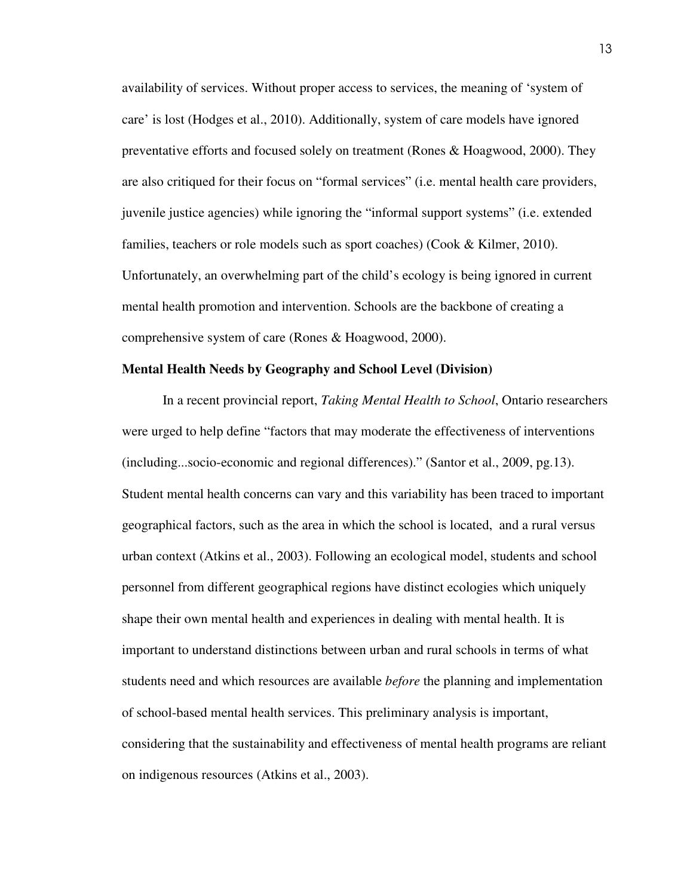availability of services. Without proper access to services, the meaning of 'system of care' is lost (Hodges et al., 2010). Additionally, system of care models have ignored preventative efforts and focused solely on treatment (Rones & Hoagwood, 2000). They are also critiqued for their focus on "formal services" (i.e. mental health care providers, juvenile justice agencies) while ignoring the "informal support systems" (i.e. extended families, teachers or role models such as sport coaches) (Cook & Kilmer, 2010). Unfortunately, an overwhelming part of the child's ecology is being ignored in current mental health promotion and intervention. Schools are the backbone of creating a comprehensive system of care (Rones & Hoagwood, 2000).

#### **Mental Health Needs by Geography and School Level (Division)**

 In a recent provincial report, *Taking Mental Health to School*, Ontario researchers were urged to help define "factors that may moderate the effectiveness of interventions (including...socio-economic and regional differences)." (Santor et al., 2009, pg.13). Student mental health concerns can vary and this variability has been traced to important geographical factors, such as the area in which the school is located, and a rural versus urban context (Atkins et al., 2003). Following an ecological model, students and school personnel from different geographical regions have distinct ecologies which uniquely shape their own mental health and experiences in dealing with mental health. It is important to understand distinctions between urban and rural schools in terms of what students need and which resources are available *before* the planning and implementation of school-based mental health services. This preliminary analysis is important, considering that the sustainability and effectiveness of mental health programs are reliant on indigenous resources (Atkins et al., 2003).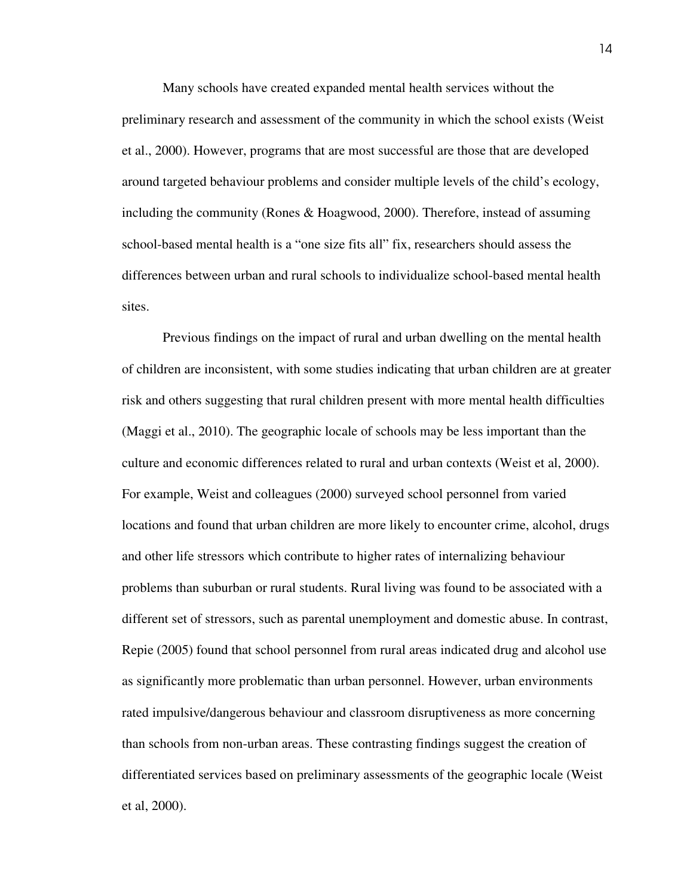Many schools have created expanded mental health services without the preliminary research and assessment of the community in which the school exists (Weist et al., 2000). However, programs that are most successful are those that are developed around targeted behaviour problems and consider multiple levels of the child's ecology, including the community (Rones & Hoagwood, 2000). Therefore, instead of assuming school-based mental health is a "one size fits all" fix, researchers should assess the differences between urban and rural schools to individualize school-based mental health sites.

 Previous findings on the impact of rural and urban dwelling on the mental health of children are inconsistent, with some studies indicating that urban children are at greater risk and others suggesting that rural children present with more mental health difficulties (Maggi et al., 2010). The geographic locale of schools may be less important than the culture and economic differences related to rural and urban contexts (Weist et al, 2000). For example, Weist and colleagues (2000) surveyed school personnel from varied locations and found that urban children are more likely to encounter crime, alcohol, drugs and other life stressors which contribute to higher rates of internalizing behaviour problems than suburban or rural students. Rural living was found to be associated with a different set of stressors, such as parental unemployment and domestic abuse. In contrast, Repie (2005) found that school personnel from rural areas indicated drug and alcohol use as significantly more problematic than urban personnel. However, urban environments rated impulsive/dangerous behaviour and classroom disruptiveness as more concerning than schools from non-urban areas. These contrasting findings suggest the creation of differentiated services based on preliminary assessments of the geographic locale (Weist et al, 2000).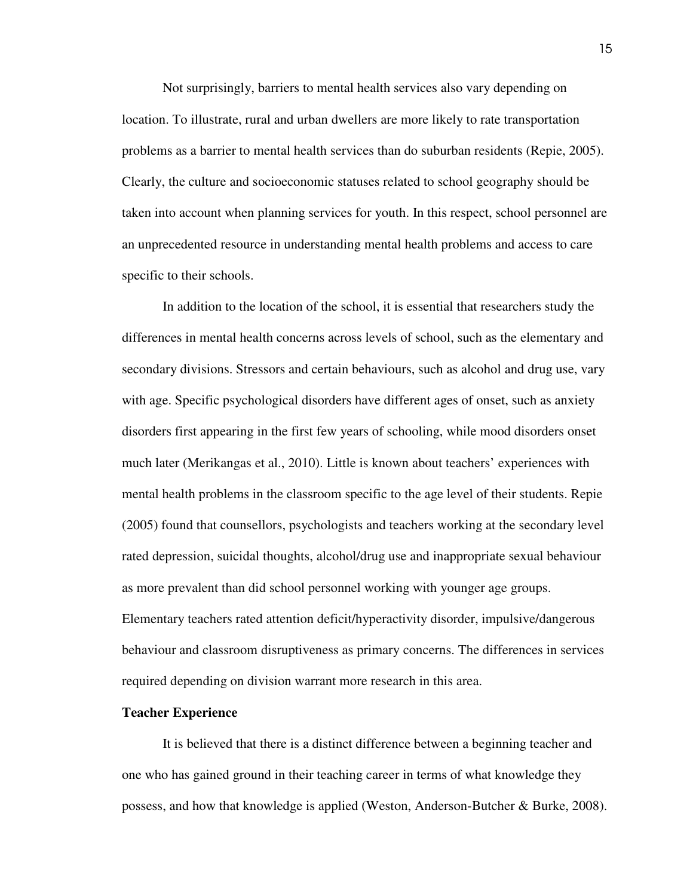Not surprisingly, barriers to mental health services also vary depending on location. To illustrate, rural and urban dwellers are more likely to rate transportation problems as a barrier to mental health services than do suburban residents (Repie, 2005). Clearly, the culture and socioeconomic statuses related to school geography should be taken into account when planning services for youth. In this respect, school personnel are an unprecedented resource in understanding mental health problems and access to care specific to their schools.

 In addition to the location of the school, it is essential that researchers study the differences in mental health concerns across levels of school, such as the elementary and secondary divisions. Stressors and certain behaviours, such as alcohol and drug use, vary with age. Specific psychological disorders have different ages of onset, such as anxiety disorders first appearing in the first few years of schooling, while mood disorders onset much later (Merikangas et al., 2010). Little is known about teachers' experiences with mental health problems in the classroom specific to the age level of their students. Repie (2005) found that counsellors, psychologists and teachers working at the secondary level rated depression, suicidal thoughts, alcohol/drug use and inappropriate sexual behaviour as more prevalent than did school personnel working with younger age groups. Elementary teachers rated attention deficit/hyperactivity disorder, impulsive/dangerous behaviour and classroom disruptiveness as primary concerns. The differences in services required depending on division warrant more research in this area.

#### **Teacher Experience**

 It is believed that there is a distinct difference between a beginning teacher and one who has gained ground in their teaching career in terms of what knowledge they possess, and how that knowledge is applied (Weston, Anderson-Butcher & Burke, 2008).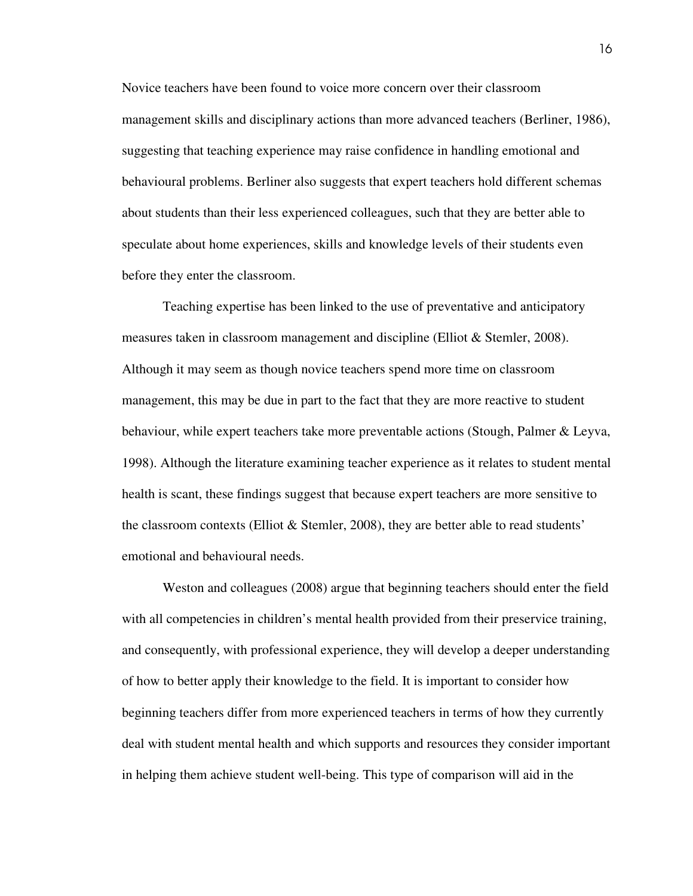Novice teachers have been found to voice more concern over their classroom management skills and disciplinary actions than more advanced teachers (Berliner, 1986), suggesting that teaching experience may raise confidence in handling emotional and behavioural problems. Berliner also suggests that expert teachers hold different schemas about students than their less experienced colleagues, such that they are better able to speculate about home experiences, skills and knowledge levels of their students even before they enter the classroom.

 Teaching expertise has been linked to the use of preventative and anticipatory measures taken in classroom management and discipline (Elliot & Stemler, 2008). Although it may seem as though novice teachers spend more time on classroom management, this may be due in part to the fact that they are more reactive to student behaviour, while expert teachers take more preventable actions (Stough, Palmer & Leyva, 1998). Although the literature examining teacher experience as it relates to student mental health is scant, these findings suggest that because expert teachers are more sensitive to the classroom contexts (Elliot  $&$  Stemler, 2008), they are better able to read students' emotional and behavioural needs.

 Weston and colleagues (2008) argue that beginning teachers should enter the field with all competencies in children's mental health provided from their preservice training, and consequently, with professional experience, they will develop a deeper understanding of how to better apply their knowledge to the field. It is important to consider how beginning teachers differ from more experienced teachers in terms of how they currently deal with student mental health and which supports and resources they consider important in helping them achieve student well-being. This type of comparison will aid in the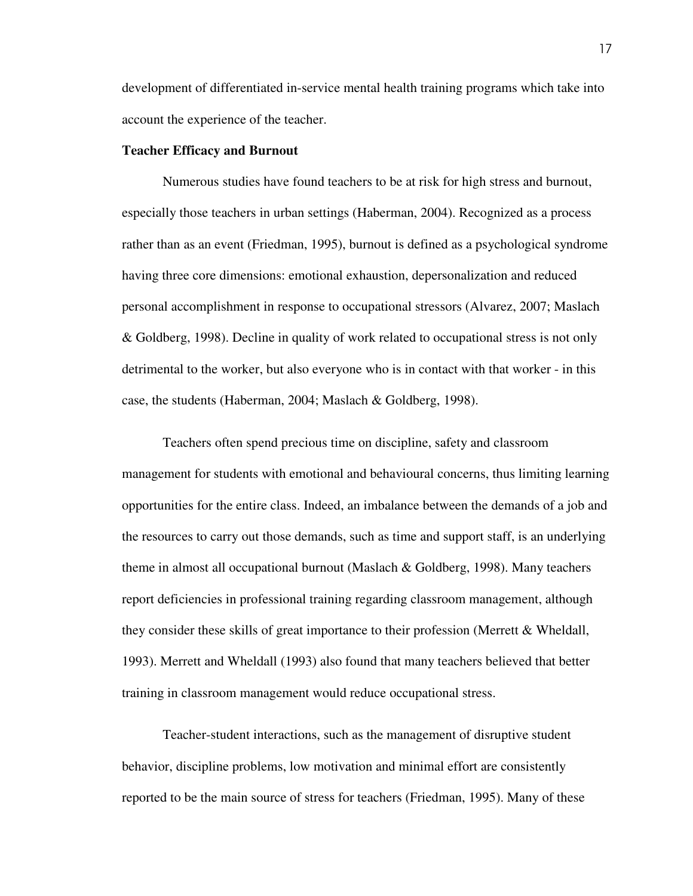development of differentiated in-service mental health training programs which take into account the experience of the teacher.

#### **Teacher Efficacy and Burnout**

Numerous studies have found teachers to be at risk for high stress and burnout, especially those teachers in urban settings (Haberman, 2004). Recognized as a process rather than as an event (Friedman, 1995), burnout is defined as a psychological syndrome having three core dimensions: emotional exhaustion, depersonalization and reduced personal accomplishment in response to occupational stressors (Alvarez, 2007; Maslach & Goldberg, 1998). Decline in quality of work related to occupational stress is not only detrimental to the worker, but also everyone who is in contact with that worker - in this case, the students (Haberman, 2004; Maslach & Goldberg, 1998).

 Teachers often spend precious time on discipline, safety and classroom management for students with emotional and behavioural concerns, thus limiting learning opportunities for the entire class. Indeed, an imbalance between the demands of a job and the resources to carry out those demands, such as time and support staff, is an underlying theme in almost all occupational burnout (Maslach & Goldberg, 1998). Many teachers report deficiencies in professional training regarding classroom management, although they consider these skills of great importance to their profession (Merrett & Wheldall, 1993). Merrett and Wheldall (1993) also found that many teachers believed that better training in classroom management would reduce occupational stress.

Teacher-student interactions, such as the management of disruptive student behavior, discipline problems, low motivation and minimal effort are consistently reported to be the main source of stress for teachers (Friedman, 1995). Many of these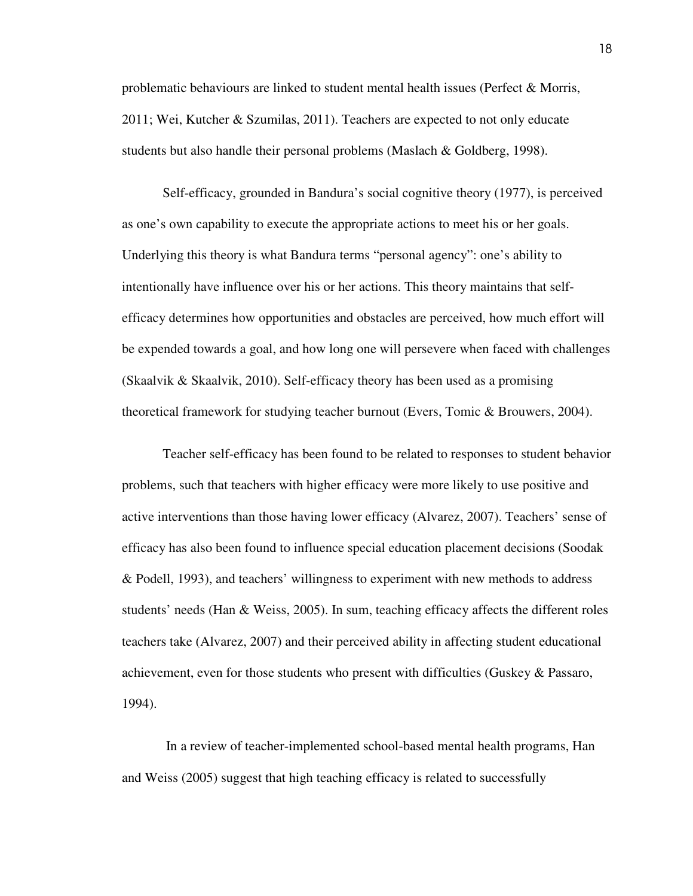problematic behaviours are linked to student mental health issues (Perfect & Morris, 2011; Wei, Kutcher & Szumilas, 2011). Teachers are expected to not only educate students but also handle their personal problems (Maslach & Goldberg, 1998).

Self-efficacy, grounded in Bandura's social cognitive theory (1977), is perceived as one's own capability to execute the appropriate actions to meet his or her goals. Underlying this theory is what Bandura terms "personal agency": one's ability to intentionally have influence over his or her actions. This theory maintains that selfefficacy determines how opportunities and obstacles are perceived, how much effort will be expended towards a goal, and how long one will persevere when faced with challenges (Skaalvik & Skaalvik, 2010). Self-efficacy theory has been used as a promising theoretical framework for studying teacher burnout (Evers, Tomic & Brouwers, 2004).

 Teacher self-efficacy has been found to be related to responses to student behavior problems, such that teachers with higher efficacy were more likely to use positive and active interventions than those having lower efficacy (Alvarez, 2007). Teachers' sense of efficacy has also been found to influence special education placement decisions (Soodak & Podell, 1993), and teachers' willingness to experiment with new methods to address students' needs (Han & Weiss, 2005). In sum, teaching efficacy affects the different roles teachers take (Alvarez, 2007) and their perceived ability in affecting student educational achievement, even for those students who present with difficulties (Guskey & Passaro, 1994).

 In a review of teacher-implemented school-based mental health programs, Han and Weiss (2005) suggest that high teaching efficacy is related to successfully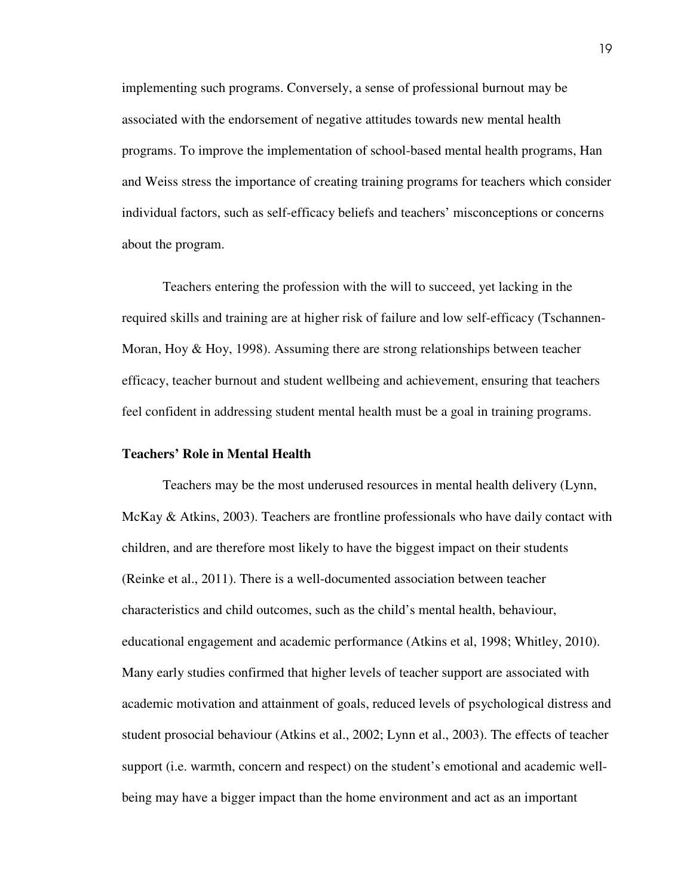implementing such programs. Conversely, a sense of professional burnout may be associated with the endorsement of negative attitudes towards new mental health programs. To improve the implementation of school-based mental health programs, Han and Weiss stress the importance of creating training programs for teachers which consider individual factors, such as self-efficacy beliefs and teachers' misconceptions or concerns about the program.

Teachers entering the profession with the will to succeed, yet lacking in the required skills and training are at higher risk of failure and low self-efficacy (Tschannen-Moran, Hoy & Hoy, 1998). Assuming there are strong relationships between teacher efficacy, teacher burnout and student wellbeing and achievement, ensuring that teachers feel confident in addressing student mental health must be a goal in training programs.

#### **Teachers' Role in Mental Health**

Teachers may be the most underused resources in mental health delivery (Lynn, McKay & Atkins, 2003). Teachers are frontline professionals who have daily contact with children, and are therefore most likely to have the biggest impact on their students (Reinke et al., 2011). There is a well-documented association between teacher characteristics and child outcomes, such as the child's mental health, behaviour, educational engagement and academic performance (Atkins et al, 1998; Whitley, 2010). Many early studies confirmed that higher levels of teacher support are associated with academic motivation and attainment of goals, reduced levels of psychological distress and student prosocial behaviour (Atkins et al., 2002; Lynn et al., 2003). The effects of teacher support (i.e. warmth, concern and respect) on the student's emotional and academic wellbeing may have a bigger impact than the home environment and act as an important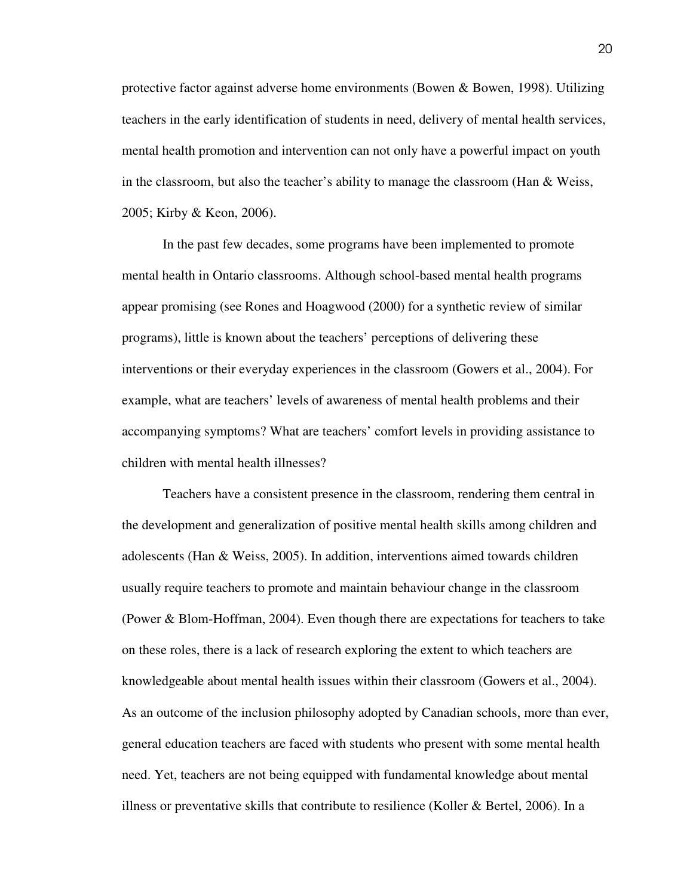protective factor against adverse home environments (Bowen & Bowen, 1998). Utilizing teachers in the early identification of students in need, delivery of mental health services, mental health promotion and intervention can not only have a powerful impact on youth in the classroom, but also the teacher's ability to manage the classroom (Han & Weiss, 2005; Kirby & Keon, 2006).

 In the past few decades, some programs have been implemented to promote mental health in Ontario classrooms. Although school-based mental health programs appear promising (see Rones and Hoagwood (2000) for a synthetic review of similar programs), little is known about the teachers' perceptions of delivering these interventions or their everyday experiences in the classroom (Gowers et al., 2004). For example, what are teachers' levels of awareness of mental health problems and their accompanying symptoms? What are teachers' comfort levels in providing assistance to children with mental health illnesses?

 Teachers have a consistent presence in the classroom, rendering them central in the development and generalization of positive mental health skills among children and adolescents (Han & Weiss, 2005). In addition, interventions aimed towards children usually require teachers to promote and maintain behaviour change in the classroom (Power & Blom-Hoffman, 2004). Even though there are expectations for teachers to take on these roles, there is a lack of research exploring the extent to which teachers are knowledgeable about mental health issues within their classroom (Gowers et al., 2004). As an outcome of the inclusion philosophy adopted by Canadian schools, more than ever, general education teachers are faced with students who present with some mental health need. Yet, teachers are not being equipped with fundamental knowledge about mental illness or preventative skills that contribute to resilience (Koller & Bertel, 2006). In a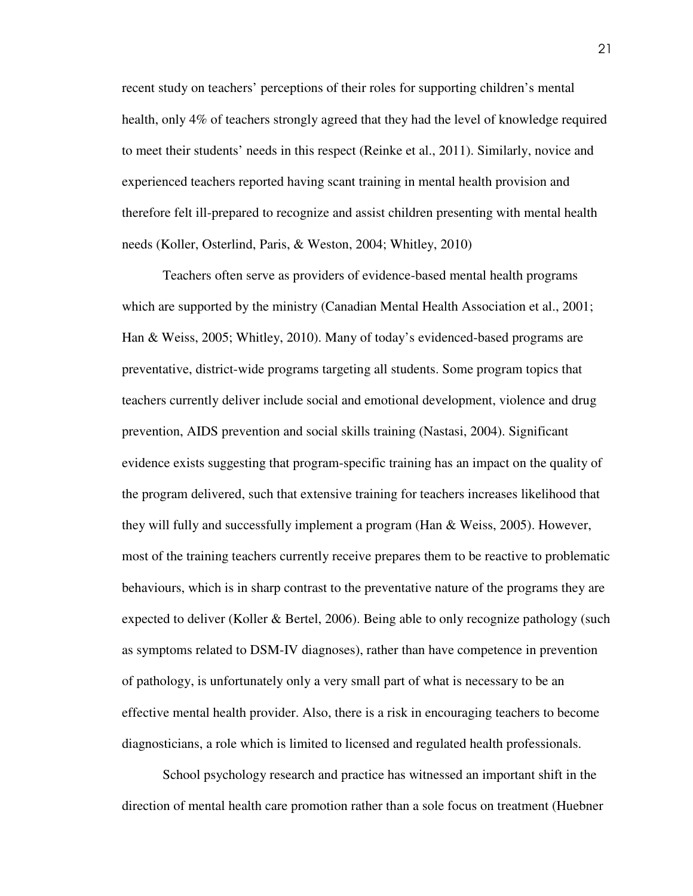recent study on teachers' perceptions of their roles for supporting children's mental health, only 4% of teachers strongly agreed that they had the level of knowledge required to meet their students' needs in this respect (Reinke et al., 2011). Similarly, novice and experienced teachers reported having scant training in mental health provision and therefore felt ill-prepared to recognize and assist children presenting with mental health needs (Koller, Osterlind, Paris, & Weston, 2004; Whitley, 2010)

 Teachers often serve as providers of evidence-based mental health programs which are supported by the ministry (Canadian Mental Health Association et al., 2001; Han & Weiss, 2005; Whitley, 2010). Many of today's evidenced-based programs are preventative, district-wide programs targeting all students. Some program topics that teachers currently deliver include social and emotional development, violence and drug prevention, AIDS prevention and social skills training (Nastasi, 2004). Significant evidence exists suggesting that program-specific training has an impact on the quality of the program delivered, such that extensive training for teachers increases likelihood that they will fully and successfully implement a program (Han & Weiss, 2005). However, most of the training teachers currently receive prepares them to be reactive to problematic behaviours, which is in sharp contrast to the preventative nature of the programs they are expected to deliver (Koller & Bertel, 2006). Being able to only recognize pathology (such as symptoms related to DSM-IV diagnoses), rather than have competence in prevention of pathology, is unfortunately only a very small part of what is necessary to be an effective mental health provider. Also, there is a risk in encouraging teachers to become diagnosticians, a role which is limited to licensed and regulated health professionals.

 School psychology research and practice has witnessed an important shift in the direction of mental health care promotion rather than a sole focus on treatment (Huebner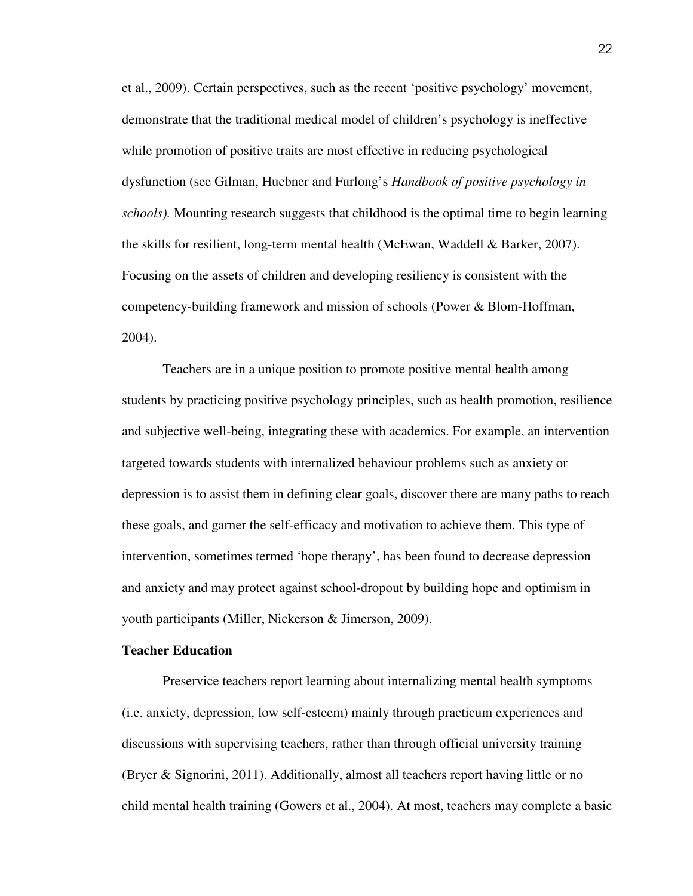et al., 2009). Certain perspectives, such as the recent 'positive psychology' movement, demonstrate that the traditional medical model of children's psychology is ineffective while promotion of positive traits are most effective in reducing psychological dysfunction (see Gilman, Huebner and Furlong's *Handbook of positive psychology in schools).* Mounting research suggests that childhood is the optimal time to begin learning the skills for resilient, long-term mental health (McEwan, Waddell & Barker, 2007). Focusing on the assets of children and developing resiliency is consistent with the competency-building framework and mission of schools (Power & Blom-Hoffman, 2004).

 Teachers are in a unique position to promote positive mental health among students by practicing positive psychology principles, such as health promotion, resilience and subjective well-being, integrating these with academics. For example, an intervention targeted towards students with internalized behaviour problems such as anxiety or depression is to assist them in defining clear goals, discover there are many paths to reach these goals, and garner the self-efficacy and motivation to achieve them. This type of intervention, sometimes termed 'hope therapy', has been found to decrease depression and anxiety and may protect against school-dropout by building hope and optimism in youth participants (Miller, Nickerson & Jimerson, 2009).

### **Teacher Education**

Preservice teachers report learning about internalizing mental health symptoms (i.e. anxiety, depression, low self-esteem) mainly through practicum experiences and discussions with supervising teachers, rather than through official university training (Bryer & Signorini, 2011). Additionally, almost all teachers report having little or no child mental health training (Gowers et al., 2004). At most, teachers may complete a basic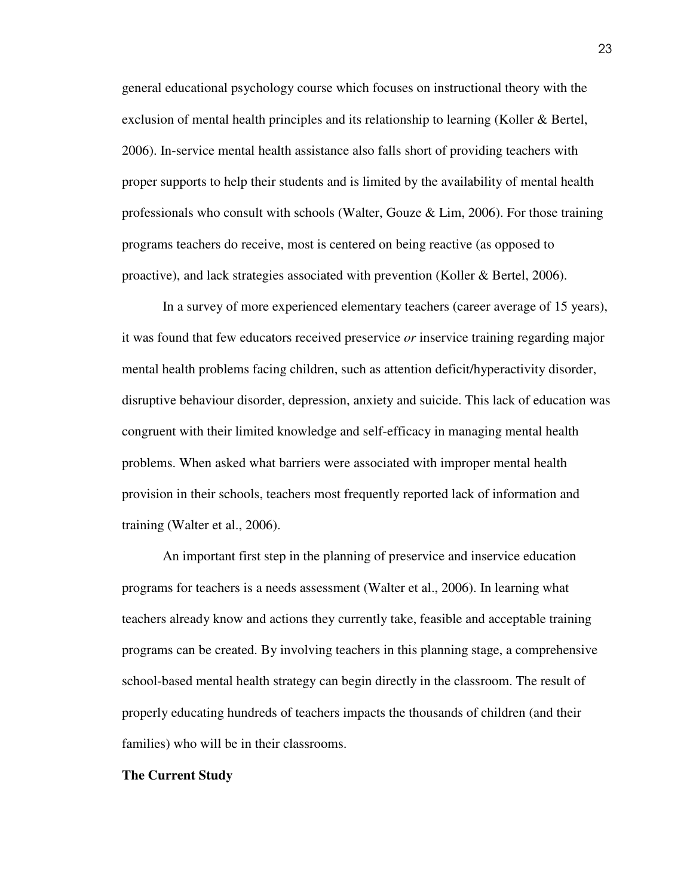general educational psychology course which focuses on instructional theory with the exclusion of mental health principles and its relationship to learning (Koller & Bertel, 2006). In-service mental health assistance also falls short of providing teachers with proper supports to help their students and is limited by the availability of mental health professionals who consult with schools (Walter, Gouze & Lim, 2006). For those training programs teachers do receive, most is centered on being reactive (as opposed to proactive), and lack strategies associated with prevention (Koller & Bertel, 2006).

 In a survey of more experienced elementary teachers (career average of 15 years), it was found that few educators received preservice *or* inservice training regarding major mental health problems facing children, such as attention deficit/hyperactivity disorder, disruptive behaviour disorder, depression, anxiety and suicide. This lack of education was congruent with their limited knowledge and self-efficacy in managing mental health problems. When asked what barriers were associated with improper mental health provision in their schools, teachers most frequently reported lack of information and training (Walter et al., 2006).

 An important first step in the planning of preservice and inservice education programs for teachers is a needs assessment (Walter et al., 2006). In learning what teachers already know and actions they currently take, feasible and acceptable training programs can be created. By involving teachers in this planning stage, a comprehensive school-based mental health strategy can begin directly in the classroom. The result of properly educating hundreds of teachers impacts the thousands of children (and their families) who will be in their classrooms.

#### **The Current Study**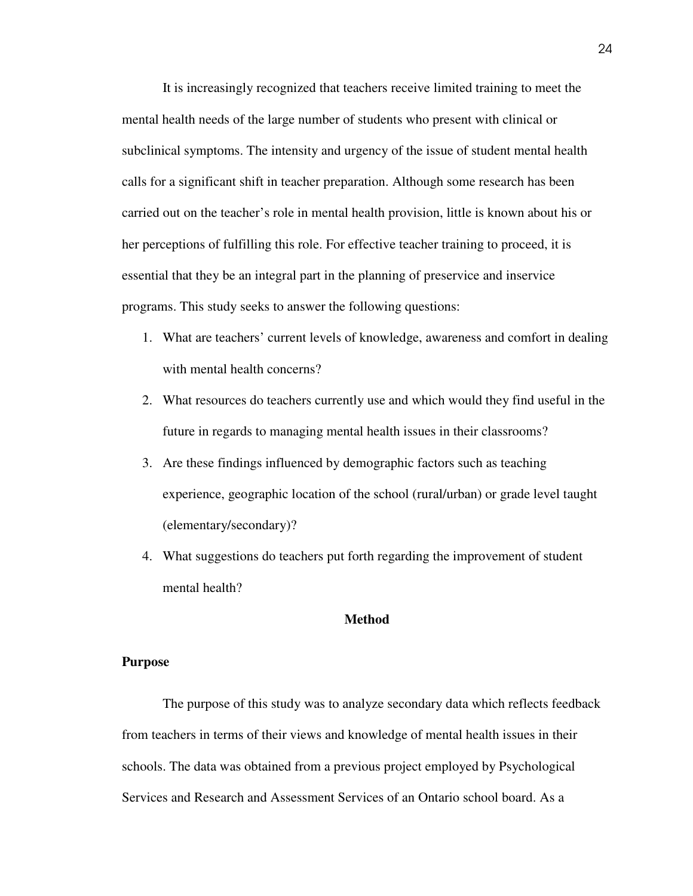It is increasingly recognized that teachers receive limited training to meet the mental health needs of the large number of students who present with clinical or subclinical symptoms. The intensity and urgency of the issue of student mental health calls for a significant shift in teacher preparation. Although some research has been carried out on the teacher's role in mental health provision, little is known about his or her perceptions of fulfilling this role. For effective teacher training to proceed, it is essential that they be an integral part in the planning of preservice and inservice programs. This study seeks to answer the following questions:

- 1. What are teachers' current levels of knowledge, awareness and comfort in dealing with mental health concerns?
- 2. What resources do teachers currently use and which would they find useful in the future in regards to managing mental health issues in their classrooms?
- 3. Are these findings influenced by demographic factors such as teaching experience, geographic location of the school (rural/urban) or grade level taught (elementary/secondary)?
- 4. What suggestions do teachers put forth regarding the improvement of student mental health?

#### **Method**

#### **Purpose**

 The purpose of this study was to analyze secondary data which reflects feedback from teachers in terms of their views and knowledge of mental health issues in their schools. The data was obtained from a previous project employed by Psychological Services and Research and Assessment Services of an Ontario school board. As a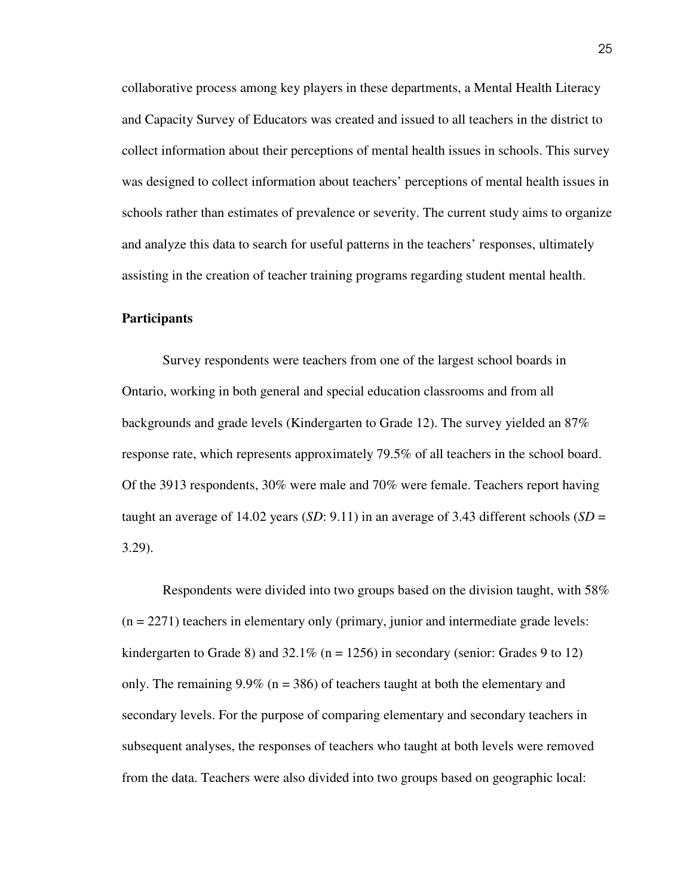collaborative process among key players in these departments, a Mental Health Literacy and Capacity Survey of Educators was created and issued to all teachers in the district to collect information about their perceptions of mental health issues in schools. This survey was designed to collect information about teachers' perceptions of mental health issues in schools rather than estimates of prevalence or severity. The current study aims to organize and analyze this data to search for useful patterns in the teachers' responses, ultimately assisting in the creation of teacher training programs regarding student mental health.

#### **Participants**

 Survey respondents were teachers from one of the largest school boards in Ontario, working in both general and special education classrooms and from all backgrounds and grade levels (Kindergarten to Grade 12). The survey yielded an 87% response rate, which represents approximately 79.5% of all teachers in the school board. Of the 3913 respondents, 30% were male and 70% were female. Teachers report having taught an average of 14.02 years (*SD*: 9.11) in an average of 3.43 different schools (*SD* = 3.29).

 Respondents were divided into two groups based on the division taught, with 58%  $(n = 2271)$  teachers in elementary only (primary, junior and intermediate grade levels: kindergarten to Grade 8) and  $32.1\%$  (n = 1256) in secondary (senior: Grades 9 to 12) only. The remaining  $9.9\%$  (n = 386) of teachers taught at both the elementary and secondary levels. For the purpose of comparing elementary and secondary teachers in subsequent analyses, the responses of teachers who taught at both levels were removed from the data. Teachers were also divided into two groups based on geographic local: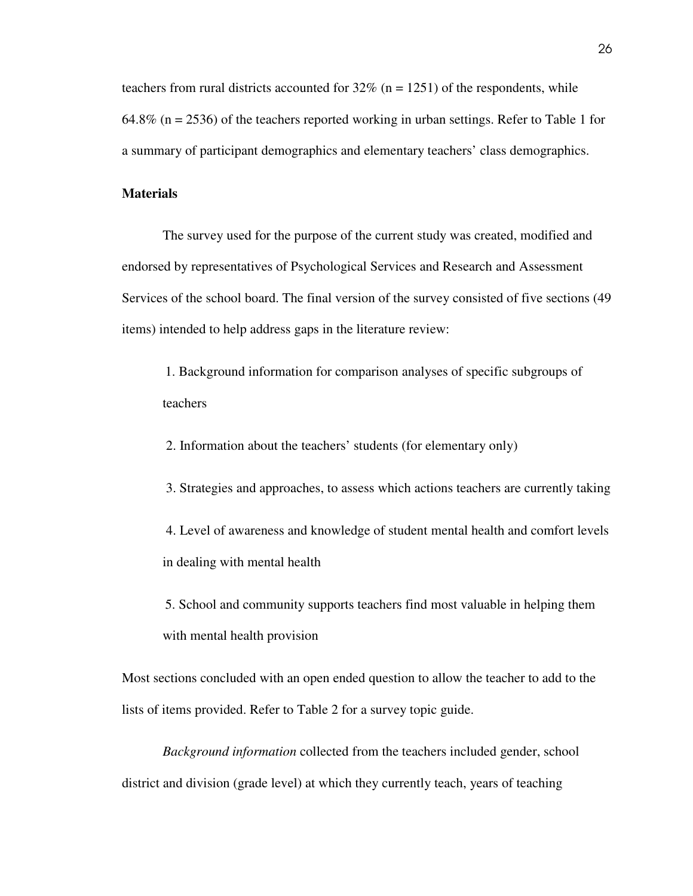teachers from rural districts accounted for  $32\%$  (n = 1251) of the respondents, while 64.8% (n = 2536) of the teachers reported working in urban settings. Refer to Table 1 for a summary of participant demographics and elementary teachers' class demographics.

#### **Materials**

 The survey used for the purpose of the current study was created, modified and endorsed by representatives of Psychological Services and Research and Assessment Services of the school board. The final version of the survey consisted of five sections (49 items) intended to help address gaps in the literature review:

1. Background information for comparison analyses of specific subgroups of teachers

2. Information about the teachers' students (for elementary only)

3. Strategies and approaches, to assess which actions teachers are currently taking

 4. Level of awareness and knowledge of student mental health and comfort levels in dealing with mental health

5. School and community supports teachers find most valuable in helping them with mental health provision

Most sections concluded with an open ended question to allow the teacher to add to the lists of items provided. Refer to Table 2 for a survey topic guide.

*Background information* collected from the teachers included gender, school district and division (grade level) at which they currently teach, years of teaching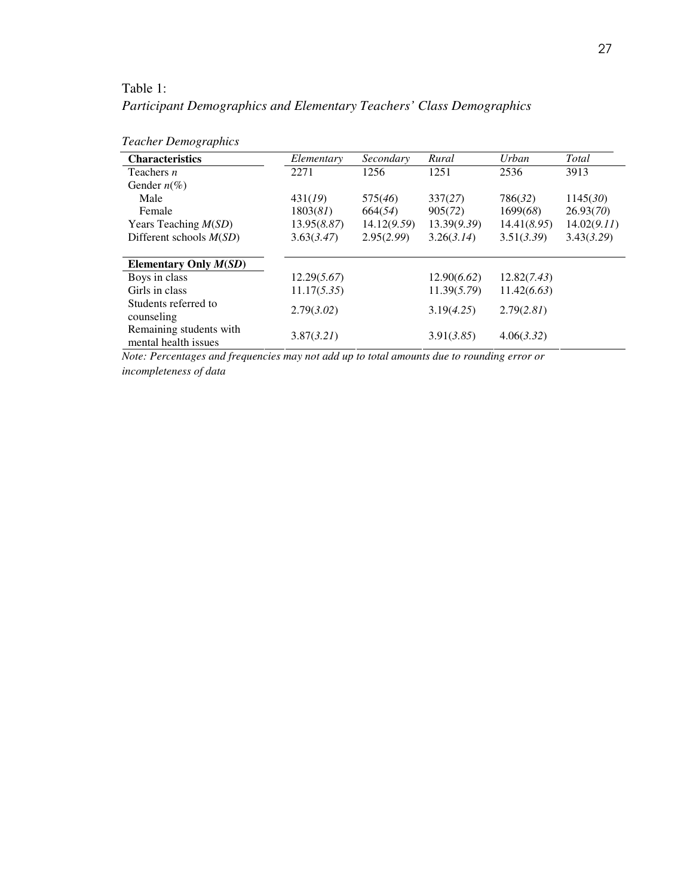## Table 1:

# *Participant Demographics and Elementary Teachers' Class Demographics*

| <b>Characteristics</b>    | Elementary  | Secondary   | Rural       | Urban       | Total       |
|---------------------------|-------------|-------------|-------------|-------------|-------------|
| Teachers $n$              | 2271        | 1256        | 1251        | 2536        | 3913        |
| Gender $n\ll 0$           |             |             |             |             |             |
| Male                      | 431(19)     | 575(46)     | 337(27)     | 786(32)     | 1145(30)    |
| Female                    | 1803(81)    | 664(54)     | 905(72)     | 1699(68)    | 26.93(70)   |
| Years Teaching $M(SD)$    | 13.95(8.87) | 14.12(9.59) | 13.39(9.39) | 14.41(8.95) | 14.02(9.11) |
| Different schools $M(SD)$ | 3.63(3.47)  | 2.95(2.99)  | 3.26(3.14)  | 3.51(3.39)  | 3.43(3.29)  |
|                           |             |             |             |             |             |
| Elementary Only $M(SD)$   |             |             |             |             |             |
| Boys in class             | 12.29(5.67) |             | 12.90(6.62) | 12.82(7.43) |             |
| Girls in class            | 11.17(5.35) |             | 11.39(5.79) | 11.42(6.63) |             |
| Students referred to      |             |             |             |             |             |
| counseling                | 2.79(3.02)  |             | 3.19(4.25)  | 2.79(2.81)  |             |
| Remaining students with   | 3.87(3.21)  |             | 3.91(3.85)  | 4.06(3.32)  |             |
| mental health issues      |             |             |             |             |             |

# *Teacher Demographics*

*Note: Percentages and frequencies may not add up to total amounts due to rounding error or incompleteness of data*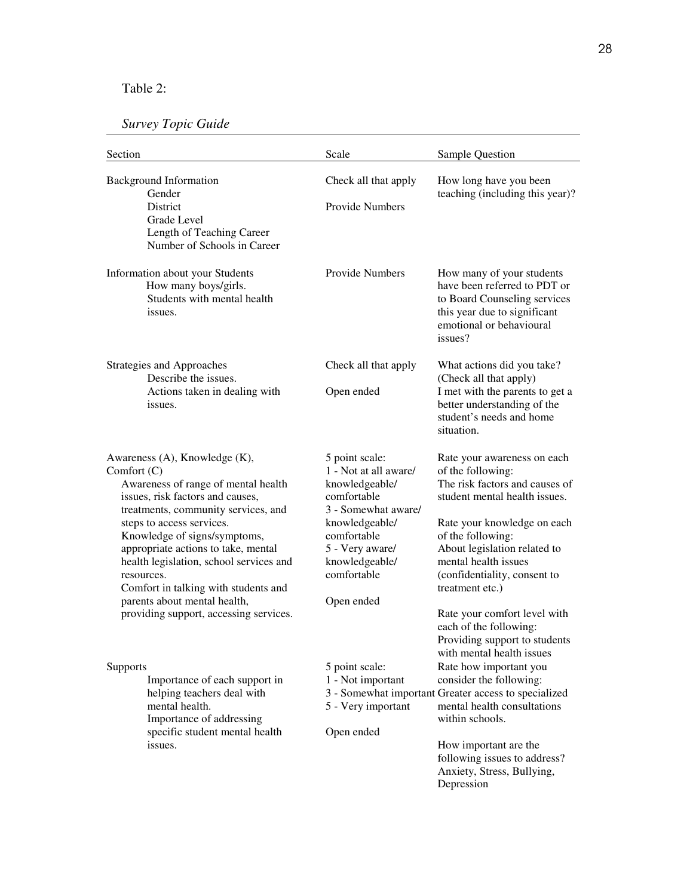### Table 2:

# *Survey Topic Guide*

| Section                                                                                                                                                                                                                                                                                                                                                                                                                                         | Scale                                                                                                                                                                                              | Sample Question                                                                                                                                                                                                                                                                                                                                                               |
|-------------------------------------------------------------------------------------------------------------------------------------------------------------------------------------------------------------------------------------------------------------------------------------------------------------------------------------------------------------------------------------------------------------------------------------------------|----------------------------------------------------------------------------------------------------------------------------------------------------------------------------------------------------|-------------------------------------------------------------------------------------------------------------------------------------------------------------------------------------------------------------------------------------------------------------------------------------------------------------------------------------------------------------------------------|
| <b>Background Information</b><br>Gender<br><b>District</b><br>Grade Level<br>Length of Teaching Career<br>Number of Schools in Career                                                                                                                                                                                                                                                                                                           | Check all that apply<br><b>Provide Numbers</b>                                                                                                                                                     | How long have you been<br>teaching (including this year)?                                                                                                                                                                                                                                                                                                                     |
| Information about your Students<br>How many boys/girls.<br>Students with mental health<br>issues.                                                                                                                                                                                                                                                                                                                                               | <b>Provide Numbers</b>                                                                                                                                                                             | How many of your students<br>have been referred to PDT or<br>to Board Counseling services<br>this year due to significant<br>emotional or behavioural<br>issues?                                                                                                                                                                                                              |
| Strategies and Approaches<br>Describe the issues.<br>Actions taken in dealing with<br>issues.                                                                                                                                                                                                                                                                                                                                                   | Check all that apply<br>Open ended                                                                                                                                                                 | What actions did you take?<br>(Check all that apply)<br>I met with the parents to get a<br>better understanding of the<br>student's needs and home<br>situation.                                                                                                                                                                                                              |
| Awareness (A), Knowledge (K),<br>Comfort $(C)$<br>Awareness of range of mental health<br>issues, risk factors and causes,<br>treatments, community services, and<br>steps to access services.<br>Knowledge of signs/symptoms,<br>appropriate actions to take, mental<br>health legislation, school services and<br>resources.<br>Comfort in talking with students and<br>parents about mental health,<br>providing support, accessing services. | 5 point scale:<br>1 - Not at all aware/<br>knowledgeable/<br>comfortable<br>3 - Somewhat aware/<br>knowledgeable/<br>comfortable<br>5 - Very aware/<br>knowledgeable/<br>comfortable<br>Open ended | Rate your awareness on each<br>of the following:<br>The risk factors and causes of<br>student mental health issues.<br>Rate your knowledge on each<br>of the following:<br>About legislation related to<br>mental health issues<br>(confidentiality, consent to<br>treatment etc.)<br>Rate your comfort level with<br>each of the following:<br>Providing support to students |
| Supports<br>Importance of each support in<br>helping teachers deal with<br>mental health.<br>Importance of addressing<br>specific student mental health<br>issues.                                                                                                                                                                                                                                                                              | 5 point scale:<br>1 - Not important<br>5 - Very important<br>Open ended                                                                                                                            | with mental health issues<br>Rate how important you<br>consider the following:<br>3 - Somewhat important Greater access to specialized<br>mental health consultations<br>within schools.<br>How important are the<br>following issues to address?<br>Anxiety, Stress, Bullying,<br>Depression                                                                                 |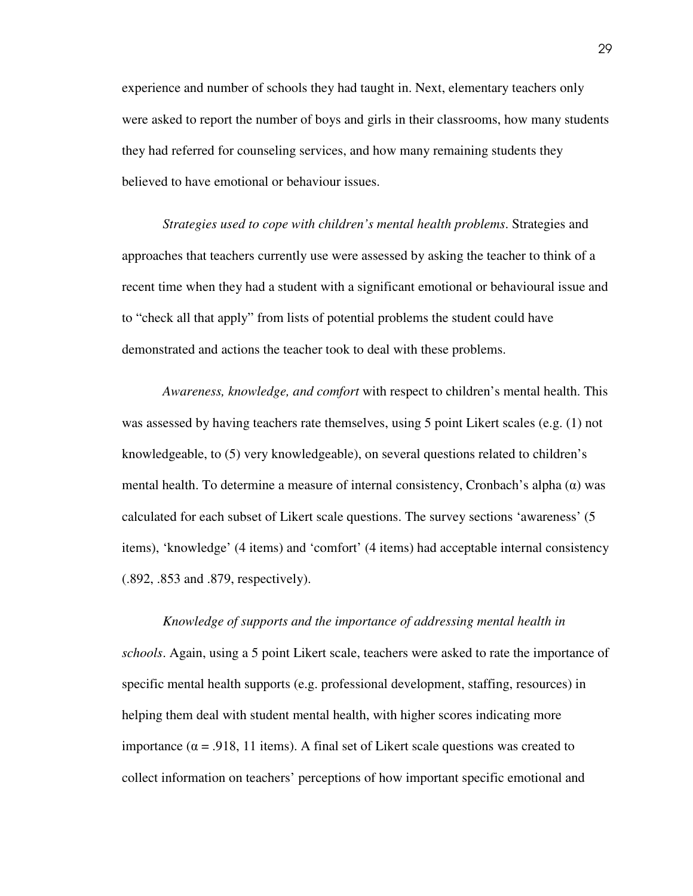experience and number of schools they had taught in. Next, elementary teachers only were asked to report the number of boys and girls in their classrooms, how many students they had referred for counseling services, and how many remaining students they believed to have emotional or behaviour issues.

*Strategies used to cope with children's mental health problems*. Strategies and approaches that teachers currently use were assessed by asking the teacher to think of a recent time when they had a student with a significant emotional or behavioural issue and to "check all that apply" from lists of potential problems the student could have demonstrated and actions the teacher took to deal with these problems.

*Awareness, knowledge, and comfort* with respect to children's mental health. This was assessed by having teachers rate themselves, using 5 point Likert scales (e.g. (1) not knowledgeable, to (5) very knowledgeable), on several questions related to children's mental health. To determine a measure of internal consistency, Cronbach's alpha  $(\alpha)$  was calculated for each subset of Likert scale questions. The survey sections 'awareness' (5 items), 'knowledge' (4 items) and 'comfort' (4 items) had acceptable internal consistency (.892, .853 and .879, respectively).

*Knowledge of supports and the importance of addressing mental health in schools*. Again, using a 5 point Likert scale, teachers were asked to rate the importance of specific mental health supports (e.g. professional development, staffing, resources) in helping them deal with student mental health, with higher scores indicating more importance ( $\alpha$  = .918, 11 items). A final set of Likert scale questions was created to collect information on teachers' perceptions of how important specific emotional and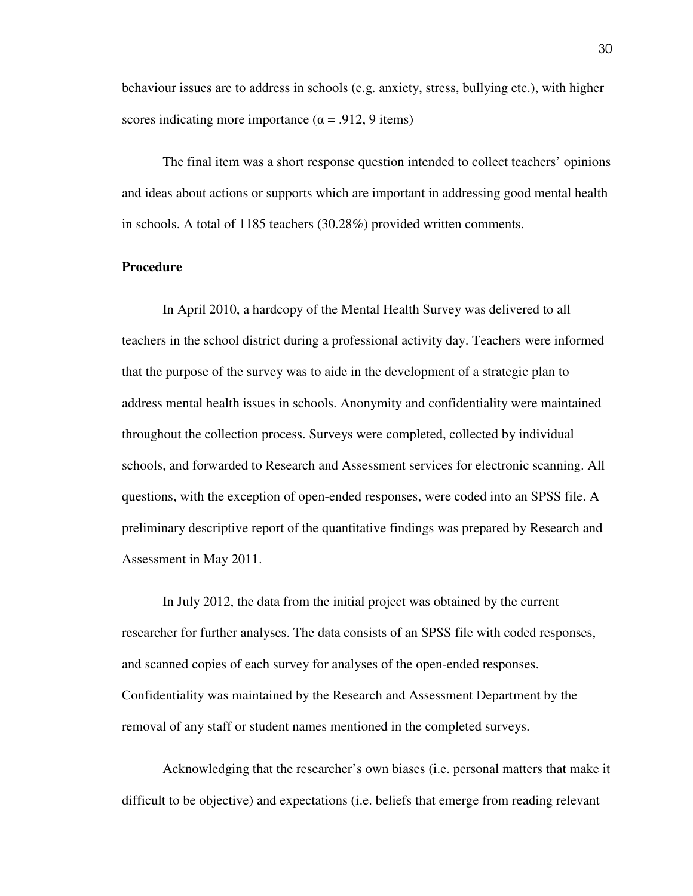behaviour issues are to address in schools (e.g. anxiety, stress, bullying etc.), with higher scores indicating more importance ( $\alpha$  = .912, 9 items)

The final item was a short response question intended to collect teachers' opinions and ideas about actions or supports which are important in addressing good mental health in schools. A total of 1185 teachers (30.28%) provided written comments.

### **Procedure**

 In April 2010, a hardcopy of the Mental Health Survey was delivered to all teachers in the school district during a professional activity day. Teachers were informed that the purpose of the survey was to aide in the development of a strategic plan to address mental health issues in schools. Anonymity and confidentiality were maintained throughout the collection process. Surveys were completed, collected by individual schools, and forwarded to Research and Assessment services for electronic scanning. All questions, with the exception of open-ended responses, were coded into an SPSS file. A preliminary descriptive report of the quantitative findings was prepared by Research and Assessment in May 2011.

 In July 2012, the data from the initial project was obtained by the current researcher for further analyses. The data consists of an SPSS file with coded responses, and scanned copies of each survey for analyses of the open-ended responses. Confidentiality was maintained by the Research and Assessment Department by the removal of any staff or student names mentioned in the completed surveys.

Acknowledging that the researcher's own biases (i.e. personal matters that make it difficult to be objective) and expectations (i.e. beliefs that emerge from reading relevant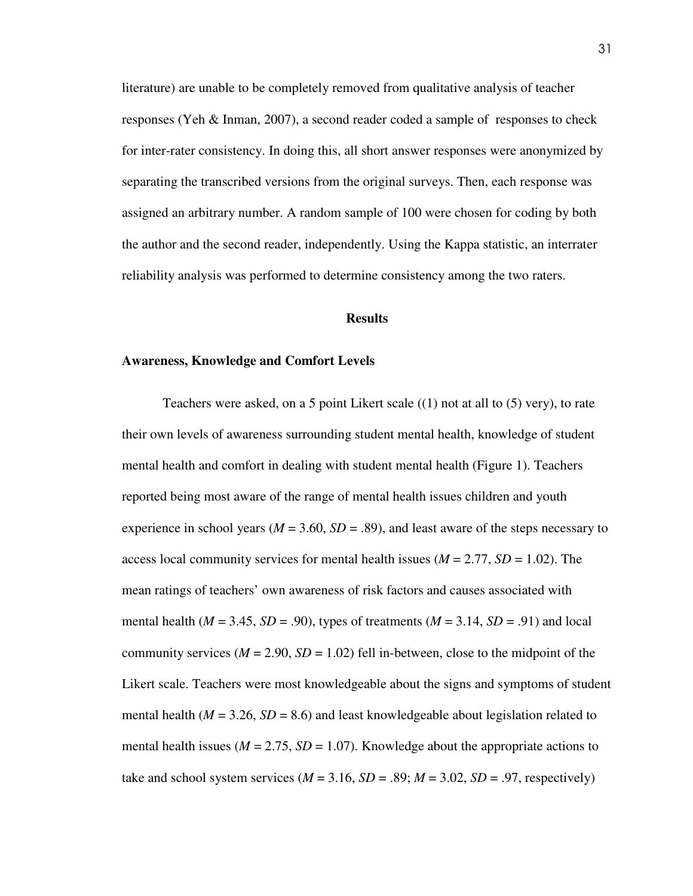literature) are unable to be completely removed from qualitative analysis of teacher responses (Yeh & Inman, 2007), a second reader coded a sample of responses to check for inter-rater consistency. In doing this, all short answer responses were anonymized by separating the transcribed versions from the original surveys. Then, each response was assigned an arbitrary number. A random sample of 100 were chosen for coding by both the author and the second reader, independently. Using the Kappa statistic, an interrater reliability analysis was performed to determine consistency among the two raters.

### **Results**

#### **Awareness, Knowledge and Comfort Levels**

Teachers were asked, on a 5 point Likert scale  $((1)$  not at all to  $(5)$  very), to rate their own levels of awareness surrounding student mental health, knowledge of student mental health and comfort in dealing with student mental health (Figure 1). Teachers reported being most aware of the range of mental health issues children and youth experience in school years ( $M = 3.60$ ,  $SD = .89$ ), and least aware of the steps necessary to access local community services for mental health issues ( $M = 2.77$ ,  $SD = 1.02$ ). The mean ratings of teachers' own awareness of risk factors and causes associated with mental health ( $M = 3.45$ ,  $SD = .90$ ), types of treatments ( $M = 3.14$ ,  $SD = .91$ ) and local community services  $(M = 2.90, SD = 1.02)$  fell in-between, close to the midpoint of the Likert scale. Teachers were most knowledgeable about the signs and symptoms of student mental health ( $M = 3.26$ ,  $SD = 8.6$ ) and least knowledgeable about legislation related to mental health issues ( $M = 2.75$ ,  $SD = 1.07$ ). Knowledge about the appropriate actions to take and school system services ( $M = 3.16$ ,  $SD = .89$ ;  $M = 3.02$ ,  $SD = .97$ , respectively)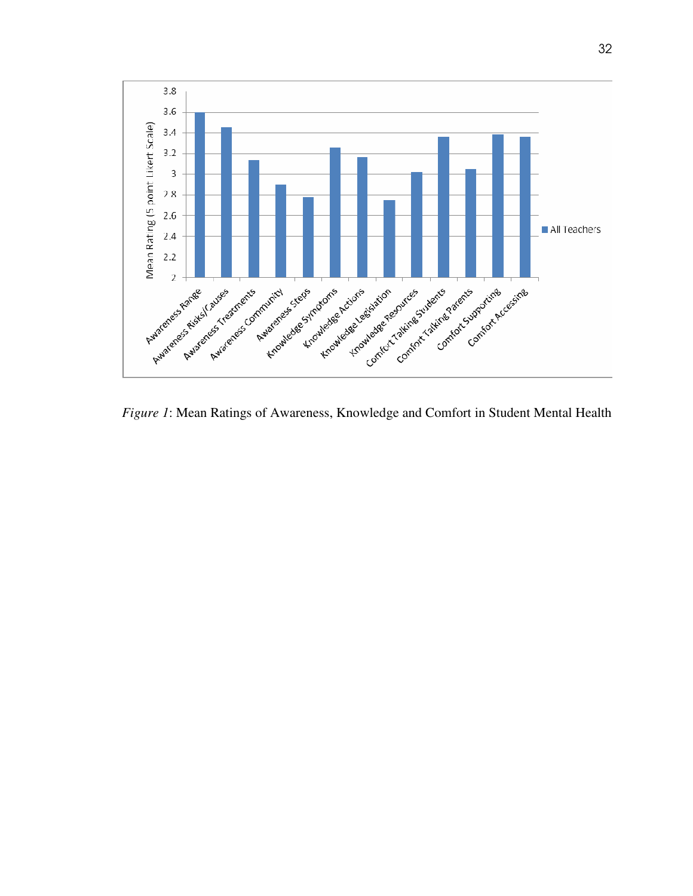

*Figure 1*: Mean Ratings of Awareness, Knowledge and Comfort in Student Mental Health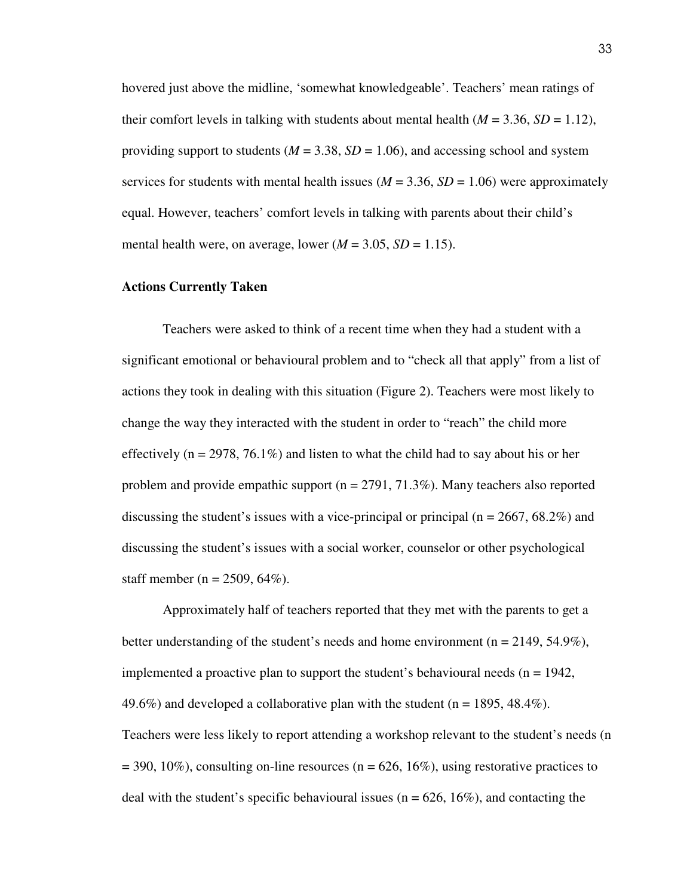hovered just above the midline, 'somewhat knowledgeable'. Teachers' mean ratings of their comfort levels in talking with students about mental health  $(M = 3.36, SD = 1.12)$ , providing support to students ( $M = 3.38$ ,  $SD = 1.06$ ), and accessing school and system services for students with mental health issues ( $M = 3.36$ ,  $SD = 1.06$ ) were approximately equal. However, teachers' comfort levels in talking with parents about their child's mental health were, on average, lower  $(M = 3.05, SD = 1.15)$ .

### **Actions Currently Taken**

 Teachers were asked to think of a recent time when they had a student with a significant emotional or behavioural problem and to "check all that apply" from a list of actions they took in dealing with this situation (Figure 2). Teachers were most likely to change the way they interacted with the student in order to "reach" the child more effectively ( $n = 2978, 76.1\%$ ) and listen to what the child had to say about his or her problem and provide empathic support (n = 2791, 71.3%). Many teachers also reported discussing the student's issues with a vice-principal or principal ( $n = 2667, 68.2\%$ ) and discussing the student's issues with a social worker, counselor or other psychological staff member ( $n = 2509, 64\%$ ).

 Approximately half of teachers reported that they met with the parents to get a better understanding of the student's needs and home environment ( $n = 2149, 54.9\%$ ), implemented a proactive plan to support the student's behavioural needs ( $n = 1942$ , 49.6%) and developed a collaborative plan with the student ( $n = 1895, 48.4\%$ ). Teachers were less likely to report attending a workshop relevant to the student's needs (n  $= 390, 10\%$ ), consulting on-line resources (n = 626, 16%), using restorative practices to deal with the student's specific behavioural issues ( $n = 626$ , 16%), and contacting the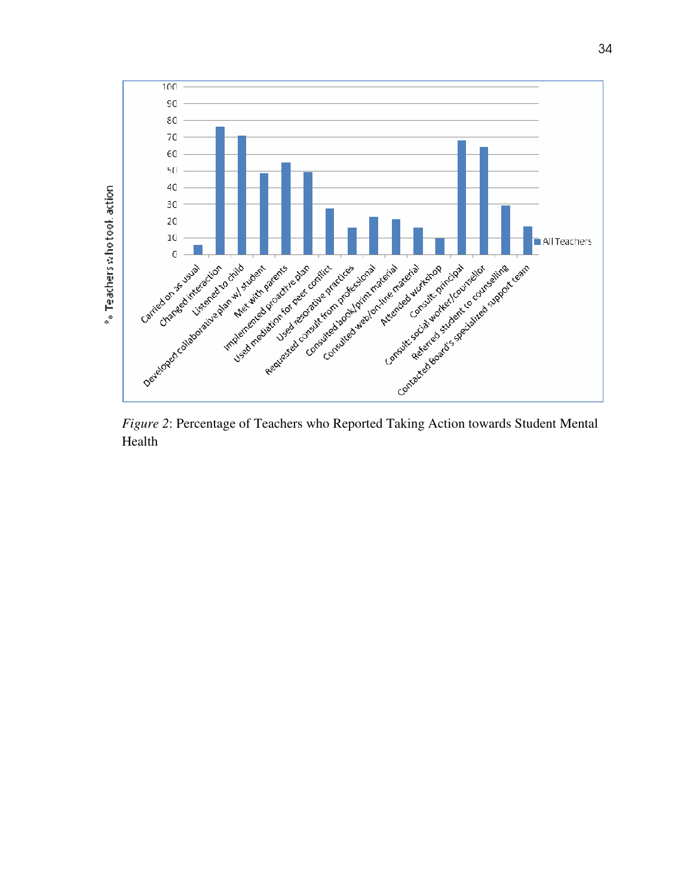

*Figure 2*: Percentage of Teachers who Reported Taking Action towards Student Mental Health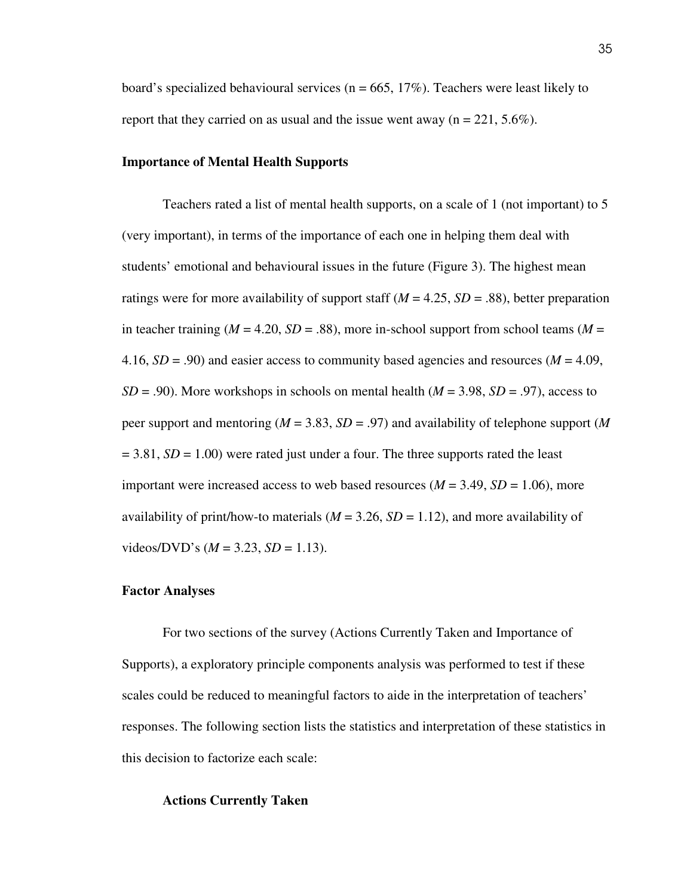board's specialized behavioural services ( $n = 665$ , 17%). Teachers were least likely to report that they carried on as usual and the issue went away ( $n = 221, 5.6\%$ ).

### **Importance of Mental Health Supports**

 Teachers rated a list of mental health supports, on a scale of 1 (not important) to 5 (very important), in terms of the importance of each one in helping them deal with students' emotional and behavioural issues in the future (Figure 3). The highest mean ratings were for more availability of support staff  $(M = 4.25, SD = .88)$ , better preparation in teacher training ( $M = 4.20$ ,  $SD = .88$ ), more in-school support from school teams ( $M =$ 4.16,  $SD = .90$ ) and easier access to community based agencies and resources ( $M = 4.09$ ,  $SD = .90$ ). More workshops in schools on mental health ( $M = 3.98$ ,  $SD = .97$ ), access to peer support and mentoring (*M* = 3.83, *SD* = .97) and availability of telephone support (*M*  $= 3.81, SD = 1.00$ ) were rated just under a four. The three supports rated the least important were increased access to web based resources  $(M = 3.49, SD = 1.06)$ , more availability of print/how-to materials  $(M = 3.26, SD = 1.12)$ , and more availability of  $videoS/DVD's (M = 3.23, SD = 1.13).$ 

#### **Factor Analyses**

 For two sections of the survey (Actions Currently Taken and Importance of Supports), a exploratory principle components analysis was performed to test if these scales could be reduced to meaningful factors to aide in the interpretation of teachers' responses. The following section lists the statistics and interpretation of these statistics in this decision to factorize each scale:

#### **Actions Currently Taken**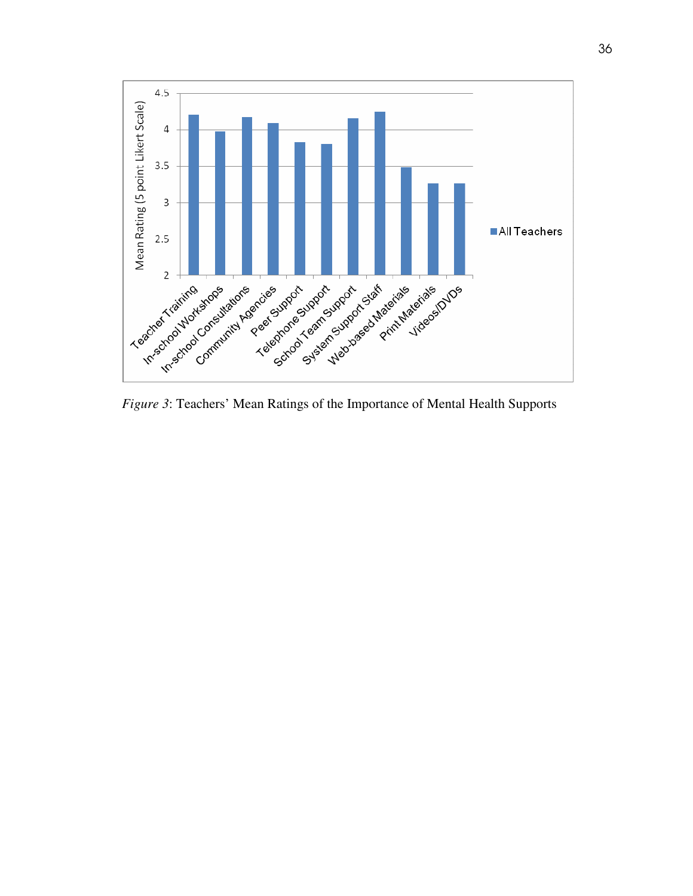

*Figure 3*: Teachers' Mean Ratings of the Importance of Mental Health Supports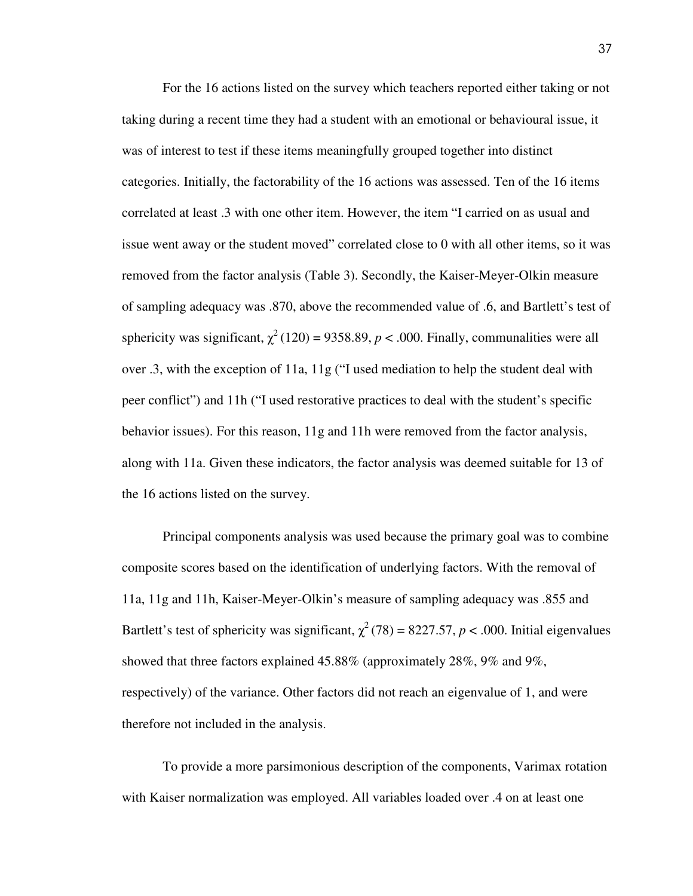For the 16 actions listed on the survey which teachers reported either taking or not taking during a recent time they had a student with an emotional or behavioural issue, it was of interest to test if these items meaningfully grouped together into distinct categories. Initially, the factorability of the 16 actions was assessed. Ten of the 16 items correlated at least .3 with one other item. However, the item "I carried on as usual and issue went away or the student moved" correlated close to 0 with all other items, so it was removed from the factor analysis (Table 3). Secondly, the Kaiser-Meyer-Olkin measure of sampling adequacy was .870, above the recommended value of .6, and Bartlett's test of sphericity was significant,  $\chi^2(120) = 9358.89$ ,  $p < .000$ . Finally, communalities were all over .3, with the exception of 11a, 11g ("I used mediation to help the student deal with peer conflict") and 11h ("I used restorative practices to deal with the student's specific behavior issues). For this reason, 11g and 11h were removed from the factor analysis, along with 11a. Given these indicators, the factor analysis was deemed suitable for 13 of the 16 actions listed on the survey.

 Principal components analysis was used because the primary goal was to combine composite scores based on the identification of underlying factors. With the removal of 11a, 11g and 11h, Kaiser-Meyer-Olkin's measure of sampling adequacy was .855 and Bartlett's test of sphericity was significant,  $\chi^2(78) = 8227.57$ ,  $p < .000$ . Initial eigenvalues showed that three factors explained 45.88% (approximately 28%, 9% and 9%, respectively) of the variance. Other factors did not reach an eigenvalue of 1, and were therefore not included in the analysis.

 To provide a more parsimonious description of the components, Varimax rotation with Kaiser normalization was employed. All variables loaded over .4 on at least one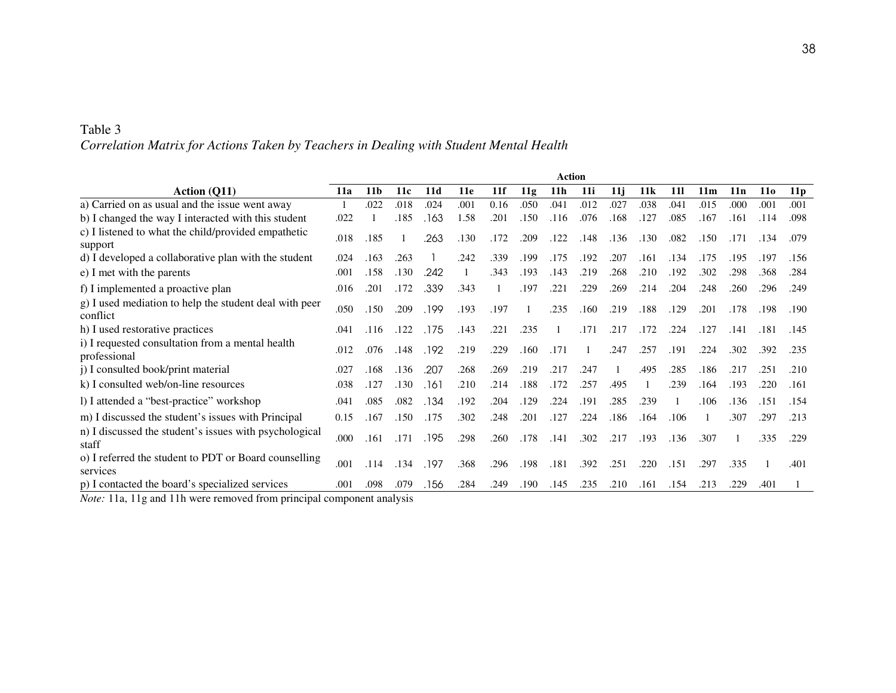| Table 3                                                                                |  |
|----------------------------------------------------------------------------------------|--|
| Correlation Matrix for Actions Taken by Teachers in Dealing with Student Mental Health |  |

|                                                                                                                             | Action     |                 |                      |       |      |      |      |                 |      |      |      |            |                 |      |            |                 |
|-----------------------------------------------------------------------------------------------------------------------------|------------|-----------------|----------------------|-------|------|------|------|-----------------|------|------|------|------------|-----------------|------|------------|-----------------|
| Action (Q11)                                                                                                                | <b>11a</b> | 11 <sub>b</sub> | 11c                  | 11d   | 11e  | 11f  | 11g  | 11 <sub>h</sub> | 11i  | 11i  | 11k  | <b>11l</b> | 11 <sub>m</sub> | 11n  | <b>110</b> | 11 <sub>p</sub> |
| a) Carried on as usual and the issue went away                                                                              |            | .022            | .018                 | .024  | .001 | 0.16 | .050 | .041            | .012 | .027 | .038 | .041       | .015            | .000 | .001       | .001            |
| b) I changed the way I interacted with this student                                                                         | .022       |                 | .185                 | .163  | 1.58 | .201 | .150 | .116            | .076 | .168 | .127 | .085       | .167            | .161 | .114       | .098            |
| c) I listened to what the child/provided empathetic<br>support                                                              | .018       | .185            |                      | .263  | .130 | .172 | .209 | .122            | .148 | .136 | .130 | .082       | .150            | .171 | .134       | .079            |
| d) I developed a collaborative plan with the student                                                                        | .024       | .163            | .263                 |       | .242 | .339 | .199 | .175            | .192 | .207 | .161 | .134       | .175            | .195 | .197       | .156            |
| e) I met with the parents                                                                                                   | .001       | .158            | .130                 | .242  |      | .343 | .193 | .143            | .219 | .268 | .210 | .192       | .302            | .298 | .368       | .284            |
| f) I implemented a proactive plan                                                                                           | .016       | .201            | .172                 | .339  | .343 |      | .197 | $.22^{\circ}$   | .229 | .269 | .214 | .204       | .248            | .260 | .296       | .249            |
| g) I used mediation to help the student deal with peer<br>conflict                                                          | .050       | .150            | .209                 | .199  | .193 | .197 |      | .235            | .160 | .219 | .188 | .129       | .201            | .178 | .198       | .190            |
| h) I used restorative practices                                                                                             | .041       | .116            | .122                 | .175  | .143 | .221 | .235 |                 | .171 | .217 | .172 | .224       | .127            | .141 | .181       | .145            |
| i) I requested consultation from a mental health<br>professional                                                            | .012       | .076            | .148                 | .192  | .219 | .229 | .160 | .171            |      | .247 | .257 | .191       | .224            | .302 | .392       | .235            |
| j) I consulted book/print material                                                                                          | .027       | .168            | .136                 | .207  | .268 | .269 | .219 | .217            | .247 |      | .495 | .285       | .186            | .217 | .251       | .210            |
| k) I consulted web/on-line resources                                                                                        | .038       | .127            | .130                 | . 161 | .210 | .214 | .188 | .172            | .257 | .495 |      | .239       | .164            | .193 | .220       | .161            |
| l) I attended a "best-practice" workshop                                                                                    | .041       | .085            | .082                 | .134  | .192 | .204 | .129 | .224            | .191 | .285 | .239 |            | .106            | .136 | .151       | .154            |
| m) I discussed the student's issues with Principal                                                                          | 0.15       | .167            | .150                 | .175  | .302 | .248 | .201 | .127            | .224 | .186 | .164 | .106       |                 | .307 | .297       | .213            |
| n) I discussed the student's issues with psychological<br>staff                                                             | .000       | .161            | .171                 | .195  | .298 | .260 | .178 | .141            | .302 | .217 | .193 | .136       | .307            |      | .335       | .229            |
| o) I referred the student to PDT or Board counselling<br>services                                                           | .001       | .114            | .134                 | .197  | .368 | .296 | .198 | .181            | .392 | .251 | .220 | .151       | .297            | .335 |            | .401            |
| p) I contacted the board's specialized services<br>$\cdot$ $\cdot$ $\cdot$ $\cdot$<br>$-4.4$ $-4.4$ $-$<br>1.4.41<br>$\sim$ | .001       | .098            | .079<br>$\mathbf{I}$ | .156  | .284 | .249 | .190 | .145            | .235 | .210 | .161 | .154       | .213            | .229 | .401       |                 |

*Note:* 11a, 11g and 11h were removed from principal component analysis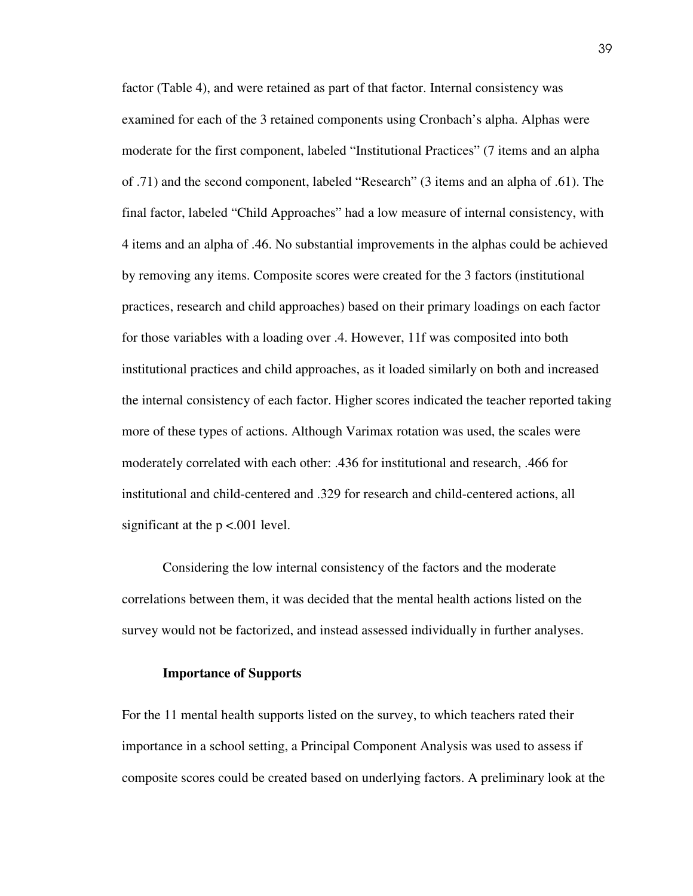factor (Table 4), and were retained as part of that factor. Internal consistency was examined for each of the 3 retained components using Cronbach's alpha. Alphas were moderate for the first component, labeled "Institutional Practices" (7 items and an alpha of .71) and the second component, labeled "Research" (3 items and an alpha of .61). The final factor, labeled "Child Approaches" had a low measure of internal consistency, with 4 items and an alpha of .46. No substantial improvements in the alphas could be achieved by removing any items. Composite scores were created for the 3 factors (institutional practices, research and child approaches) based on their primary loadings on each factor for those variables with a loading over .4. However, 11f was composited into both institutional practices and child approaches, as it loaded similarly on both and increased the internal consistency of each factor. Higher scores indicated the teacher reported taking more of these types of actions. Although Varimax rotation was used, the scales were moderately correlated with each other: .436 for institutional and research, .466 for institutional and child-centered and .329 for research and child-centered actions, all significant at the  $p < .001$  level.

 Considering the low internal consistency of the factors and the moderate correlations between them, it was decided that the mental health actions listed on the survey would not be factorized, and instead assessed individually in further analyses.

### **Importance of Supports**

For the 11 mental health supports listed on the survey, to which teachers rated their importance in a school setting, a Principal Component Analysis was used to assess if composite scores could be created based on underlying factors. A preliminary look at the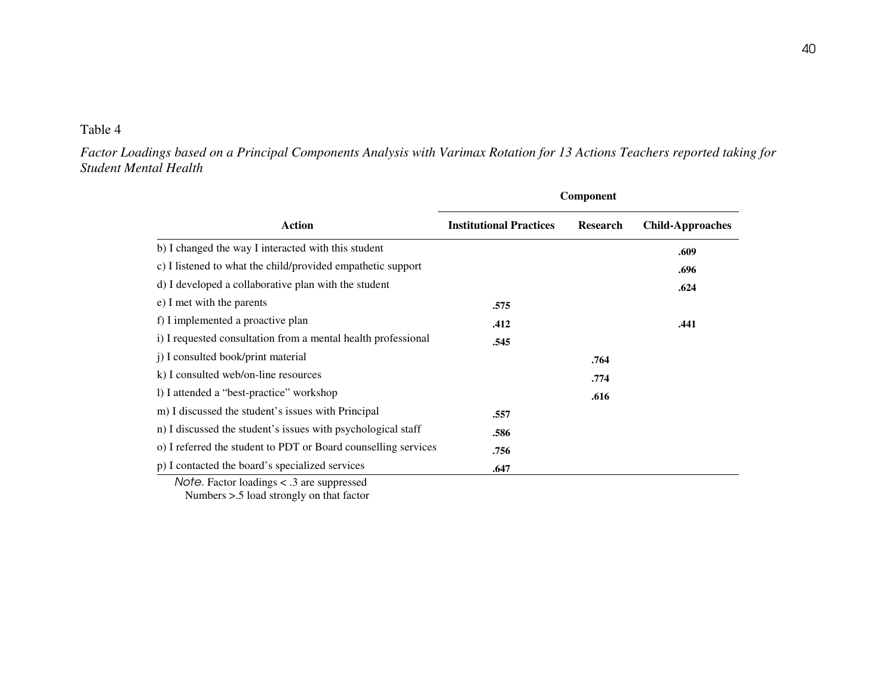*Factor Loadings based on a Principal Components Analysis with Varimax Rotation for 13 Actions Teachers reported taking for Student Mental Health* 

|                                                                |                                | Component       |                         |
|----------------------------------------------------------------|--------------------------------|-----------------|-------------------------|
| <b>Action</b>                                                  | <b>Institutional Practices</b> | <b>Research</b> | <b>Child-Approaches</b> |
| b) I changed the way I interacted with this student            |                                |                 | .609                    |
| c) I listened to what the child/provided empathetic support    |                                |                 | .696                    |
| d) I developed a collaborative plan with the student           |                                |                 | .624                    |
| e) I met with the parents                                      | .575                           |                 |                         |
| f) I implemented a proactive plan                              | .412                           |                 | .441                    |
| i) I requested consultation from a mental health professional  | .545                           |                 |                         |
| j) I consulted book/print material                             |                                | .764            |                         |
| k) I consulted web/on-line resources                           |                                | .774            |                         |
| 1) I attended a "best-practice" workshop                       |                                | .616            |                         |
| m) I discussed the student's issues with Principal             | .557                           |                 |                         |
| n) I discussed the student's issues with psychological staff   | .586                           |                 |                         |
| o) I referred the student to PDT or Board counselling services | .756                           |                 |                         |
| p) I contacted the board's specialized services                | .647                           |                 |                         |

Numbers >.5 load strongly on that factor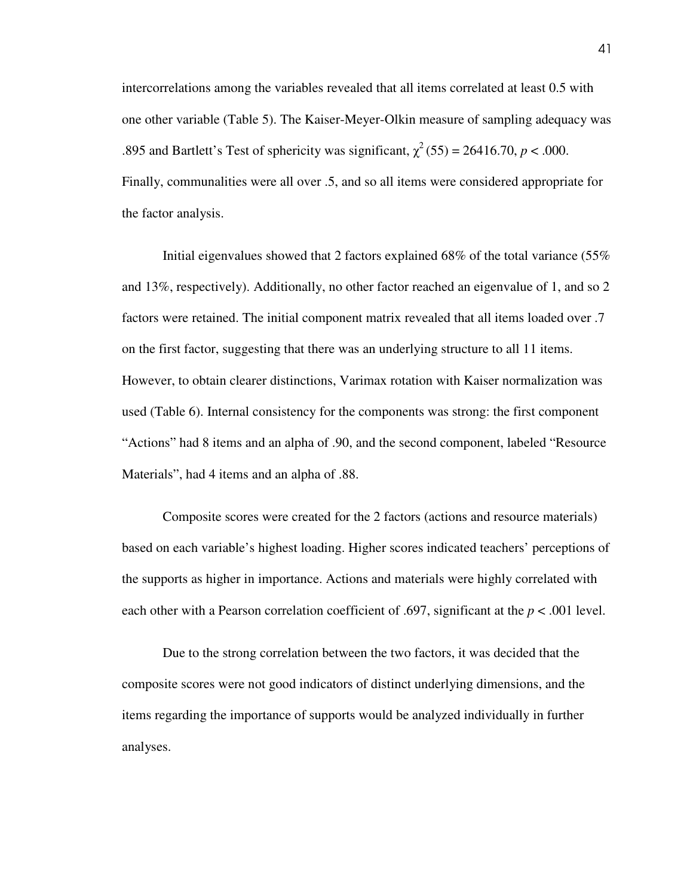intercorrelations among the variables revealed that all items correlated at least 0.5 with one other variable (Table 5). The Kaiser-Meyer-Olkin measure of sampling adequacy was .895 and Bartlett's Test of sphericity was significant,  $\chi^2$  (55) = 26416.70, *p* < .000. Finally, communalities were all over .5, and so all items were considered appropriate for the factor analysis.

 Initial eigenvalues showed that 2 factors explained 68% of the total variance (55% and 13%, respectively). Additionally, no other factor reached an eigenvalue of 1, and so 2 factors were retained. The initial component matrix revealed that all items loaded over .7 on the first factor, suggesting that there was an underlying structure to all 11 items. However, to obtain clearer distinctions, Varimax rotation with Kaiser normalization was used (Table 6). Internal consistency for the components was strong: the first component "Actions" had 8 items and an alpha of .90, and the second component, labeled "Resource Materials", had 4 items and an alpha of .88.

 Composite scores were created for the 2 factors (actions and resource materials) based on each variable's highest loading. Higher scores indicated teachers' perceptions of the supports as higher in importance. Actions and materials were highly correlated with each other with a Pearson correlation coefficient of .697, significant at the *p* < .001 level.

Due to the strong correlation between the two factors, it was decided that the composite scores were not good indicators of distinct underlying dimensions, and the items regarding the importance of supports would be analyzed individually in further analyses.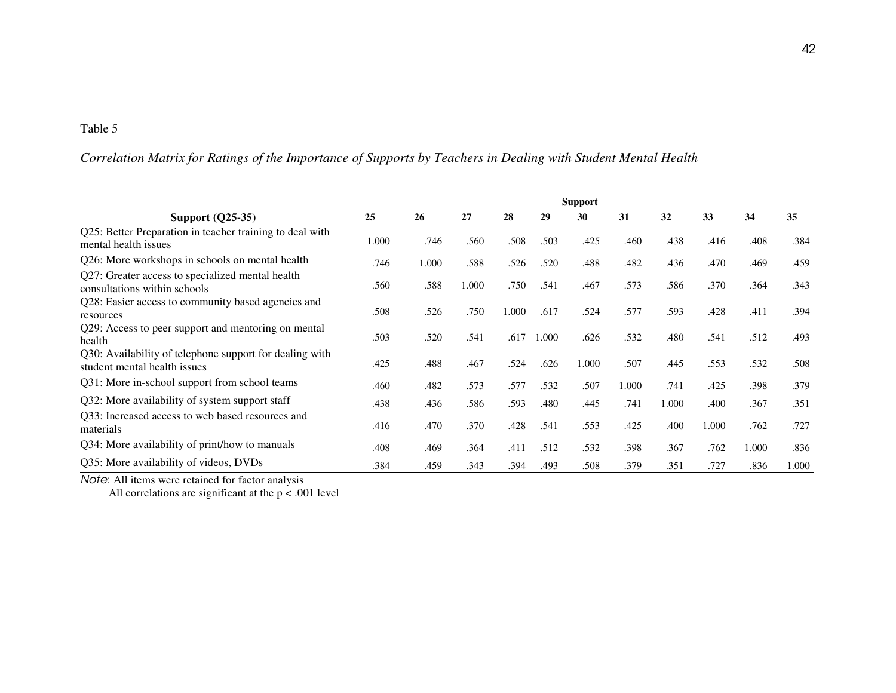## *Correlation Matrix for Ratings of the Importance of Supports by Teachers in Dealing with Student Mental Health*

|                                                                                         |       |       |       |       |       | <b>Support</b> |       |       |       |       |       |
|-----------------------------------------------------------------------------------------|-------|-------|-------|-------|-------|----------------|-------|-------|-------|-------|-------|
| <b>Support (Q25-35)</b>                                                                 | 25    | 26    | 27    | 28    | 29    | 30             | 31    | 32    | 33    | 34    | 35    |
| Q25: Better Preparation in teacher training to deal with<br>mental health issues        | 1.000 | .746  | .560  | .508  | .503  | .425           | .460  | .438  | .416  | .408  | .384  |
| Q26: More workshops in schools on mental health                                         | .746  | 1.000 | .588  | .526  | .520  | .488           | .482  | .436  | .470  | .469  | .459  |
| Q27: Greater access to specialized mental health<br>consultations within schools        | .560  | .588  | 1.000 | .750  | .541  | .467           | .573  | .586  | .370  | .364  | .343  |
| Q28: Easier access to community based agencies and<br>resources                         | .508  | .526  | .750  | 1.000 | .617  | .524           | .577  | .593  | .428  | .411  | .394  |
| Q29: Access to peer support and mentoring on mental<br>health                           | .503  | .520  | .541  | .617  | 1.000 | .626           | .532  | .480  | .541  | .512  | .493  |
| Q30: Availability of telephone support for dealing with<br>student mental health issues | .425  | .488  | .467  | .524  | .626  | 1.000          | .507  | .445  | .553  | .532  | .508  |
| Q31: More in-school support from school teams                                           | .460  | .482  | .573  | .577  | .532  | .507           | 1.000 | .741  | .425  | .398  | .379  |
| Q32: More availability of system support staff                                          | .438  | .436  | .586  | .593  | .480  | .445           | .741  | 1.000 | .400  | .367  | .351  |
| Q33: Increased access to web based resources and<br>materials                           | .416  | .470  | .370  | .428  | .541  | .553           | .425  | .400  | 1.000 | .762  | .727  |
| Q34: More availability of print/how to manuals                                          | .408  | .469  | .364  | .411  | .512  | .532           | .398  | .367  | .762  | 1.000 | .836  |
| Q35: More availability of videos, DVDs                                                  | .384  | .459  | .343  | .394  | .493  | .508           | .379  | .351  | .727  | .836  | 1.000 |

Note: All items were retained for factor analysis<br>All correlations are significant at the  $p < .001$  level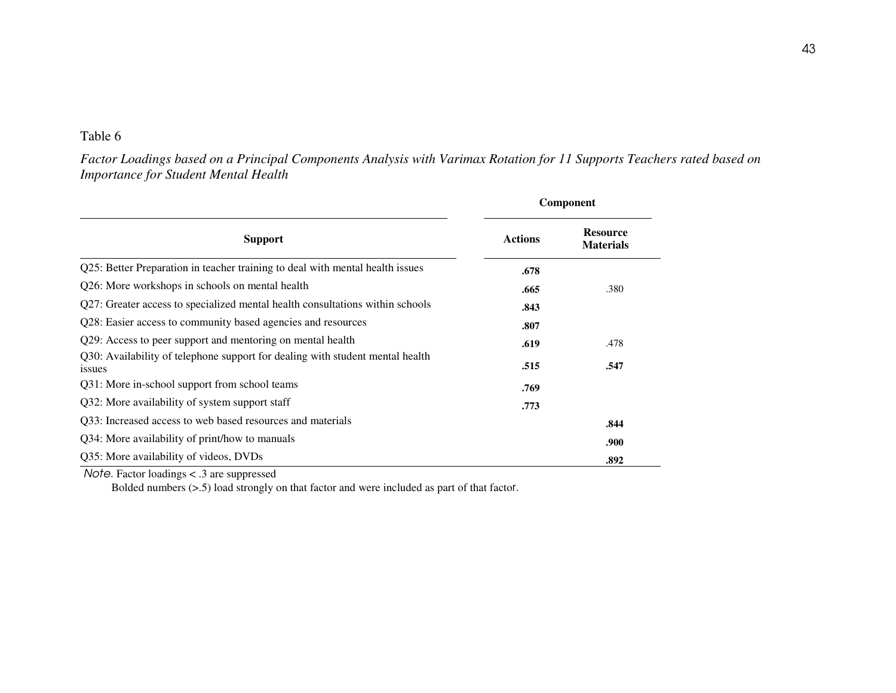*Factor Loadings based on a Principal Components Analysis with Varimax Rotation for 11 Supports Teachers rated based on Importance for Student Mental Health* 

|                                                                                         |                | Component                           |
|-----------------------------------------------------------------------------------------|----------------|-------------------------------------|
| <b>Support</b>                                                                          | <b>Actions</b> | <b>Resource</b><br><b>Materials</b> |
| Q25: Better Preparation in teacher training to deal with mental health issues           | .678           |                                     |
| Q26: More workshops in schools on mental health                                         | .665           | .380                                |
| Q27: Greater access to specialized mental health consultations within schools           | .843           |                                     |
| Q28: Easier access to community based agencies and resources                            | .807           |                                     |
| Q29: Access to peer support and mentoring on mental health                              | .619           | .478                                |
| Q30: Availability of telephone support for dealing with student mental health<br>issues | .515           | .547                                |
| Q31: More in-school support from school teams                                           | .769           |                                     |
| Q32: More availability of system support staff                                          | .773           |                                     |
| Q33: Increased access to web based resources and materials                              |                | .844                                |
| Q34: More availability of print/how to manuals                                          |                | .900                                |
| Q35: More availability of videos, DVDs                                                  |                | .892                                |

Note. Factor loadings < .3 are suppressed

Bolded numbers (>.5) load strongly on that factor and were included as part of that factor.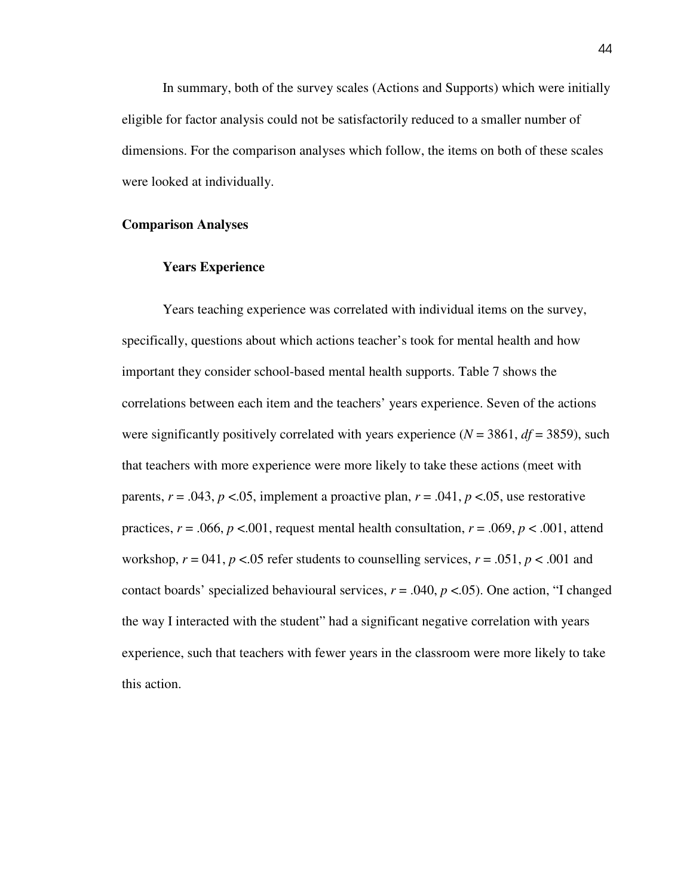In summary, both of the survey scales (Actions and Supports) which were initially eligible for factor analysis could not be satisfactorily reduced to a smaller number of dimensions. For the comparison analyses which follow, the items on both of these scales were looked at individually.

### **Comparison Analyses**

### **Years Experience**

 Years teaching experience was correlated with individual items on the survey, specifically, questions about which actions teacher's took for mental health and how important they consider school-based mental health supports. Table 7 shows the correlations between each item and the teachers' years experience. Seven of the actions were significantly positively correlated with years experience ( $N = 3861$ ,  $df = 3859$ ), such that teachers with more experience were more likely to take these actions (meet with parents,  $r = .043$ ,  $p < .05$ , implement a proactive plan,  $r = .041$ ,  $p < .05$ , use restorative practices,  $r = .066$ ,  $p < .001$ , request mental health consultation,  $r = .069$ ,  $p < .001$ , attend workshop,  $r = 041$ ,  $p < 0.05$  refer students to counselling services,  $r = .051$ ,  $p < .001$  and contact boards' specialized behavioural services, *r* = .040, *p* <.05). One action, "I changed the way I interacted with the student" had a significant negative correlation with years experience, such that teachers with fewer years in the classroom were more likely to take this action.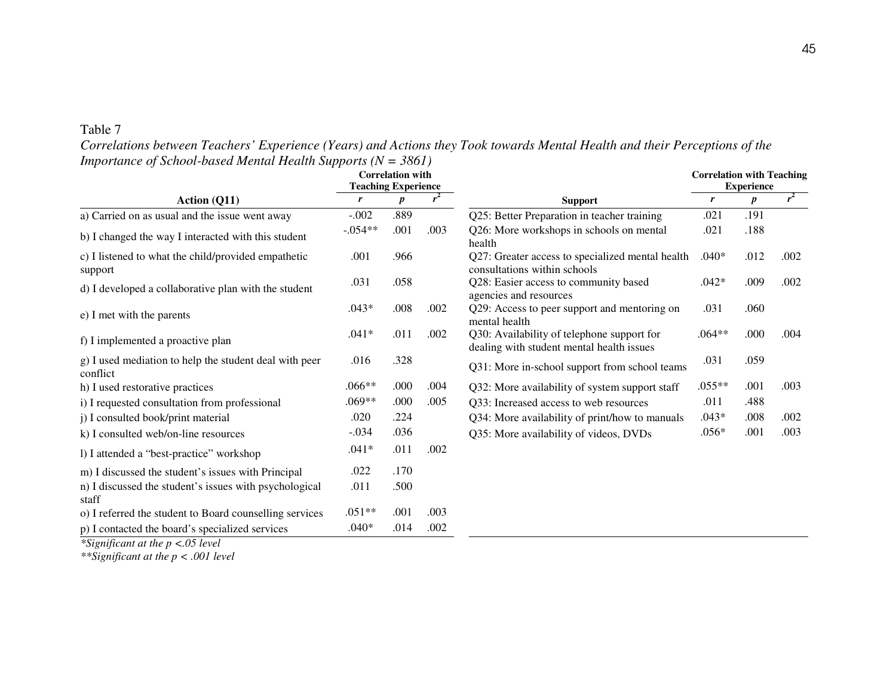| Correlations between Teachers' Experience (Years) and Actions they Took towards Mental Health and their Perceptions of the |  |  |  |  |  |
|----------------------------------------------------------------------------------------------------------------------------|--|--|--|--|--|
| <i>Importance of School-based Mental Health Supports (<math>N = 3861</math>)</i>                                           |  |  |  |  |  |

|                                                                    | <b>Correlation with</b><br><b>Teaching Experience</b> |                  |      |                                                                                         | <b>Correlation with Teaching</b><br><b>Experience</b> |                  |       |  |
|--------------------------------------------------------------------|-------------------------------------------------------|------------------|------|-----------------------------------------------------------------------------------------|-------------------------------------------------------|------------------|-------|--|
| Action (Q11)                                                       | r                                                     | $\boldsymbol{p}$ |      | <b>Support</b>                                                                          | r                                                     | $\boldsymbol{p}$ | $r^2$ |  |
| a) Carried on as usual and the issue went away                     | $-.002$                                               | .889             |      | Q25: Better Preparation in teacher training                                             | .021                                                  | .191             |       |  |
| b) I changed the way I interacted with this student                | $-.054**$                                             | .001             | .003 | Q26: More workshops in schools on mental<br>health                                      | .021                                                  | .188             |       |  |
| c) I listened to what the child/provided empathetic<br>support     | .001                                                  | .966             |      | Q27: Greater access to specialized mental health<br>consultations within schools        | $.040*$                                               | .012             | .002  |  |
| d) I developed a collaborative plan with the student               | .031                                                  | .058             |      | Q28: Easier access to community based<br>agencies and resources                         | $.042*$                                               | .009             | .002  |  |
| e) I met with the parents                                          | $.043*$                                               | .008             | .002 | Q29: Access to peer support and mentoring on<br>mental health                           | .031                                                  | .060             |       |  |
| f) I implemented a proactive plan                                  | $.041*$                                               | .011             | .002 | Q30: Availability of telephone support for<br>dealing with student mental health issues | $.064**$                                              | .000             | .004  |  |
| g) I used mediation to help the student deal with peer<br>conflict | .016                                                  | .328             |      | Q31: More in-school support from school teams                                           | .031                                                  | .059             |       |  |
| h) I used restorative practices                                    | $.066**$                                              | .000             | .004 | Q32: More availability of system support staff                                          | $.055**$                                              | .001             | .003  |  |
| i) I requested consultation from professional                      | $.069**$                                              | .000             | .005 | Q33: Increased access to web resources                                                  | .011                                                  | .488             |       |  |
| j) I consulted book/print material                                 | .020                                                  | .224             |      | Q34: More availability of print/how to manuals                                          | $.043*$                                               | .008             | .002  |  |
| k) I consulted web/on-line resources                               | $-.034$                                               | .036             |      | Q35: More availability of videos, DVDs                                                  | $.056*$                                               | .001             | .003  |  |
| l) I attended a "best-practice" workshop                           | $.041*$                                               | .011             | .002 |                                                                                         |                                                       |                  |       |  |
| m) I discussed the student's issues with Principal                 | .022                                                  | .170             |      |                                                                                         |                                                       |                  |       |  |
| n) I discussed the student's issues with psychological<br>staff    | .011                                                  | .500             |      |                                                                                         |                                                       |                  |       |  |
| o) I referred the student to Board counselling services            | $.051**$                                              | .001             | .003 |                                                                                         |                                                       |                  |       |  |
| p) I contacted the board's specialized services                    | $.040*$                                               | .014             | .002 |                                                                                         |                                                       |                  |       |  |

*\*Significant at the p <.05 level \*\*Significant at the p < .001 level*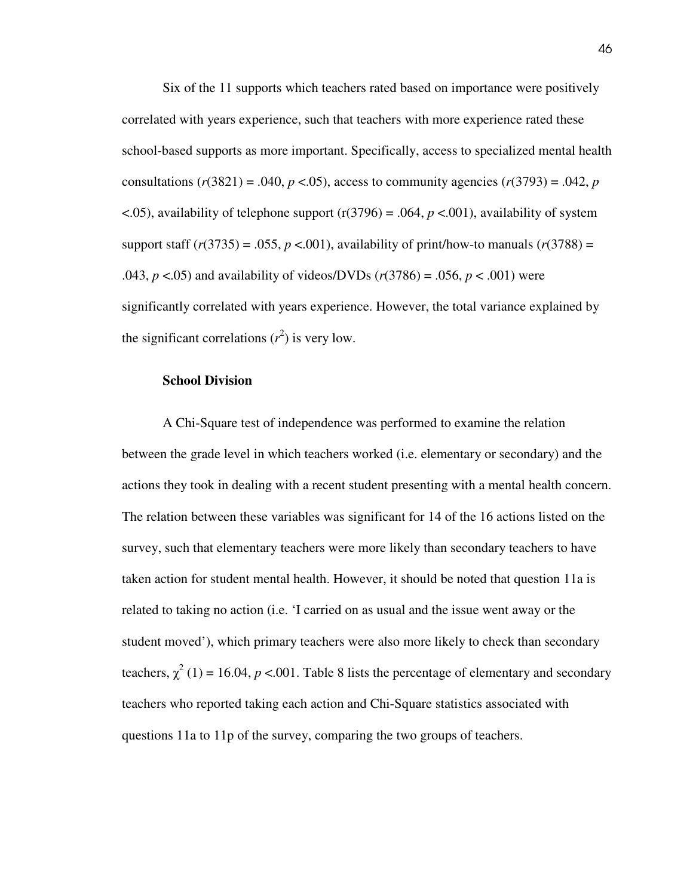Six of the 11 supports which teachers rated based on importance were positively correlated with years experience, such that teachers with more experience rated these school-based supports as more important. Specifically, access to specialized mental health consultations  $(r(3821) = .040, p < .05)$ , access to community agencies  $(r(3793) = .042, p$  $\langle 0.05 \rangle$ , availability of telephone support (r(3796) = .064, *p* <.001), availability of system support staff  $(r(3735) = .055, p < .001)$ , availability of print/how-to manuals  $(r(3788)) =$ .043,  $p < .05$ ) and availability of videos/DVDs ( $r(3786) = .056$ ,  $p < .001$ ) were significantly correlated with years experience. However, the total variance explained by the significant correlations  $(r^2)$  is very low.

#### **School Division**

A Chi-Square test of independence was performed to examine the relation between the grade level in which teachers worked (i.e. elementary or secondary) and the actions they took in dealing with a recent student presenting with a mental health concern. The relation between these variables was significant for 14 of the 16 actions listed on the survey, such that elementary teachers were more likely than secondary teachers to have taken action for student mental health. However, it should be noted that question 11a is related to taking no action (i.e. 'I carried on as usual and the issue went away or the student moved'), which primary teachers were also more likely to check than secondary teachers,  $\chi^2$  (1) = 16.04, *p* <.001. Table 8 lists the percentage of elementary and secondary teachers who reported taking each action and Chi-Square statistics associated with questions 11a to 11p of the survey, comparing the two groups of teachers.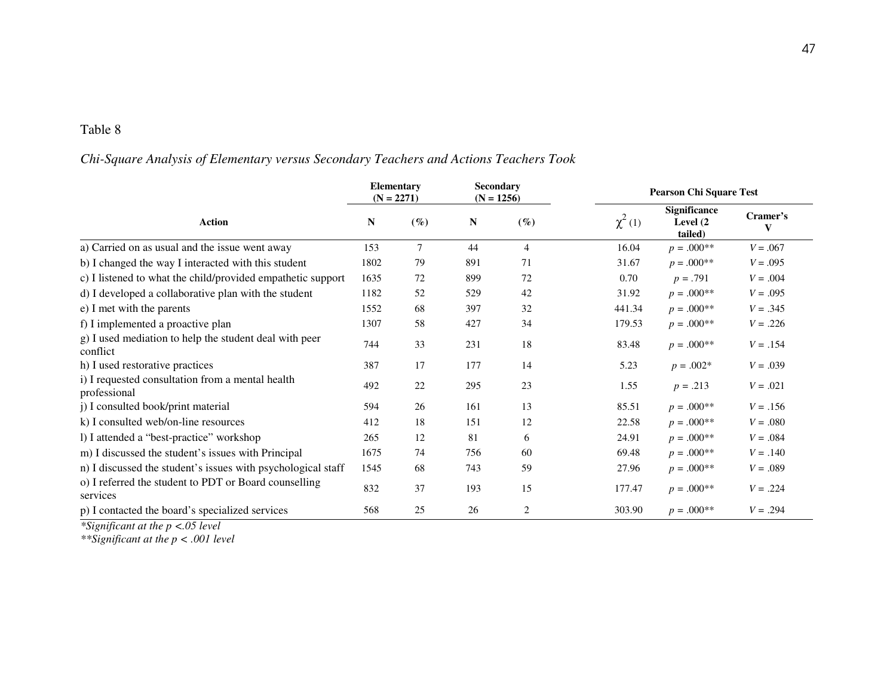# *Chi-Square Analysis of Elementary versus Secondary Teachers and Actions Teachers Took*

|                                                                    | <b>Elementary</b><br>$(N = 2271)$ |        | Secondary<br>$(N = 1256)$ |                | <b>Pearson Chi Square Test</b> |                                             |            |  |  |
|--------------------------------------------------------------------|-----------------------------------|--------|---------------------------|----------------|--------------------------------|---------------------------------------------|------------|--|--|
| <b>Action</b>                                                      | N                                 | $(\%)$ | N                         | $(\%)$         | $\chi^2(1)$                    | <b>Significance</b><br>Level (2)<br>tailed) | Cramer's   |  |  |
| a) Carried on as usual and the issue went away                     | 153                               | 7      | 44                        | $\overline{4}$ | 16.04                          | $p = .000**$                                | $V = .067$ |  |  |
| b) I changed the way I interacted with this student                | 1802                              | 79     | 891                       | 71             | 31.67                          | $p = .000**$                                | $V = .095$ |  |  |
| c) I listened to what the child/provided empathetic support        | 1635                              | 72     | 899                       | 72             | 0.70                           | $p = .791$                                  | $V = .004$ |  |  |
| d) I developed a collaborative plan with the student               | 1182                              | 52     | 529                       | 42             | 31.92                          | $p = .000**$                                | $V = .095$ |  |  |
| e) I met with the parents                                          | 1552                              | 68     | 397                       | 32             | 441.34                         | $p = .000**$                                | $V = .345$ |  |  |
| f) I implemented a proactive plan                                  | 1307                              | 58     | 427                       | 34             | 179.53                         | $p = .000**$                                | $V = .226$ |  |  |
| g) I used mediation to help the student deal with peer<br>conflict | 744                               | 33     | 231                       | 18             | 83.48                          | $p = .000**$                                | $V = .154$ |  |  |
| h) I used restorative practices                                    | 387                               | 17     | 177                       | 14             | 5.23                           | $p = .002*$                                 | $V = .039$ |  |  |
| i) I requested consultation from a mental health<br>professional   | 492                               | 22     | 295                       | 23             | 1.55                           | $p = .213$                                  | $V = .021$ |  |  |
| j) I consulted book/print material                                 | 594                               | 26     | 161                       | 13             | 85.51                          | $p = .000**$                                | $V = .156$ |  |  |
| k) I consulted web/on-line resources                               | 412                               | 18     | 151                       | 12             | 22.58                          | $p = .000**$                                | $V = .080$ |  |  |
| l) I attended a "best-practice" workshop                           | 265                               | 12     | 81                        | 6              | 24.91                          | $p = .000**$                                | $V = .084$ |  |  |
| m) I discussed the student's issues with Principal                 | 1675                              | 74     | 756                       | 60             | 69.48                          | $p = .000**$                                | $V = .140$ |  |  |
| n) I discussed the student's issues with psychological staff       | 1545                              | 68     | 743                       | 59             | 27.96                          | $p = .000**$                                | $V = .089$ |  |  |
| o) I referred the student to PDT or Board counselling<br>services  | 832                               | 37     | 193                       | 15             | 177.47                         | $p = .000**$                                | $V = .224$ |  |  |
| p) I contacted the board's specialized services                    | 568                               | 25     | 26                        | 2              | 303.90                         | $p = .000**$                                | $V = .294$ |  |  |

*\*Significant at the p <.05 level \*\*Significant at the p < .001 level*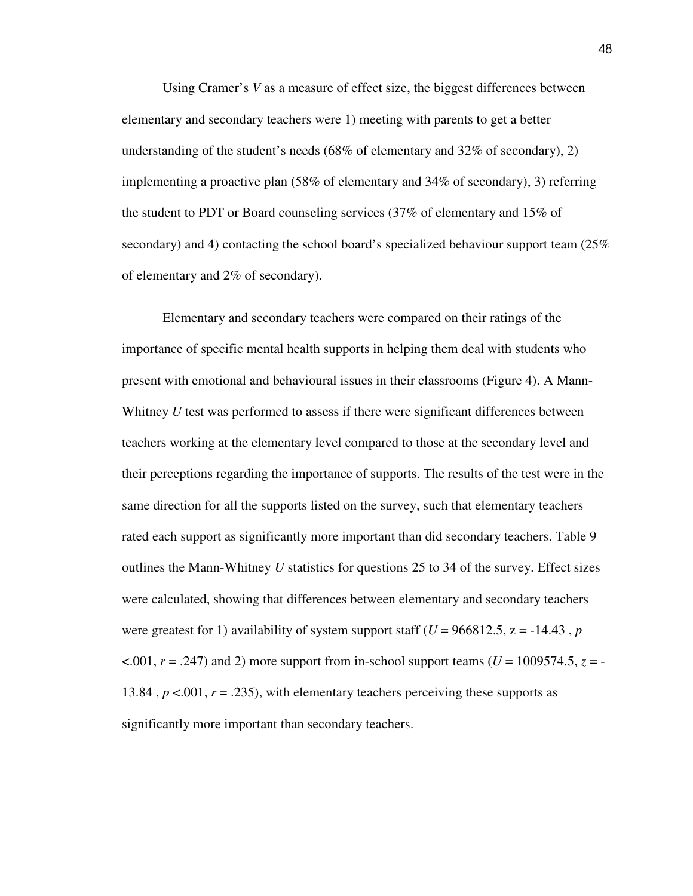Using Cramer's *V* as a measure of effect size, the biggest differences between elementary and secondary teachers were 1) meeting with parents to get a better understanding of the student's needs (68% of elementary and 32% of secondary), 2) implementing a proactive plan (58% of elementary and 34% of secondary), 3) referring the student to PDT or Board counseling services (37% of elementary and 15% of secondary) and 4) contacting the school board's specialized behaviour support team (25% of elementary and 2% of secondary).

Elementary and secondary teachers were compared on their ratings of the importance of specific mental health supports in helping them deal with students who present with emotional and behavioural issues in their classrooms (Figure 4). A Mann-Whitney *U* test was performed to assess if there were significant differences between teachers working at the elementary level compared to those at the secondary level and their perceptions regarding the importance of supports. The results of the test were in the same direction for all the supports listed on the survey, such that elementary teachers rated each support as significantly more important than did secondary teachers. Table 9 outlines the Mann-Whitney *U* statistics for questions 25 to 34 of the survey. Effect sizes were calculated, showing that differences between elementary and secondary teachers were greatest for 1) availability of system support staff ( $U = 966812.5$ ,  $z = -14.43$ , *p*  $\leq$ .001,  $r = .247$ ) and 2) more support from in-school support teams (*U* = 1009574.5, *z* = -13.84,  $p < 0.001$ ,  $r = .235$ ), with elementary teachers perceiving these supports as significantly more important than secondary teachers.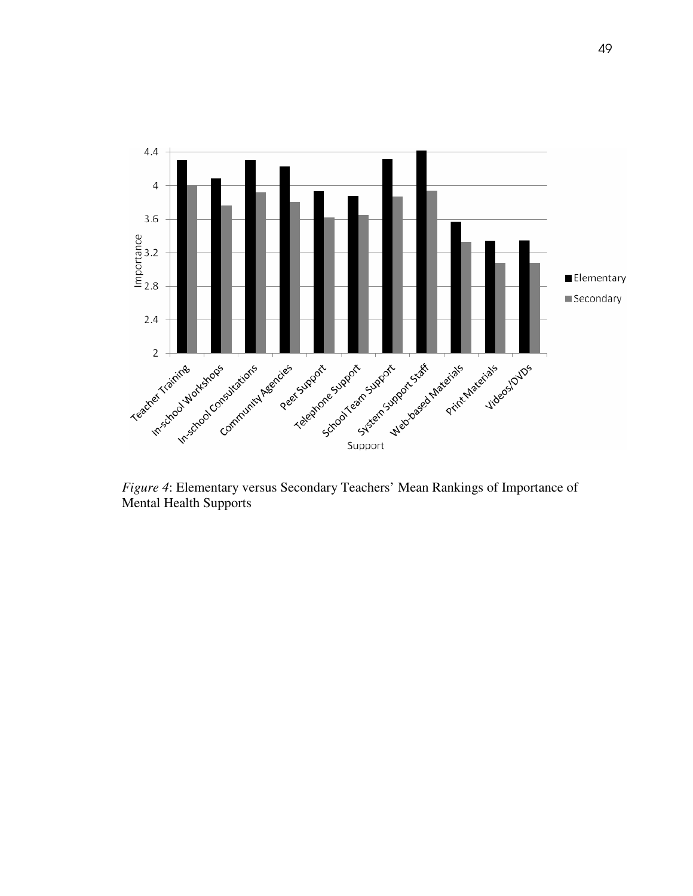

Mental Health Supports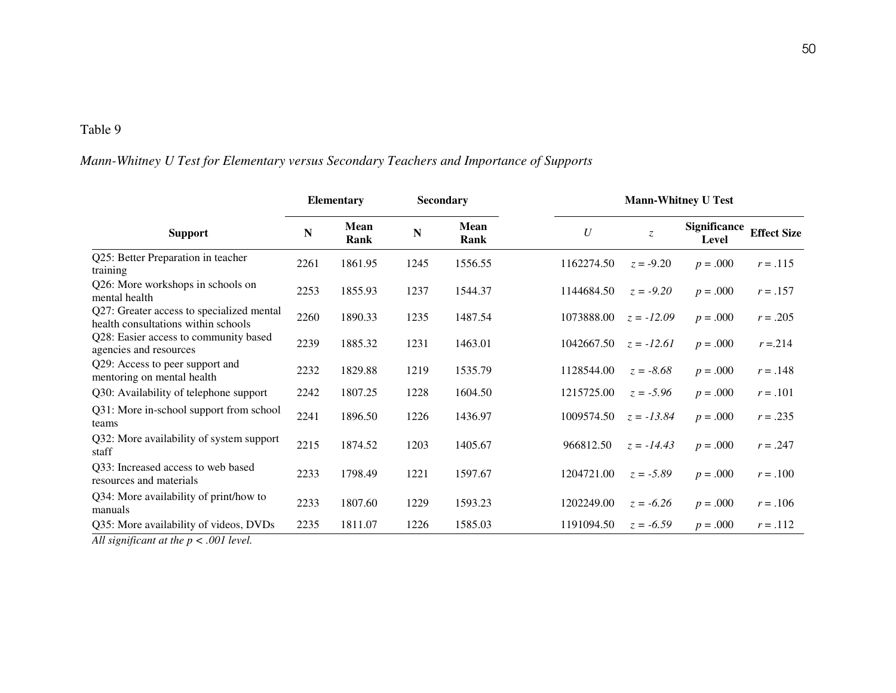## *Mann-Whitney U Test for Elementary versus Secondary Teachers and Importance of Supports*

|                                                                                  |      | <b>Elementary</b> | <b>Secondary</b> |              |            |               | <b>Mann-Whitney U Test</b>   |                    |  |
|----------------------------------------------------------------------------------|------|-------------------|------------------|--------------|------------|---------------|------------------------------|--------------------|--|
| <b>Support</b>                                                                   | N    | Mean<br>Rank      | $\mathbf N$      | Mean<br>Rank | U          | $\mathcal{Z}$ | <b>Significance</b><br>Level | <b>Effect Size</b> |  |
| Q25: Better Preparation in teacher<br>training                                   | 2261 | 1861.95           | 1245             | 1556.55      | 1162274.50 | $z = -9.20$   | $p = .000$                   | $r = .115$         |  |
| Q26: More workshops in schools on<br>mental health                               | 2253 | 1855.93           | 1237             | 1544.37      | 1144684.50 | $z = -9.20$   | $p = .000$                   | $r = .157$         |  |
| Q27: Greater access to specialized mental<br>health consultations within schools | 2260 | 1890.33           | 1235             | 1487.54      | 1073888.00 | $z = -12.09$  | $p = .000$                   | $r = .205$         |  |
| Q28: Easier access to community based<br>agencies and resources                  | 2239 | 1885.32           | 1231             | 1463.01      | 1042667.50 | $z = -12.61$  | $p = .000$                   | $r = 214$          |  |
| Q29: Access to peer support and<br>mentoring on mental health                    | 2232 | 1829.88           | 1219             | 1535.79      | 1128544.00 | $z = -8.68$   | $p = .000$                   | $r = .148$         |  |
| Q30: Availability of telephone support                                           | 2242 | 1807.25           | 1228             | 1604.50      | 1215725.00 | $z = -5.96$   | $p = .000$                   | $r = .101$         |  |
| Q31: More in-school support from school<br>teams                                 | 2241 | 1896.50           | 1226             | 1436.97      | 1009574.50 | $z = -13.84$  | $p = .000$                   | $r = .235$         |  |
| Q32: More availability of system support<br>staff                                | 2215 | 1874.52           | 1203             | 1405.67      | 966812.50  | $z = -14.43$  | $p = .000$                   | $r = .247$         |  |
| Q33: Increased access to web based<br>resources and materials                    | 2233 | 1798.49           | 1221             | 1597.67      | 1204721.00 | $z = -5.89$   | $p = .000$                   | $r = .100$         |  |
| Q34: More availability of print/how to<br>manuals                                | 2233 | 1807.60           | 1229             | 1593.23      | 1202249.00 | $z = -6.26$   | $p = .000$                   | $r = .106$         |  |
| Q35: More availability of videos, DVDs                                           | 2235 | 1811.07           | 1226             | 1585.03      | 1191094.50 | $z = -6.59$   | $p = .000$                   | $r = .112$         |  |
| All significant at the $p < .001$ level.                                         |      |                   |                  |              |            |               |                              |                    |  |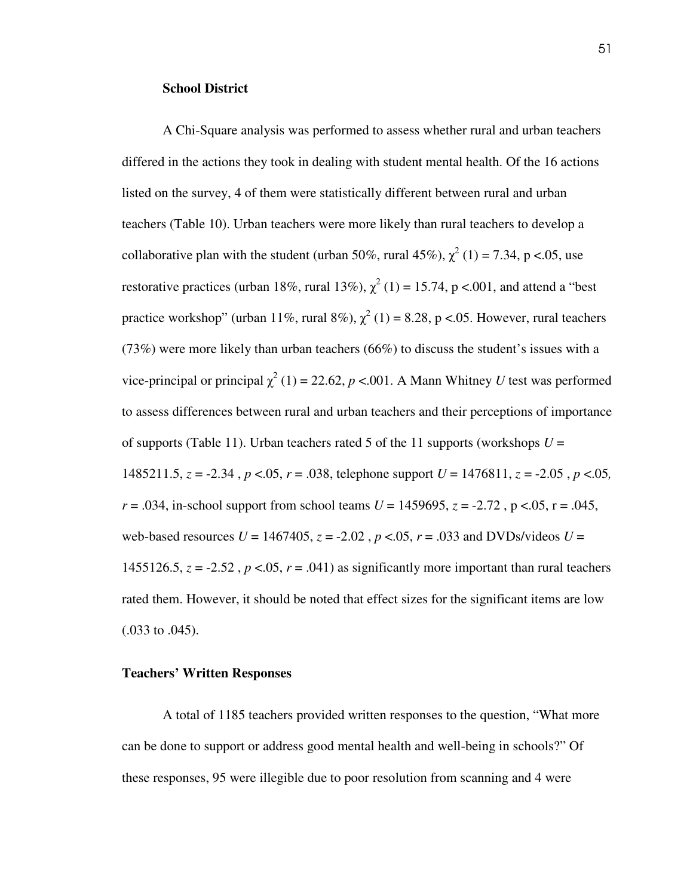#### **School District**

A Chi-Square analysis was performed to assess whether rural and urban teachers differed in the actions they took in dealing with student mental health. Of the 16 actions listed on the survey, 4 of them were statistically different between rural and urban teachers (Table 10). Urban teachers were more likely than rural teachers to develop a collaborative plan with the student (urban 50%, rural 45%),  $\chi^2$  (1) = 7.34, p <.05, use restorative practices (urban 18%, rural 13%),  $\chi^2$  (1) = 15.74, p <.001, and attend a "best practice workshop" (urban 11%, rural 8%),  $\chi^2$  (1) = 8.28, p <.05. However, rural teachers (73%) were more likely than urban teachers (66%) to discuss the student's issues with a vice-principal or principal  $\chi^2$  (1) = 22.62, *p* <.001. A Mann Whitney *U* test was performed to assess differences between rural and urban teachers and their perceptions of importance of supports (Table 11). Urban teachers rated 5 of the 11 supports (workshops  $U =$ 1485211.5,  $z = -2.34$ ,  $p < 0.05$ ,  $r = .038$ , telephone support  $U = 1476811$ ,  $z = -2.05$ ,  $p < 0.05$ ,  $r = .034$ , in-school support from school teams  $U = 1459695$ ,  $z = -2.72$ ,  $p < .05$ ,  $r = .045$ , web-based resources  $U = 1467405$ ,  $z = -2.02$ ,  $p < 0.05$ ,  $r = 0.033$  and DVDs/videos  $U =$ 1455126.5,  $z = -2.52$ ,  $p < 0.05$ ,  $r = .041$ ) as significantly more important than rural teachers rated them. However, it should be noted that effect sizes for the significant items are low (.033 to .045).

#### **Teachers' Written Responses**

 A total of 1185 teachers provided written responses to the question, "What more can be done to support or address good mental health and well-being in schools?" Of these responses, 95 were illegible due to poor resolution from scanning and 4 were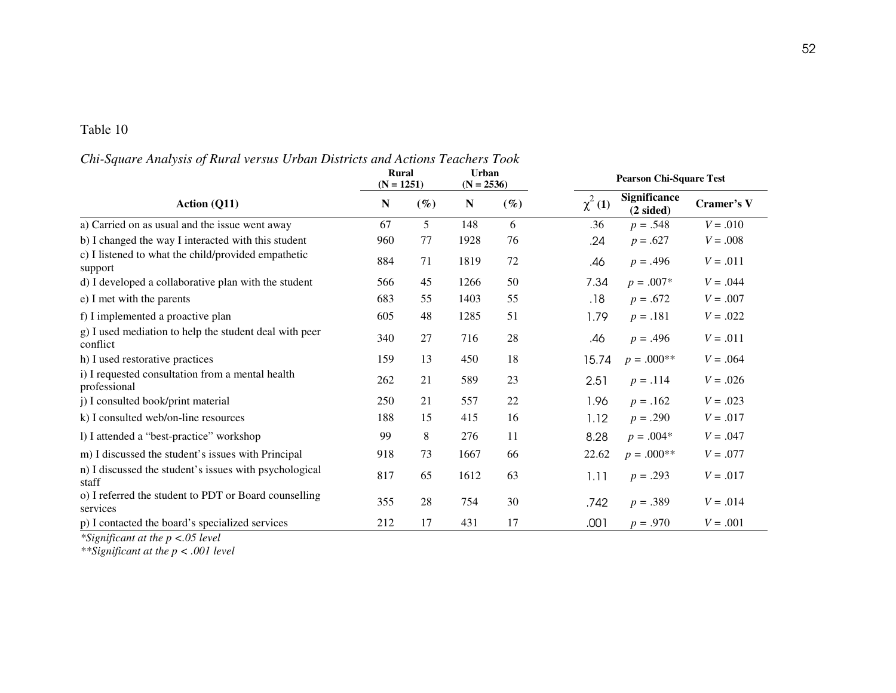### *Chi-Square Analysis of Rural versus Urban Districts and Actions Teachers Took*

|                                                                    | Rural<br>$(N = 1251)$ |        | Urban<br>$(N = 2536)$ |        | <b>Pearson Chi-Square Test</b> |                                     |            |  |  |
|--------------------------------------------------------------------|-----------------------|--------|-----------------------|--------|--------------------------------|-------------------------------------|------------|--|--|
| <b>Action (Q11)</b>                                                | N                     | $(\%)$ | N                     | $(\%)$ | $\chi^2$ (1)                   | Significance<br>$(2 \text{ sided})$ | Cramer's V |  |  |
| a) Carried on as usual and the issue went away                     | 67                    | 5      | 148                   | 6      | .36                            | $p = .548$                          | $V = .010$ |  |  |
| b) I changed the way I interacted with this student                | 960                   | 77     | 1928                  | 76     | .24                            | $p = .627$                          | $V = .008$ |  |  |
| c) I listened to what the child/provided empathetic<br>support     | 884                   | 71     | 1819                  | 72     | .46                            | $p = .496$                          | $V = .011$ |  |  |
| d) I developed a collaborative plan with the student               | 566                   | 45     | 1266                  | 50     | 7.34                           | $p = .007*$                         | $V = .044$ |  |  |
| e) I met with the parents                                          | 683                   | 55     | 1403                  | 55     | .18                            | $p = .672$                          | $V = .007$ |  |  |
| f) I implemented a proactive plan                                  | 605                   | 48     | 1285                  | 51     | 1.79                           | $p = .181$                          | $V = .022$ |  |  |
| g) I used mediation to help the student deal with peer<br>conflict | 340                   | 27     | 716                   | 28     | .46                            | $p = .496$                          | $V = .011$ |  |  |
| h) I used restorative practices                                    | 159                   | 13     | 450                   | 18     | 15.74                          | $p = .000**$                        | $V = .064$ |  |  |
| i) I requested consultation from a mental health<br>professional   | 262                   | 21     | 589                   | 23     | 2.51                           | $p = .114$                          | $V = .026$ |  |  |
| j) I consulted book/print material                                 | 250                   | 21     | 557                   | 22     | 1.96                           | $p = .162$                          | $V = .023$ |  |  |
| k) I consulted web/on-line resources                               | 188                   | 15     | 415                   | 16     | 1.12                           | $p = .290$                          | $V = .017$ |  |  |
| 1) I attended a "best-practice" workshop                           | 99                    | 8      | 276                   | 11     | 8.28                           | $p = .004*$                         | $V = .047$ |  |  |
| m) I discussed the student's issues with Principal                 | 918                   | 73     | 1667                  | 66     | 22.62                          | $p = .000**$                        | $V = .077$ |  |  |
| n) I discussed the student's issues with psychological<br>staff    | 817                   | 65     | 1612                  | 63     | 1.11                           | $p = .293$                          | $V = .017$ |  |  |
| o) I referred the student to PDT or Board counselling<br>services  | 355                   | 28     | 754                   | 30     | .742                           | $p = .389$                          | $V = .014$ |  |  |
| p) I contacted the board's specialized services                    | 212                   | 17     | 431                   | 17     | .001                           | $p = .970$                          | $V = .001$ |  |  |

*\*Significant at the p <.05 level \*\*Significant at the p < .001 level*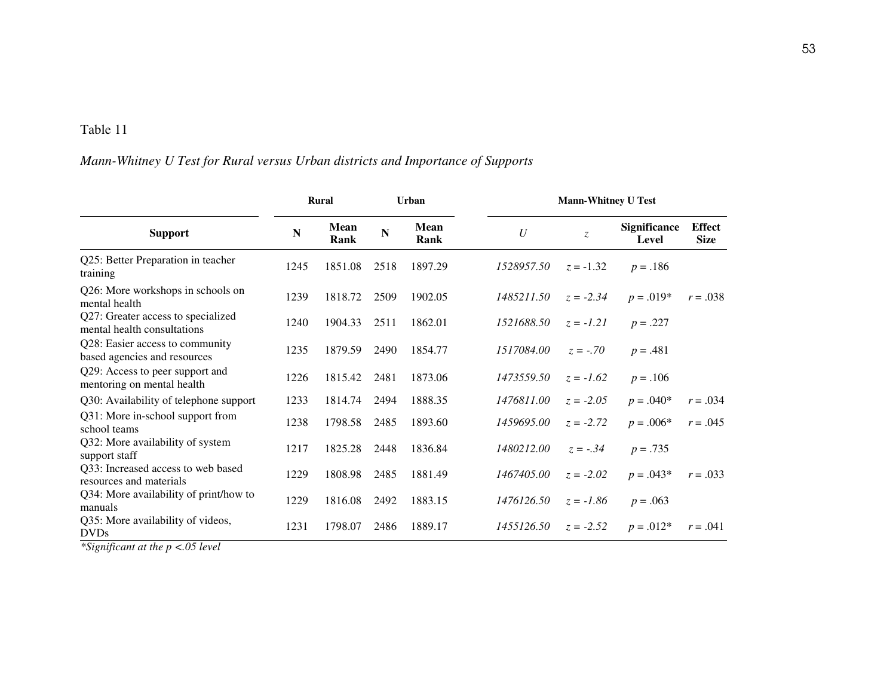### *Mann-Whitney U Test for Rural versus Urban districts and Importance of Supports*

|                                                                   |      | <b>Rural</b>        | <b>Urban</b> |                     |            | <b>Mann-Whitney U Test</b> |                              |                              |
|-------------------------------------------------------------------|------|---------------------|--------------|---------------------|------------|----------------------------|------------------------------|------------------------------|
| <b>Support</b>                                                    | N    | <b>Mean</b><br>Rank | N            | <b>Mean</b><br>Rank | U          | $\mathcal{Z}$              | <b>Significance</b><br>Level | <b>Effect</b><br><b>Size</b> |
| Q25: Better Preparation in teacher<br>training                    | 1245 | 1851.08             | 2518         | 1897.29             | 1528957.50 | $z = -1.32$                | $p = .186$                   |                              |
| Q26: More workshops in schools on<br>mental health                | 1239 | 1818.72             | 2509         | 1902.05             | 1485211.50 | $z = -2.34$                | $p = .019*$                  | $r = .038$                   |
| Q27: Greater access to specialized<br>mental health consultations | 1240 | 1904.33             | 2511         | 1862.01             | 1521688.50 | $z = -1.21$                | $p = .227$                   |                              |
| Q28: Easier access to community<br>based agencies and resources   | 1235 | 1879.59             | 2490         | 1854.77             | 1517084.00 | $z = -.70$                 | $p = .481$                   |                              |
| Q29: Access to peer support and<br>mentoring on mental health     | 1226 | 1815.42             | 2481         | 1873.06             | 1473559.50 | $z = -1.62$                | $p = .106$                   |                              |
| Q30: Availability of telephone support                            | 1233 | 1814.74             | 2494         | 1888.35             | 1476811.00 | $z = -2.05$                | $p = .040*$                  | $r = .034$                   |
| Q31: More in-school support from<br>school teams                  | 1238 | 1798.58             | 2485         | 1893.60             | 1459695.00 | $z = -2.72$                | $p = .006*$                  | $r = .045$                   |
| Q32: More availability of system<br>support staff                 | 1217 | 1825.28             | 2448         | 1836.84             | 1480212.00 | $z = -.34$                 | $p = .735$                   |                              |
| Q33: Increased access to web based<br>resources and materials     | 1229 | 1808.98             | 2485         | 1881.49             | 1467405.00 | $z = -2.02$                | $p = .043*$                  | $r = .033$                   |
| Q34: More availability of print/how to<br>manuals                 | 1229 | 1816.08             | 2492         | 1883.15             | 1476126.50 | $z = -1.86$                | $p = .063$                   |                              |
| Q35: More availability of videos,<br><b>DVDs</b>                  | 1231 | 1798.07             | 2486         | 1889.17             | 1455126.50 | $z = -2.52$                | $p = .012*$                  | $r = .041$                   |

*\*Significant at the p <.05 level*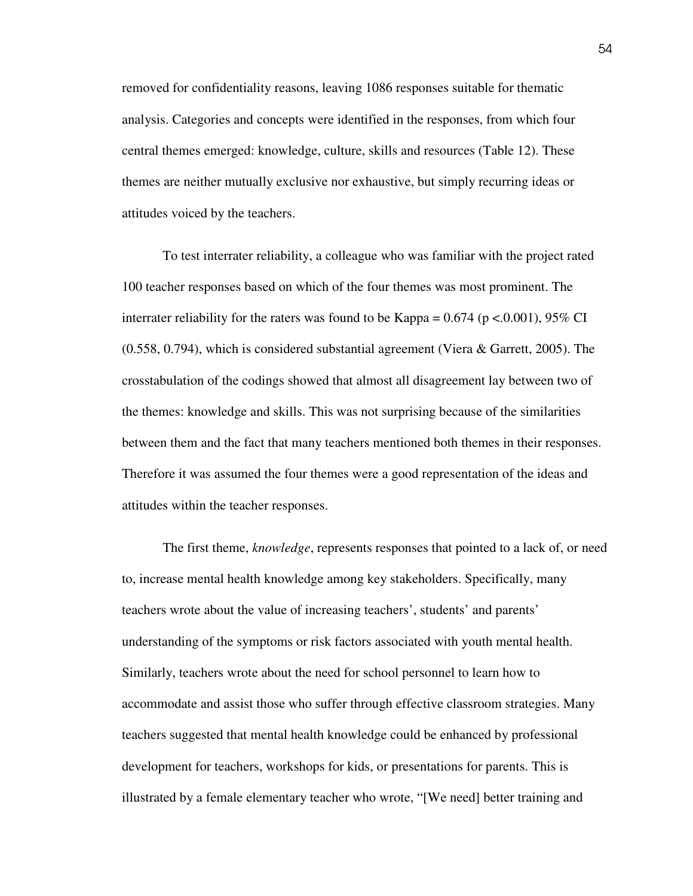removed for confidentiality reasons, leaving 1086 responses suitable for thematic analysis. Categories and concepts were identified in the responses, from which four central themes emerged: knowledge, culture, skills and resources (Table 12). These themes are neither mutually exclusive nor exhaustive, but simply recurring ideas or attitudes voiced by the teachers.

 To test interrater reliability, a colleague who was familiar with the project rated 100 teacher responses based on which of the four themes was most prominent. The interrater reliability for the raters was found to be Kappa =  $0.674$  (p < 0.001), 95% CI (0.558, 0.794), which is considered substantial agreement (Viera & Garrett, 2005). The crosstabulation of the codings showed that almost all disagreement lay between two of the themes: knowledge and skills. This was not surprising because of the similarities between them and the fact that many teachers mentioned both themes in their responses. Therefore it was assumed the four themes were a good representation of the ideas and attitudes within the teacher responses.

The first theme, *knowledge*, represents responses that pointed to a lack of, or need to, increase mental health knowledge among key stakeholders. Specifically, many teachers wrote about the value of increasing teachers', students' and parents' understanding of the symptoms or risk factors associated with youth mental health. Similarly, teachers wrote about the need for school personnel to learn how to accommodate and assist those who suffer through effective classroom strategies. Many teachers suggested that mental health knowledge could be enhanced by professional development for teachers, workshops for kids, or presentations for parents. This is illustrated by a female elementary teacher who wrote, "[We need] better training and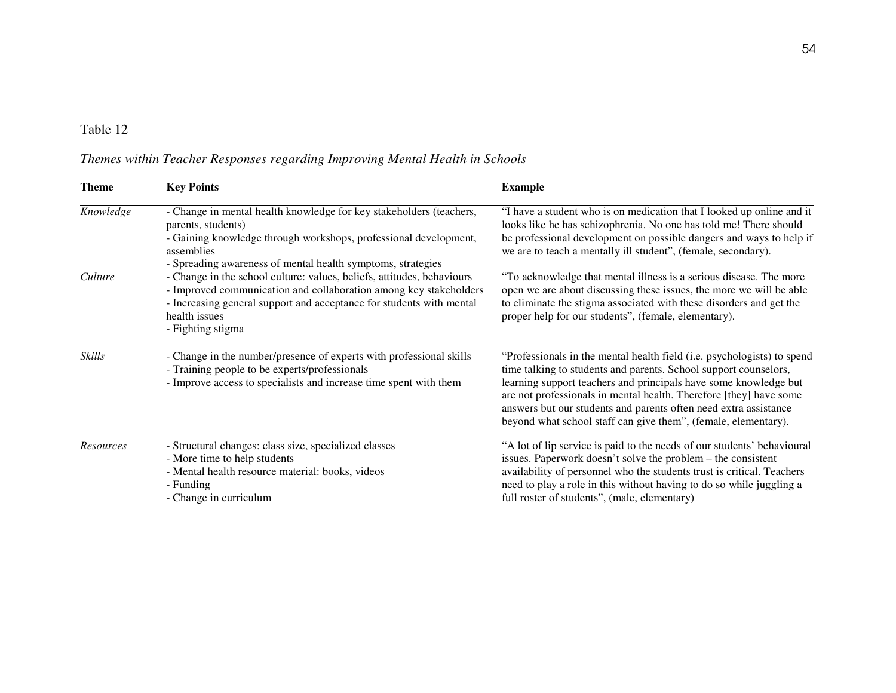### *Themes within Teacher Responses regarding Improving Mental Health in Schools*

| <b>Theme</b> | <b>Key Points</b>                                                                                                                                                                                                                                         | <b>Example</b>                                                                                                                                                                                                                                                                                                                                                                                                              |
|--------------|-----------------------------------------------------------------------------------------------------------------------------------------------------------------------------------------------------------------------------------------------------------|-----------------------------------------------------------------------------------------------------------------------------------------------------------------------------------------------------------------------------------------------------------------------------------------------------------------------------------------------------------------------------------------------------------------------------|
| Knowledge    | - Change in mental health knowledge for key stakeholders (teachers,<br>parents, students)<br>- Gaining knowledge through workshops, professional development,<br>assemblies<br>- Spreading awareness of mental health symptoms, strategies                | "I have a student who is on medication that I looked up online and it<br>looks like he has schizophrenia. No one has told me! There should<br>be professional development on possible dangers and ways to help if<br>we are to teach a mentally ill student", (female, secondary).                                                                                                                                          |
| Culture      | - Change in the school culture: values, beliefs, attitudes, behaviours<br>- Improved communication and collaboration among key stakeholders<br>- Increasing general support and acceptance for students with mental<br>health issues<br>- Fighting stigma | "To acknowledge that mental illness is a serious disease. The more<br>open we are about discussing these issues, the more we will be able<br>to eliminate the stigma associated with these disorders and get the<br>proper help for our students", (female, elementary).                                                                                                                                                    |
| Skills       | - Change in the number/presence of experts with professional skills<br>- Training people to be experts/professionals<br>- Improve access to specialists and increase time spent with them                                                                 | "Professionals in the mental health field (i.e. psychologists) to spend<br>time talking to students and parents. School support counselors,<br>learning support teachers and principals have some knowledge but<br>are not professionals in mental health. Therefore [they] have some<br>answers but our students and parents often need extra assistance<br>beyond what school staff can give them", (female, elementary). |
| Resources    | - Structural changes: class size, specialized classes<br>- More time to help students<br>- Mental health resource material: books, videos<br>- Funding<br>- Change in curriculum                                                                          | "A lot of lip service is paid to the needs of our students' behavioural<br>issues. Paperwork doesn't solve the problem – the consistent<br>availability of personnel who the students trust is critical. Teachers<br>need to play a role in this without having to do so while juggling a<br>full roster of students", (male, elementary)                                                                                   |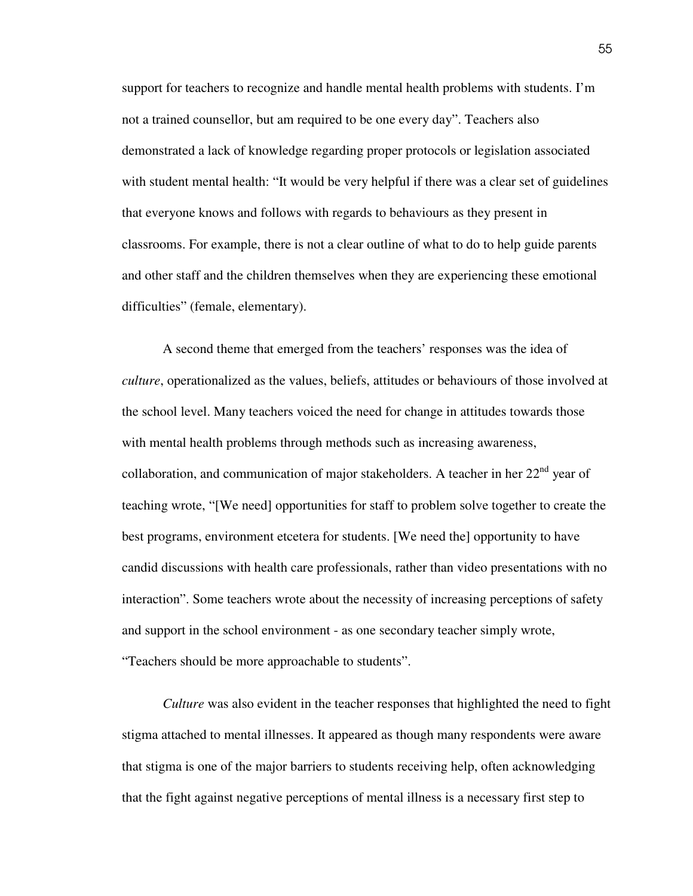support for teachers to recognize and handle mental health problems with students. I'm not a trained counsellor, but am required to be one every day". Teachers also demonstrated a lack of knowledge regarding proper protocols or legislation associated with student mental health: "It would be very helpful if there was a clear set of guidelines that everyone knows and follows with regards to behaviours as they present in classrooms. For example, there is not a clear outline of what to do to help guide parents and other staff and the children themselves when they are experiencing these emotional difficulties" (female, elementary).

 A second theme that emerged from the teachers' responses was the idea of *culture*, operationalized as the values, beliefs, attitudes or behaviours of those involved at the school level. Many teachers voiced the need for change in attitudes towards those with mental health problems through methods such as increasing awareness, collaboration, and communication of major stakeholders. A teacher in her  $22<sup>nd</sup>$  year of teaching wrote, "[We need] opportunities for staff to problem solve together to create the best programs, environment etcetera for students. [We need the] opportunity to have candid discussions with health care professionals, rather than video presentations with no interaction". Some teachers wrote about the necessity of increasing perceptions of safety and support in the school environment - as one secondary teacher simply wrote, "Teachers should be more approachable to students".

*Culture* was also evident in the teacher responses that highlighted the need to fight stigma attached to mental illnesses. It appeared as though many respondents were aware that stigma is one of the major barriers to students receiving help, often acknowledging that the fight against negative perceptions of mental illness is a necessary first step to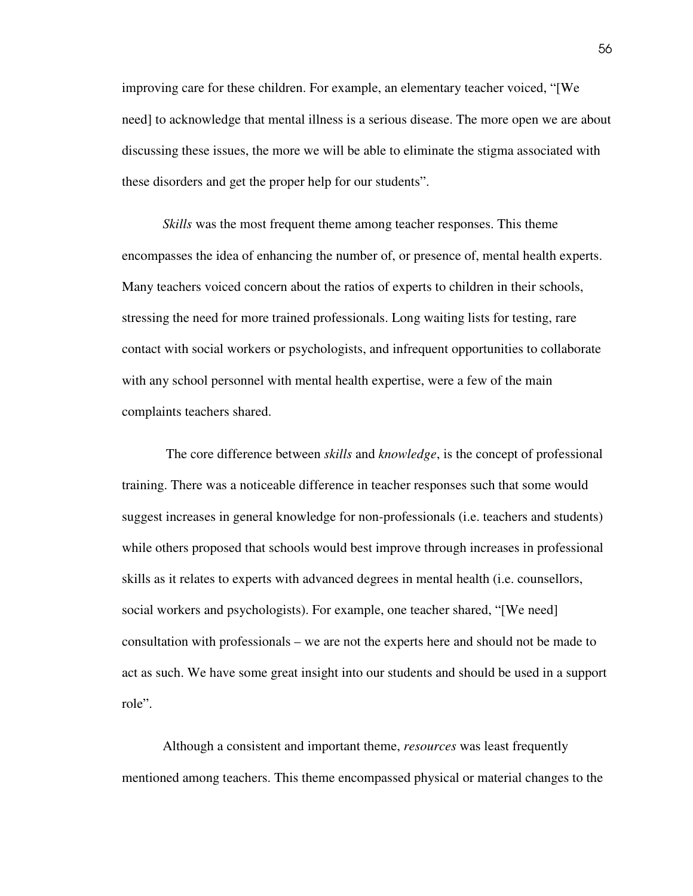improving care for these children. For example, an elementary teacher voiced, "[We need] to acknowledge that mental illness is a serious disease. The more open we are about discussing these issues, the more we will be able to eliminate the stigma associated with these disorders and get the proper help for our students".

*Skills* was the most frequent theme among teacher responses. This theme encompasses the idea of enhancing the number of, or presence of, mental health experts. Many teachers voiced concern about the ratios of experts to children in their schools, stressing the need for more trained professionals. Long waiting lists for testing, rare contact with social workers or psychologists, and infrequent opportunities to collaborate with any school personnel with mental health expertise, were a few of the main complaints teachers shared.

 The core difference between *skills* and *knowledge*, is the concept of professional training. There was a noticeable difference in teacher responses such that some would suggest increases in general knowledge for non-professionals (i.e. teachers and students) while others proposed that schools would best improve through increases in professional skills as it relates to experts with advanced degrees in mental health (i.e. counsellors, social workers and psychologists). For example, one teacher shared, "[We need] consultation with professionals – we are not the experts here and should not be made to act as such. We have some great insight into our students and should be used in a support role".

 Although a consistent and important theme, *resources* was least frequently mentioned among teachers. This theme encompassed physical or material changes to the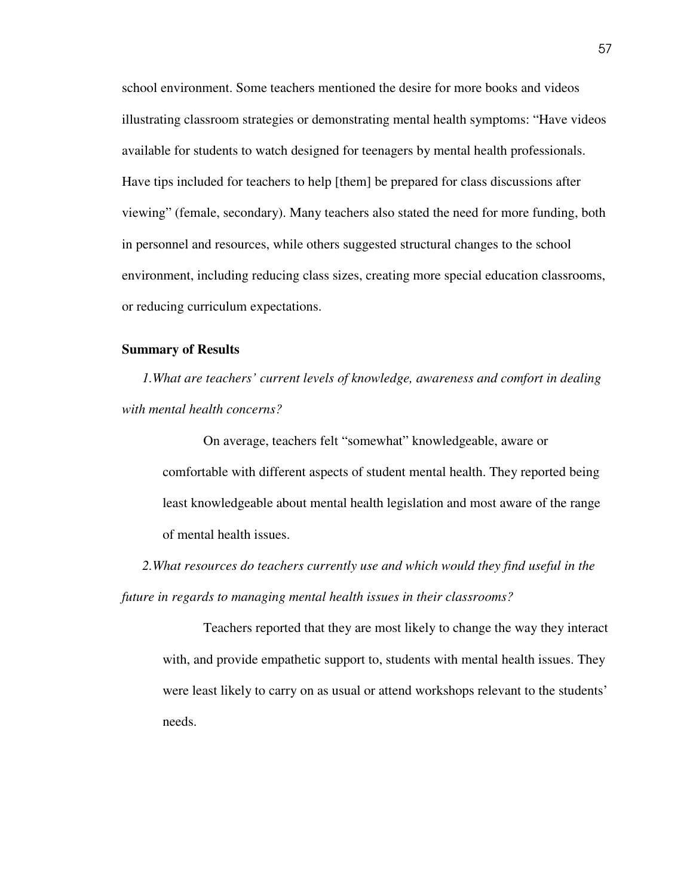school environment. Some teachers mentioned the desire for more books and videos illustrating classroom strategies or demonstrating mental health symptoms: "Have videos available for students to watch designed for teenagers by mental health professionals. Have tips included for teachers to help [them] be prepared for class discussions after viewing" (female, secondary). Many teachers also stated the need for more funding, both in personnel and resources, while others suggested structural changes to the school environment, including reducing class sizes, creating more special education classrooms, or reducing curriculum expectations.

### **Summary of Results**

*1.What are teachers' current levels of knowledge, awareness and comfort in dealing with mental health concerns?* 

 On average, teachers felt "somewhat" knowledgeable, aware or comfortable with different aspects of student mental health. They reported being least knowledgeable about mental health legislation and most aware of the range of mental health issues.

*2.What resources do teachers currently use and which would they find useful in the future in regards to managing mental health issues in their classrooms?* 

Teachers reported that they are most likely to change the way they interact with, and provide empathetic support to, students with mental health issues. They were least likely to carry on as usual or attend workshops relevant to the students' needs.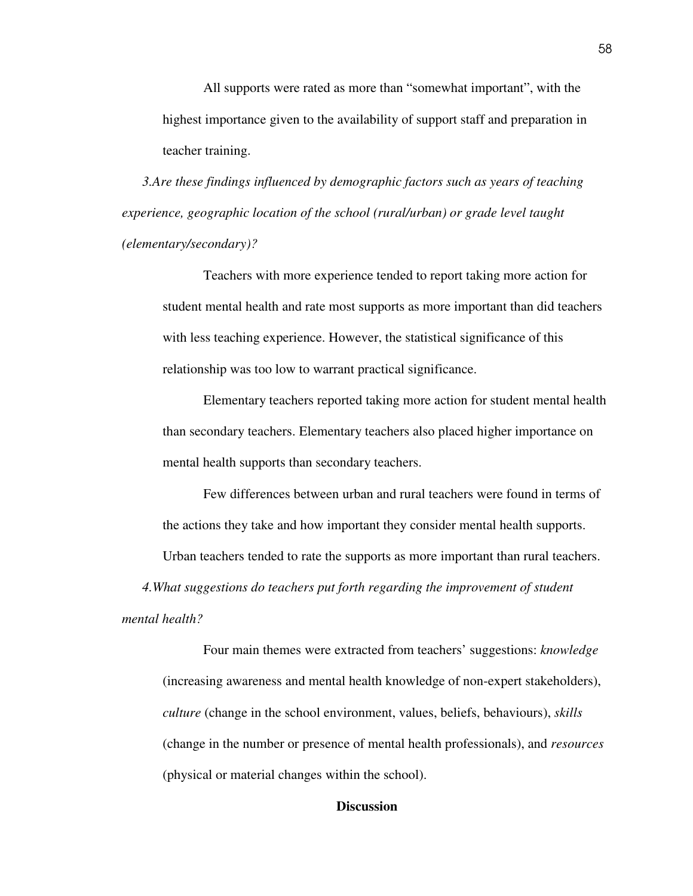All supports were rated as more than "somewhat important", with the highest importance given to the availability of support staff and preparation in teacher training.

*3.Are these findings influenced by demographic factors such as years of teaching experience, geographic location of the school (rural/urban) or grade level taught (elementary/secondary)?* 

Teachers with more experience tended to report taking more action for student mental health and rate most supports as more important than did teachers with less teaching experience. However, the statistical significance of this relationship was too low to warrant practical significance.

Elementary teachers reported taking more action for student mental health than secondary teachers. Elementary teachers also placed higher importance on mental health supports than secondary teachers.

Few differences between urban and rural teachers were found in terms of the actions they take and how important they consider mental health supports.

Urban teachers tended to rate the supports as more important than rural teachers.

*4.What suggestions do teachers put forth regarding the improvement of student* 

*mental health?* 

 Four main themes were extracted from teachers' suggestions: *knowledge* (increasing awareness and mental health knowledge of non-expert stakeholders), *culture* (change in the school environment, values, beliefs, behaviours), *skills* (change in the number or presence of mental health professionals), and *resources* (physical or material changes within the school).

### **Discussion**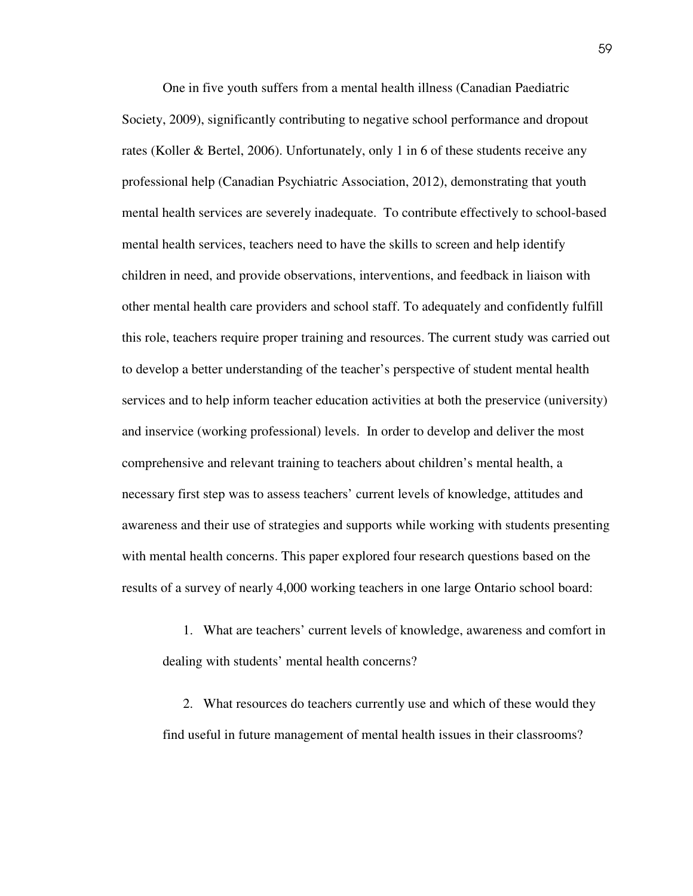One in five youth suffers from a mental health illness (Canadian Paediatric Society, 2009), significantly contributing to negative school performance and dropout rates (Koller & Bertel, 2006). Unfortunately, only 1 in 6 of these students receive any professional help (Canadian Psychiatric Association, 2012), demonstrating that youth mental health services are severely inadequate. To contribute effectively to school-based mental health services, teachers need to have the skills to screen and help identify children in need, and provide observations, interventions, and feedback in liaison with other mental health care providers and school staff. To adequately and confidently fulfill this role, teachers require proper training and resources. The current study was carried out to develop a better understanding of the teacher's perspective of student mental health services and to help inform teacher education activities at both the preservice (university) and inservice (working professional) levels. In order to develop and deliver the most comprehensive and relevant training to teachers about children's mental health, a necessary first step was to assess teachers' current levels of knowledge, attitudes and awareness and their use of strategies and supports while working with students presenting with mental health concerns. This paper explored four research questions based on the results of a survey of nearly 4,000 working teachers in one large Ontario school board:

1. What are teachers' current levels of knowledge, awareness and comfort in dealing with students' mental health concerns?

2. What resources do teachers currently use and which of these would they find useful in future management of mental health issues in their classrooms?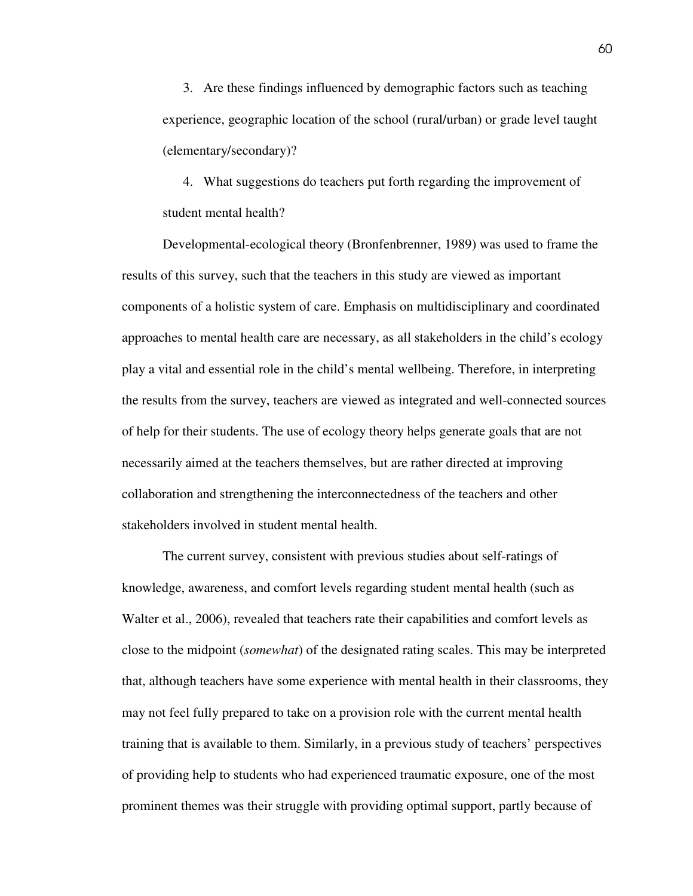3. Are these findings influenced by demographic factors such as teaching experience, geographic location of the school (rural/urban) or grade level taught (elementary/secondary)?

4. What suggestions do teachers put forth regarding the improvement of student mental health?

Developmental-ecological theory (Bronfenbrenner, 1989) was used to frame the results of this survey, such that the teachers in this study are viewed as important components of a holistic system of care. Emphasis on multidisciplinary and coordinated approaches to mental health care are necessary, as all stakeholders in the child's ecology play a vital and essential role in the child's mental wellbeing. Therefore, in interpreting the results from the survey, teachers are viewed as integrated and well-connected sources of help for their students. The use of ecology theory helps generate goals that are not necessarily aimed at the teachers themselves, but are rather directed at improving collaboration and strengthening the interconnectedness of the teachers and other stakeholders involved in student mental health.

The current survey, consistent with previous studies about self-ratings of knowledge, awareness, and comfort levels regarding student mental health (such as Walter et al., 2006), revealed that teachers rate their capabilities and comfort levels as close to the midpoint (*somewhat*) of the designated rating scales. This may be interpreted that, although teachers have some experience with mental health in their classrooms, they may not feel fully prepared to take on a provision role with the current mental health training that is available to them. Similarly, in a previous study of teachers' perspectives of providing help to students who had experienced traumatic exposure, one of the most prominent themes was their struggle with providing optimal support, partly because of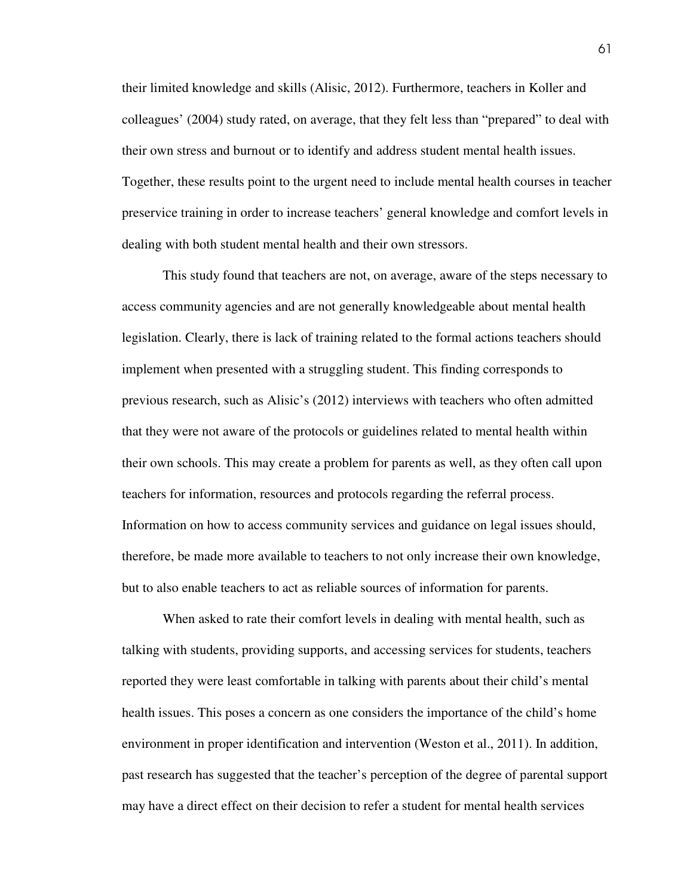their limited knowledge and skills (Alisic, 2012). Furthermore, teachers in Koller and colleagues' (2004) study rated, on average, that they felt less than "prepared" to deal with their own stress and burnout or to identify and address student mental health issues. Together, these results point to the urgent need to include mental health courses in teacher preservice training in order to increase teachers' general knowledge and comfort levels in dealing with both student mental health and their own stressors.

This study found that teachers are not, on average, aware of the steps necessary to access community agencies and are not generally knowledgeable about mental health legislation. Clearly, there is lack of training related to the formal actions teachers should implement when presented with a struggling student. This finding corresponds to previous research, such as Alisic's (2012) interviews with teachers who often admitted that they were not aware of the protocols or guidelines related to mental health within their own schools. This may create a problem for parents as well, as they often call upon teachers for information, resources and protocols regarding the referral process. Information on how to access community services and guidance on legal issues should, therefore, be made more available to teachers to not only increase their own knowledge, but to also enable teachers to act as reliable sources of information for parents.

 When asked to rate their comfort levels in dealing with mental health, such as talking with students, providing supports, and accessing services for students, teachers reported they were least comfortable in talking with parents about their child's mental health issues. This poses a concern as one considers the importance of the child's home environment in proper identification and intervention (Weston et al., 2011). In addition, past research has suggested that the teacher's perception of the degree of parental support may have a direct effect on their decision to refer a student for mental health services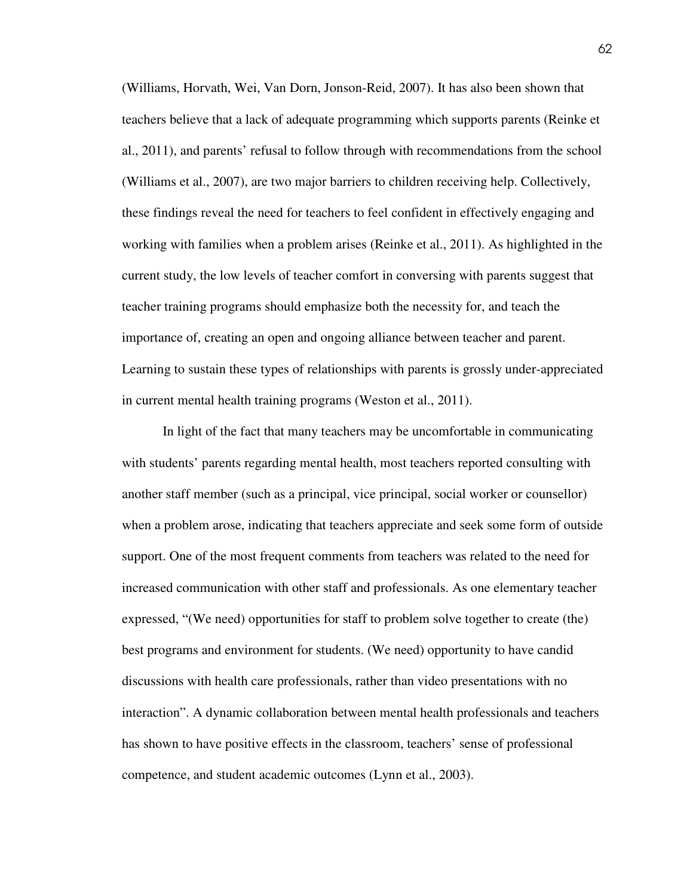(Williams, Horvath, Wei, Van Dorn, Jonson-Reid, 2007). It has also been shown that teachers believe that a lack of adequate programming which supports parents (Reinke et al., 2011), and parents' refusal to follow through with recommendations from the school (Williams et al., 2007), are two major barriers to children receiving help. Collectively, these findings reveal the need for teachers to feel confident in effectively engaging and working with families when a problem arises (Reinke et al., 2011). As highlighted in the current study, the low levels of teacher comfort in conversing with parents suggest that teacher training programs should emphasize both the necessity for, and teach the importance of, creating an open and ongoing alliance between teacher and parent. Learning to sustain these types of relationships with parents is grossly under-appreciated in current mental health training programs (Weston et al., 2011).

 In light of the fact that many teachers may be uncomfortable in communicating with students' parents regarding mental health, most teachers reported consulting with another staff member (such as a principal, vice principal, social worker or counsellor) when a problem arose, indicating that teachers appreciate and seek some form of outside support. One of the most frequent comments from teachers was related to the need for increased communication with other staff and professionals. As one elementary teacher expressed, "(We need) opportunities for staff to problem solve together to create (the) best programs and environment for students. (We need) opportunity to have candid discussions with health care professionals, rather than video presentations with no interaction". A dynamic collaboration between mental health professionals and teachers has shown to have positive effects in the classroom, teachers' sense of professional competence, and student academic outcomes (Lynn et al., 2003).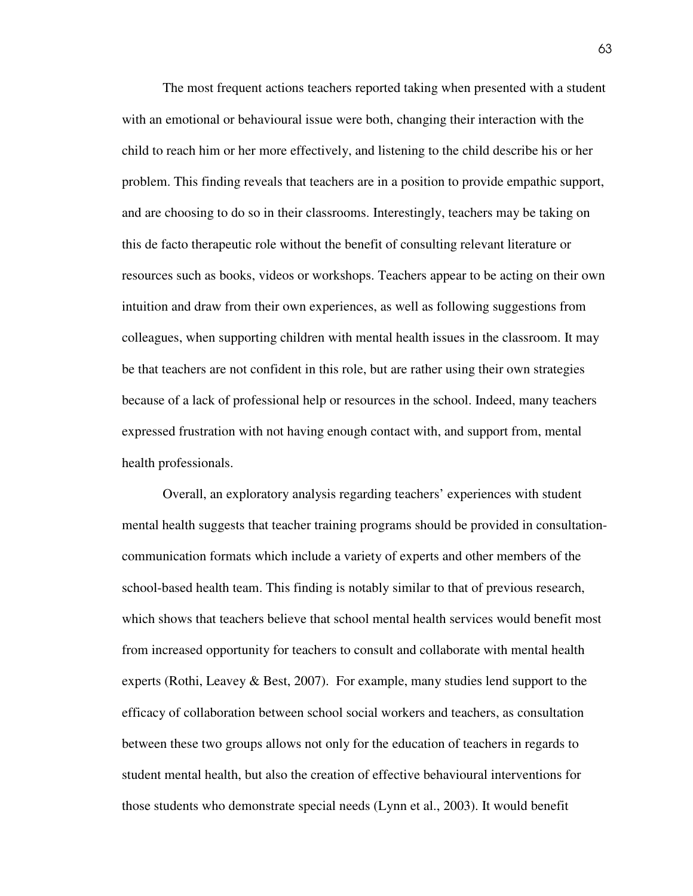The most frequent actions teachers reported taking when presented with a student with an emotional or behavioural issue were both, changing their interaction with the child to reach him or her more effectively, and listening to the child describe his or her problem. This finding reveals that teachers are in a position to provide empathic support, and are choosing to do so in their classrooms. Interestingly, teachers may be taking on this de facto therapeutic role without the benefit of consulting relevant literature or resources such as books, videos or workshops. Teachers appear to be acting on their own intuition and draw from their own experiences, as well as following suggestions from colleagues, when supporting children with mental health issues in the classroom. It may be that teachers are not confident in this role, but are rather using their own strategies because of a lack of professional help or resources in the school. Indeed, many teachers expressed frustration with not having enough contact with, and support from, mental health professionals.

 Overall, an exploratory analysis regarding teachers' experiences with student mental health suggests that teacher training programs should be provided in consultationcommunication formats which include a variety of experts and other members of the school-based health team. This finding is notably similar to that of previous research, which shows that teachers believe that school mental health services would benefit most from increased opportunity for teachers to consult and collaborate with mental health experts (Rothi, Leavey & Best, 2007). For example, many studies lend support to the efficacy of collaboration between school social workers and teachers, as consultation between these two groups allows not only for the education of teachers in regards to student mental health, but also the creation of effective behavioural interventions for those students who demonstrate special needs (Lynn et al., 2003). It would benefit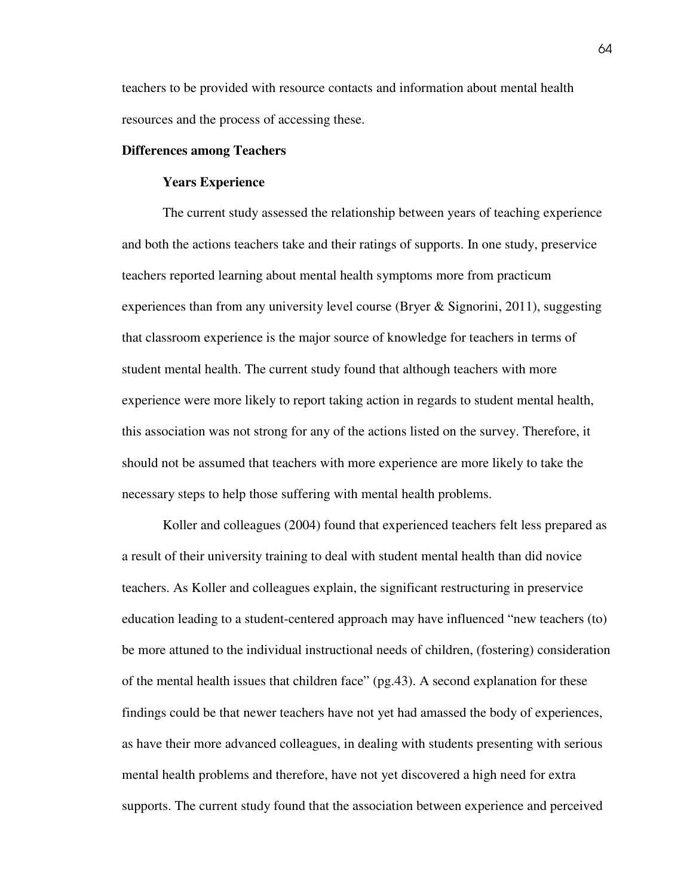teachers to be provided with resource contacts and information about mental health resources and the process of accessing these.

#### **Differences among Teachers**

#### **Years Experience**

 The current study assessed the relationship between years of teaching experience and both the actions teachers take and their ratings of supports. In one study, preservice teachers reported learning about mental health symptoms more from practicum experiences than from any university level course (Bryer & Signorini, 2011), suggesting that classroom experience is the major source of knowledge for teachers in terms of student mental health. The current study found that although teachers with more experience were more likely to report taking action in regards to student mental health, this association was not strong for any of the actions listed on the survey. Therefore, it should not be assumed that teachers with more experience are more likely to take the necessary steps to help those suffering with mental health problems.

 Koller and colleagues (2004) found that experienced teachers felt less prepared as a result of their university training to deal with student mental health than did novice teachers. As Koller and colleagues explain, the significant restructuring in preservice education leading to a student-centered approach may have influenced "new teachers (to) be more attuned to the individual instructional needs of children, (fostering) consideration of the mental health issues that children face" (pg.43). A second explanation for these findings could be that newer teachers have not yet had amassed the body of experiences, as have their more advanced colleagues, in dealing with students presenting with serious mental health problems and therefore, have not yet discovered a high need for extra supports. The current study found that the association between experience and perceived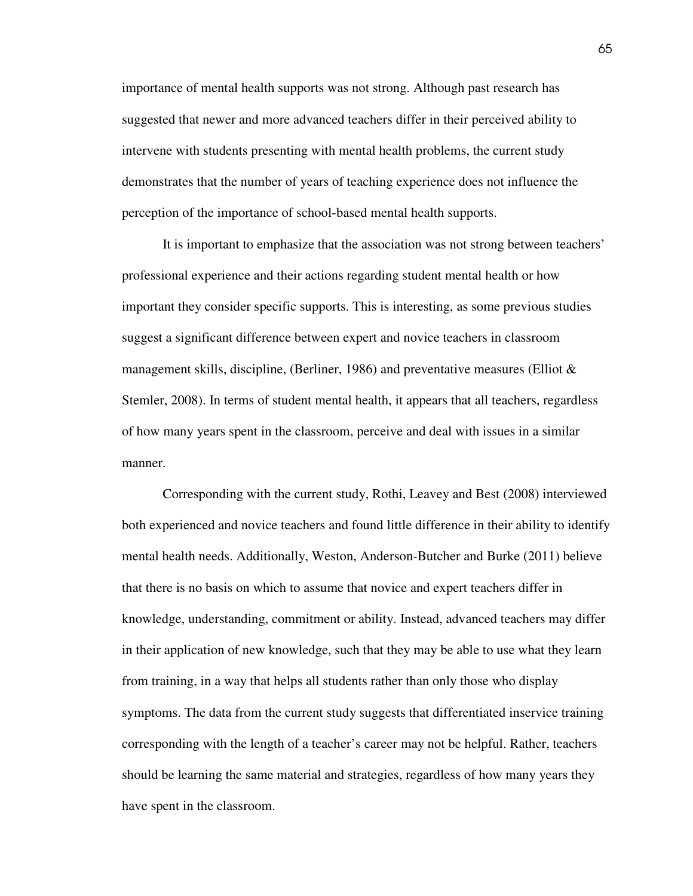importance of mental health supports was not strong. Although past research has suggested that newer and more advanced teachers differ in their perceived ability to intervene with students presenting with mental health problems, the current study demonstrates that the number of years of teaching experience does not influence the perception of the importance of school-based mental health supports.

 It is important to emphasize that the association was not strong between teachers' professional experience and their actions regarding student mental health or how important they consider specific supports. This is interesting, as some previous studies suggest a significant difference between expert and novice teachers in classroom management skills, discipline, (Berliner, 1986) and preventative measures (Elliot & Stemler, 2008). In terms of student mental health, it appears that all teachers, regardless of how many years spent in the classroom, perceive and deal with issues in a similar manner.

 Corresponding with the current study, Rothi, Leavey and Best (2008) interviewed both experienced and novice teachers and found little difference in their ability to identify mental health needs. Additionally, Weston, Anderson-Butcher and Burke (2011) believe that there is no basis on which to assume that novice and expert teachers differ in knowledge, understanding, commitment or ability. Instead, advanced teachers may differ in their application of new knowledge, such that they may be able to use what they learn from training, in a way that helps all students rather than only those who display symptoms. The data from the current study suggests that differentiated inservice training corresponding with the length of a teacher's career may not be helpful. Rather, teachers should be learning the same material and strategies, regardless of how many years they have spent in the classroom.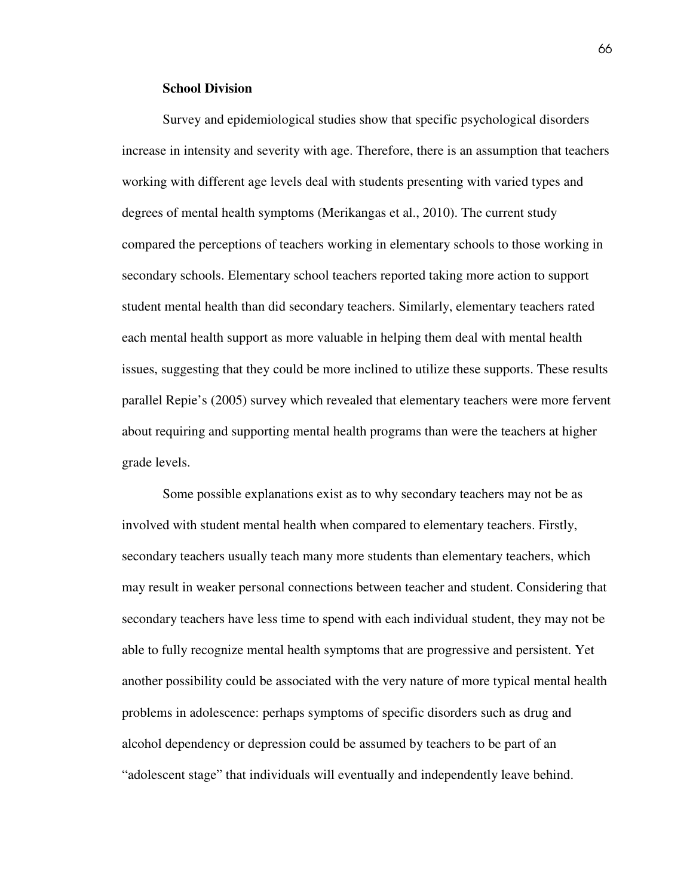#### **School Division**

Survey and epidemiological studies show that specific psychological disorders increase in intensity and severity with age. Therefore, there is an assumption that teachers working with different age levels deal with students presenting with varied types and degrees of mental health symptoms (Merikangas et al., 2010). The current study compared the perceptions of teachers working in elementary schools to those working in secondary schools. Elementary school teachers reported taking more action to support student mental health than did secondary teachers. Similarly, elementary teachers rated each mental health support as more valuable in helping them deal with mental health issues, suggesting that they could be more inclined to utilize these supports. These results parallel Repie's (2005) survey which revealed that elementary teachers were more fervent about requiring and supporting mental health programs than were the teachers at higher grade levels.

Some possible explanations exist as to why secondary teachers may not be as involved with student mental health when compared to elementary teachers. Firstly, secondary teachers usually teach many more students than elementary teachers, which may result in weaker personal connections between teacher and student. Considering that secondary teachers have less time to spend with each individual student, they may not be able to fully recognize mental health symptoms that are progressive and persistent. Yet another possibility could be associated with the very nature of more typical mental health problems in adolescence: perhaps symptoms of specific disorders such as drug and alcohol dependency or depression could be assumed by teachers to be part of an "adolescent stage" that individuals will eventually and independently leave behind.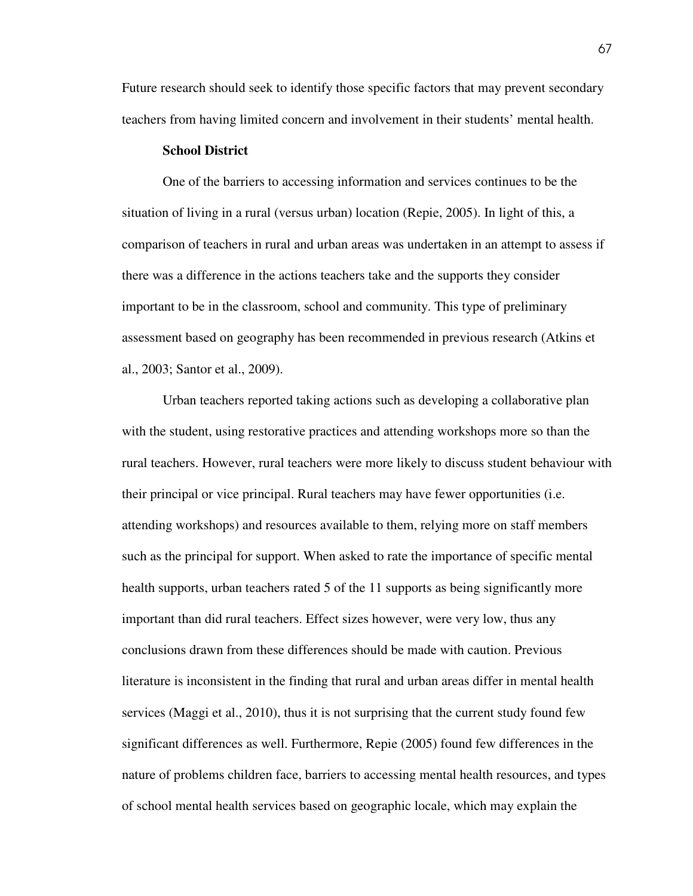Future research should seek to identify those specific factors that may prevent secondary teachers from having limited concern and involvement in their students' mental health.

## **School District**

 One of the barriers to accessing information and services continues to be the situation of living in a rural (versus urban) location (Repie, 2005). In light of this, a comparison of teachers in rural and urban areas was undertaken in an attempt to assess if there was a difference in the actions teachers take and the supports they consider important to be in the classroom, school and community. This type of preliminary assessment based on geography has been recommended in previous research (Atkins et al., 2003; Santor et al., 2009).

 Urban teachers reported taking actions such as developing a collaborative plan with the student, using restorative practices and attending workshops more so than the rural teachers. However, rural teachers were more likely to discuss student behaviour with their principal or vice principal. Rural teachers may have fewer opportunities (i.e. attending workshops) and resources available to them, relying more on staff members such as the principal for support. When asked to rate the importance of specific mental health supports, urban teachers rated 5 of the 11 supports as being significantly more important than did rural teachers. Effect sizes however, were very low, thus any conclusions drawn from these differences should be made with caution. Previous literature is inconsistent in the finding that rural and urban areas differ in mental health services (Maggi et al., 2010), thus it is not surprising that the current study found few significant differences as well. Furthermore, Repie (2005) found few differences in the nature of problems children face, barriers to accessing mental health resources, and types of school mental health services based on geographic locale, which may explain the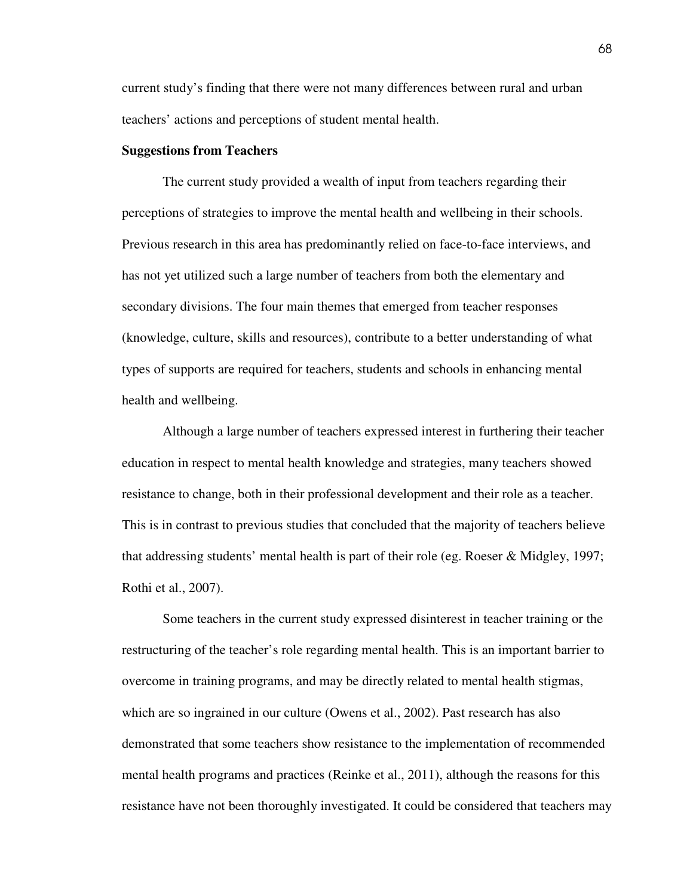current study's finding that there were not many differences between rural and urban teachers' actions and perceptions of student mental health.

#### **Suggestions from Teachers**

 The current study provided a wealth of input from teachers regarding their perceptions of strategies to improve the mental health and wellbeing in their schools. Previous research in this area has predominantly relied on face-to-face interviews, and has not yet utilized such a large number of teachers from both the elementary and secondary divisions. The four main themes that emerged from teacher responses (knowledge, culture, skills and resources), contribute to a better understanding of what types of supports are required for teachers, students and schools in enhancing mental health and wellbeing.

Although a large number of teachers expressed interest in furthering their teacher education in respect to mental health knowledge and strategies, many teachers showed resistance to change, both in their professional development and their role as a teacher. This is in contrast to previous studies that concluded that the majority of teachers believe that addressing students' mental health is part of their role (eg. Roeser & Midgley, 1997; Rothi et al., 2007).

Some teachers in the current study expressed disinterest in teacher training or the restructuring of the teacher's role regarding mental health. This is an important barrier to overcome in training programs, and may be directly related to mental health stigmas, which are so ingrained in our culture (Owens et al., 2002). Past research has also demonstrated that some teachers show resistance to the implementation of recommended mental health programs and practices (Reinke et al., 2011), although the reasons for this resistance have not been thoroughly investigated. It could be considered that teachers may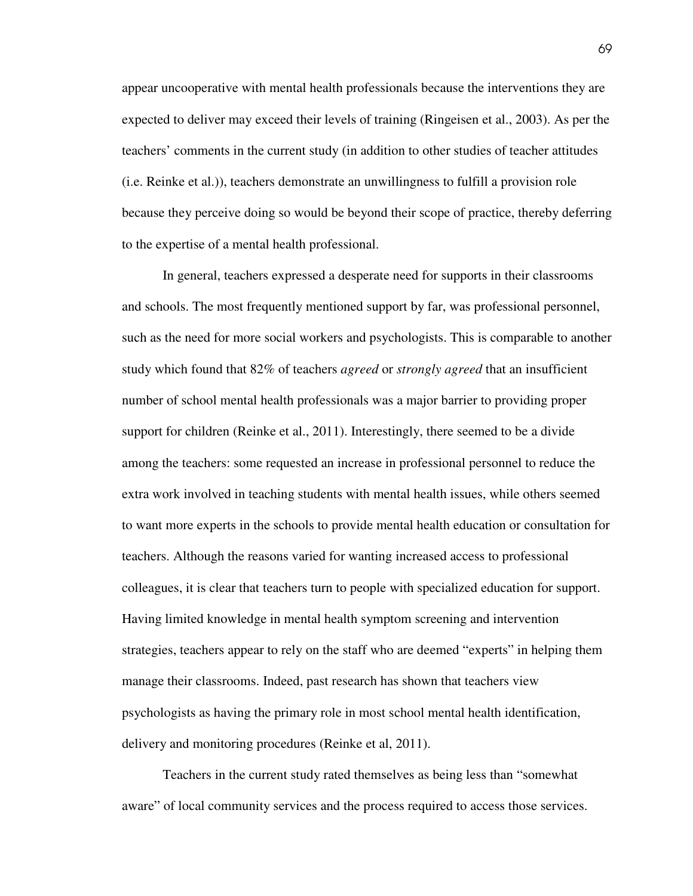appear uncooperative with mental health professionals because the interventions they are expected to deliver may exceed their levels of training (Ringeisen et al., 2003). As per the teachers' comments in the current study (in addition to other studies of teacher attitudes (i.e. Reinke et al.)), teachers demonstrate an unwillingness to fulfill a provision role because they perceive doing so would be beyond their scope of practice, thereby deferring to the expertise of a mental health professional.

 In general, teachers expressed a desperate need for supports in their classrooms and schools. The most frequently mentioned support by far, was professional personnel, such as the need for more social workers and psychologists. This is comparable to another study which found that 82% of teachers *agreed* or *strongly agreed* that an insufficient number of school mental health professionals was a major barrier to providing proper support for children (Reinke et al., 2011). Interestingly, there seemed to be a divide among the teachers: some requested an increase in professional personnel to reduce the extra work involved in teaching students with mental health issues, while others seemed to want more experts in the schools to provide mental health education or consultation for teachers. Although the reasons varied for wanting increased access to professional colleagues, it is clear that teachers turn to people with specialized education for support. Having limited knowledge in mental health symptom screening and intervention strategies, teachers appear to rely on the staff who are deemed "experts" in helping them manage their classrooms. Indeed, past research has shown that teachers view psychologists as having the primary role in most school mental health identification, delivery and monitoring procedures (Reinke et al, 2011).

 Teachers in the current study rated themselves as being less than "somewhat aware" of local community services and the process required to access those services.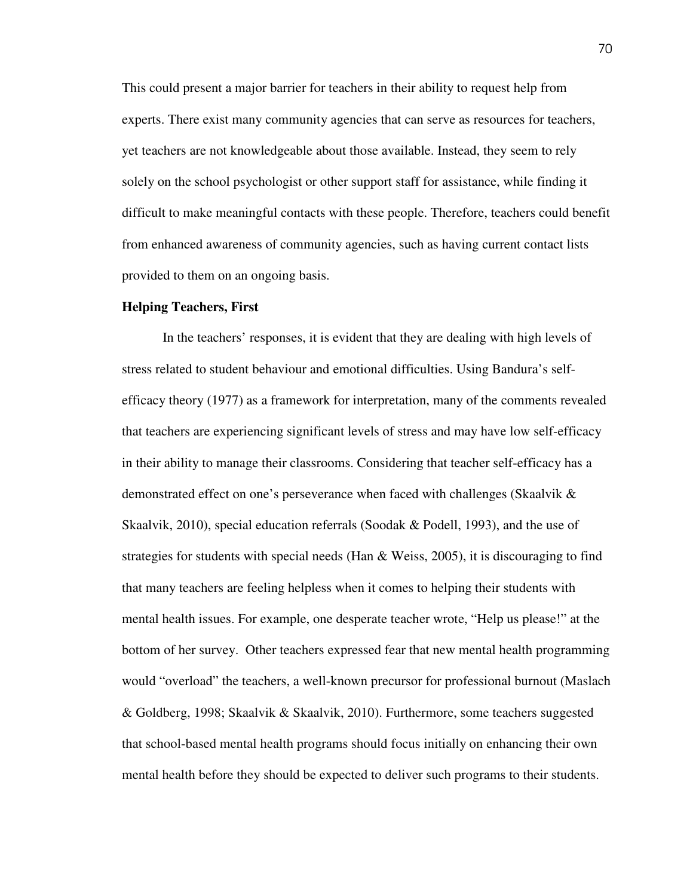This could present a major barrier for teachers in their ability to request help from experts. There exist many community agencies that can serve as resources for teachers, yet teachers are not knowledgeable about those available. Instead, they seem to rely solely on the school psychologist or other support staff for assistance, while finding it difficult to make meaningful contacts with these people. Therefore, teachers could benefit from enhanced awareness of community agencies, such as having current contact lists provided to them on an ongoing basis.

#### **Helping Teachers, First**

 In the teachers' responses, it is evident that they are dealing with high levels of stress related to student behaviour and emotional difficulties. Using Bandura's selfefficacy theory (1977) as a framework for interpretation, many of the comments revealed that teachers are experiencing significant levels of stress and may have low self-efficacy in their ability to manage their classrooms. Considering that teacher self-efficacy has a demonstrated effect on one's perseverance when faced with challenges (Skaalvik & Skaalvik, 2010), special education referrals (Soodak  $\&$  Podell, 1993), and the use of strategies for students with special needs (Han & Weiss, 2005), it is discouraging to find that many teachers are feeling helpless when it comes to helping their students with mental health issues. For example, one desperate teacher wrote, "Help us please!" at the bottom of her survey. Other teachers expressed fear that new mental health programming would "overload" the teachers, a well-known precursor for professional burnout (Maslach & Goldberg, 1998; Skaalvik & Skaalvik, 2010). Furthermore, some teachers suggested that school-based mental health programs should focus initially on enhancing their own mental health before they should be expected to deliver such programs to their students.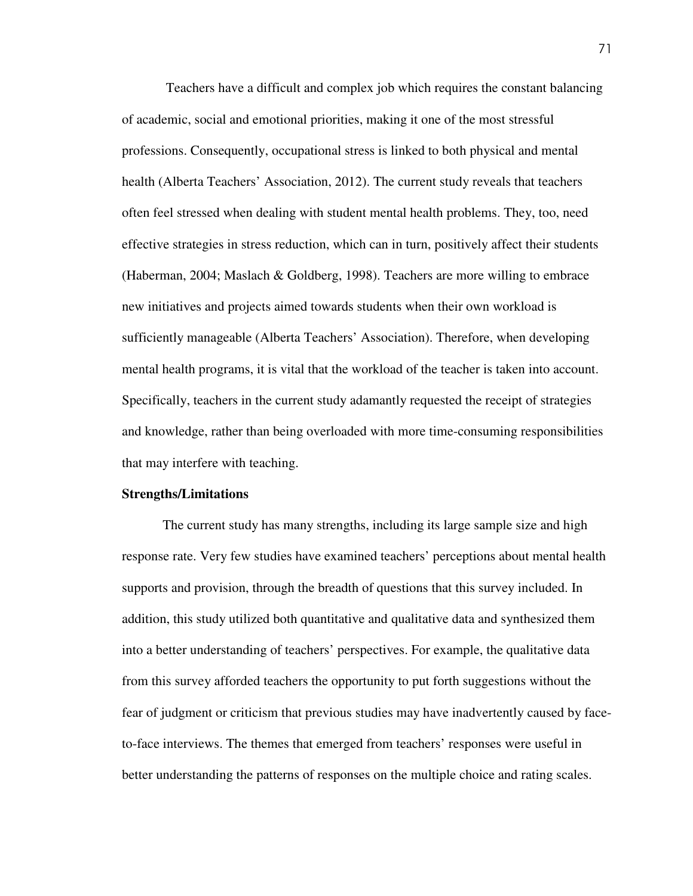Teachers have a difficult and complex job which requires the constant balancing of academic, social and emotional priorities, making it one of the most stressful professions. Consequently, occupational stress is linked to both physical and mental health (Alberta Teachers' Association, 2012). The current study reveals that teachers often feel stressed when dealing with student mental health problems. They, too, need effective strategies in stress reduction, which can in turn, positively affect their students (Haberman, 2004; Maslach & Goldberg, 1998). Teachers are more willing to embrace new initiatives and projects aimed towards students when their own workload is sufficiently manageable (Alberta Teachers' Association). Therefore, when developing mental health programs, it is vital that the workload of the teacher is taken into account. Specifically, teachers in the current study adamantly requested the receipt of strategies and knowledge, rather than being overloaded with more time-consuming responsibilities that may interfere with teaching.

#### **Strengths/Limitations**

 The current study has many strengths, including its large sample size and high response rate. Very few studies have examined teachers' perceptions about mental health supports and provision, through the breadth of questions that this survey included. In addition, this study utilized both quantitative and qualitative data and synthesized them into a better understanding of teachers' perspectives. For example, the qualitative data from this survey afforded teachers the opportunity to put forth suggestions without the fear of judgment or criticism that previous studies may have inadvertently caused by faceto-face interviews. The themes that emerged from teachers' responses were useful in better understanding the patterns of responses on the multiple choice and rating scales.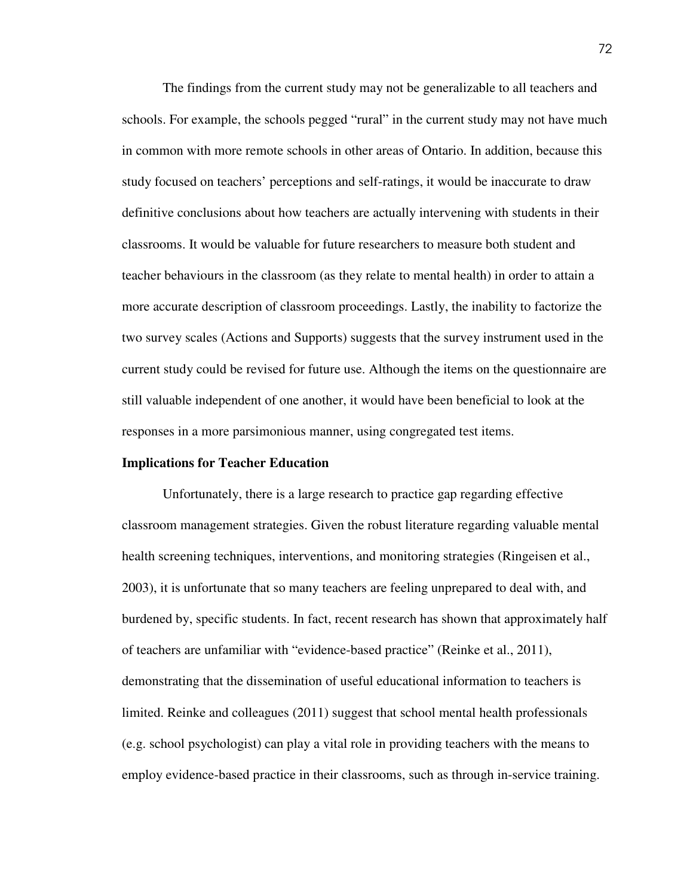The findings from the current study may not be generalizable to all teachers and schools. For example, the schools pegged "rural" in the current study may not have much in common with more remote schools in other areas of Ontario. In addition, because this study focused on teachers' perceptions and self-ratings, it would be inaccurate to draw definitive conclusions about how teachers are actually intervening with students in their classrooms. It would be valuable for future researchers to measure both student and teacher behaviours in the classroom (as they relate to mental health) in order to attain a more accurate description of classroom proceedings. Lastly, the inability to factorize the two survey scales (Actions and Supports) suggests that the survey instrument used in the current study could be revised for future use. Although the items on the questionnaire are still valuable independent of one another, it would have been beneficial to look at the responses in a more parsimonious manner, using congregated test items.

#### **Implications for Teacher Education**

Unfortunately, there is a large research to practice gap regarding effective classroom management strategies. Given the robust literature regarding valuable mental health screening techniques, interventions, and monitoring strategies (Ringeisen et al., 2003), it is unfortunate that so many teachers are feeling unprepared to deal with, and burdened by, specific students. In fact, recent research has shown that approximately half of teachers are unfamiliar with "evidence-based practice" (Reinke et al., 2011), demonstrating that the dissemination of useful educational information to teachers is limited. Reinke and colleagues (2011) suggest that school mental health professionals (e.g. school psychologist) can play a vital role in providing teachers with the means to employ evidence-based practice in their classrooms, such as through in-service training.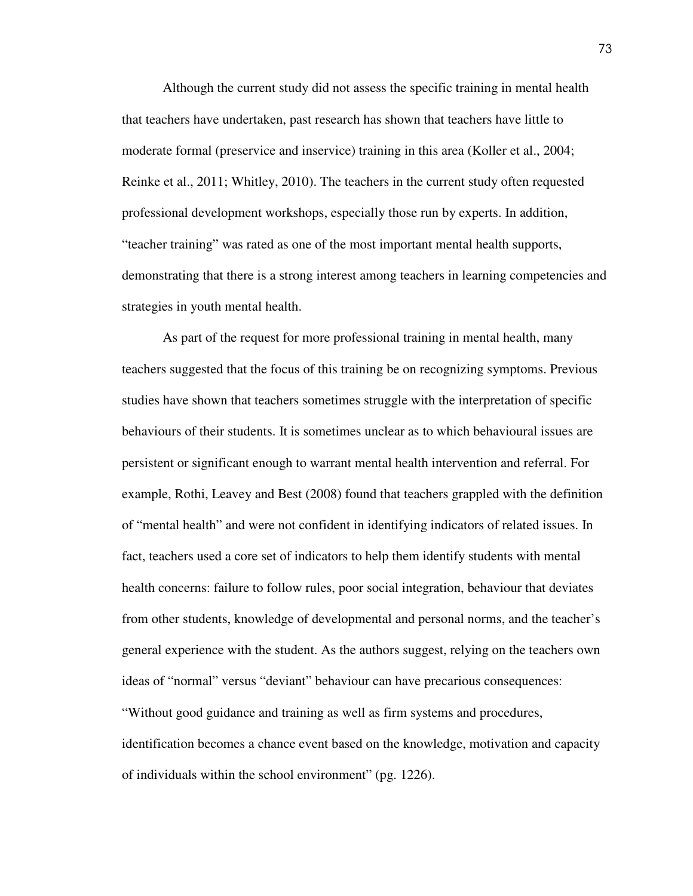Although the current study did not assess the specific training in mental health that teachers have undertaken, past research has shown that teachers have little to moderate formal (preservice and inservice) training in this area (Koller et al., 2004; Reinke et al., 2011; Whitley, 2010). The teachers in the current study often requested professional development workshops, especially those run by experts. In addition, "teacher training" was rated as one of the most important mental health supports, demonstrating that there is a strong interest among teachers in learning competencies and strategies in youth mental health.

 As part of the request for more professional training in mental health, many teachers suggested that the focus of this training be on recognizing symptoms. Previous studies have shown that teachers sometimes struggle with the interpretation of specific behaviours of their students. It is sometimes unclear as to which behavioural issues are persistent or significant enough to warrant mental health intervention and referral. For example, Rothi, Leavey and Best (2008) found that teachers grappled with the definition of "mental health" and were not confident in identifying indicators of related issues. In fact, teachers used a core set of indicators to help them identify students with mental health concerns: failure to follow rules, poor social integration, behaviour that deviates from other students, knowledge of developmental and personal norms, and the teacher's general experience with the student. As the authors suggest, relying on the teachers own ideas of "normal" versus "deviant" behaviour can have precarious consequences: "Without good guidance and training as well as firm systems and procedures, identification becomes a chance event based on the knowledge, motivation and capacity of individuals within the school environment" (pg. 1226).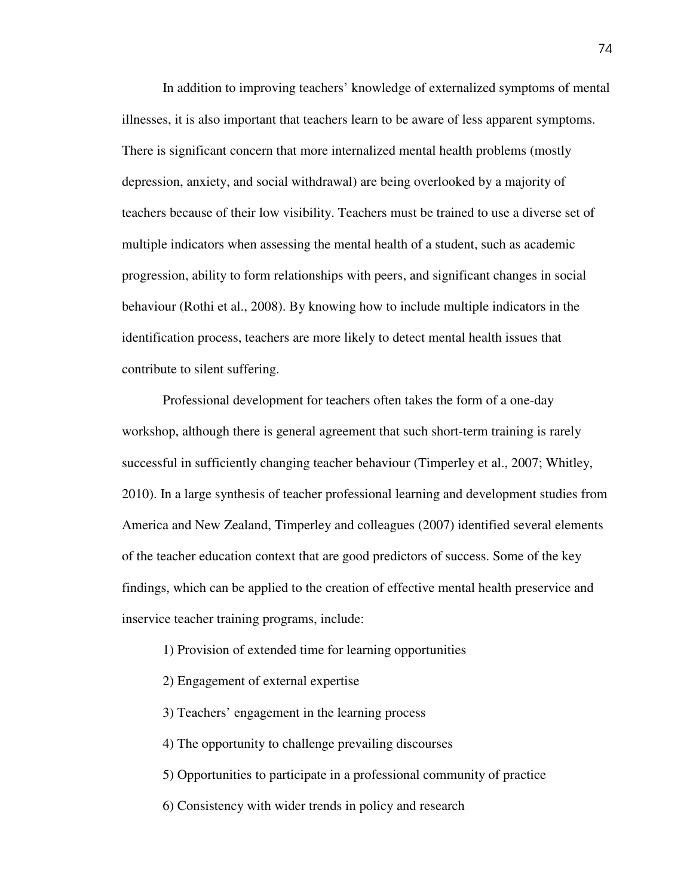In addition to improving teachers' knowledge of externalized symptoms of mental illnesses, it is also important that teachers learn to be aware of less apparent symptoms. There is significant concern that more internalized mental health problems (mostly depression, anxiety, and social withdrawal) are being overlooked by a majority of teachers because of their low visibility. Teachers must be trained to use a diverse set of multiple indicators when assessing the mental health of a student, such as academic progression, ability to form relationships with peers, and significant changes in social behaviour (Rothi et al., 2008). By knowing how to include multiple indicators in the identification process, teachers are more likely to detect mental health issues that contribute to silent suffering.

Professional development for teachers often takes the form of a one-day workshop, although there is general agreement that such short-term training is rarely successful in sufficiently changing teacher behaviour (Timperley et al., 2007; Whitley, 2010). In a large synthesis of teacher professional learning and development studies from America and New Zealand, Timperley and colleagues (2007) identified several elements of the teacher education context that are good predictors of success. Some of the key findings, which can be applied to the creation of effective mental health preservice and inservice teacher training programs, include:

- 1) Provision of extended time for learning opportunities
- 2) Engagement of external expertise
- 3) Teachers' engagement in the learning process
- 4) The opportunity to challenge prevailing discourses
- 5) Opportunities to participate in a professional community of practice
- 6) Consistency with wider trends in policy and research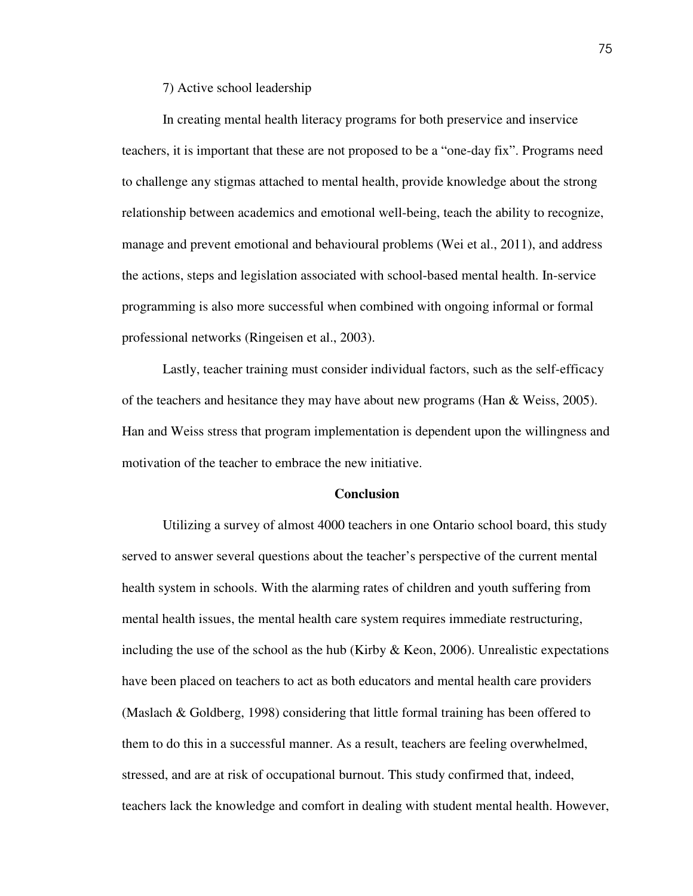7) Active school leadership

 In creating mental health literacy programs for both preservice and inservice teachers, it is important that these are not proposed to be a "one-day fix". Programs need to challenge any stigmas attached to mental health, provide knowledge about the strong relationship between academics and emotional well-being, teach the ability to recognize, manage and prevent emotional and behavioural problems (Wei et al., 2011), and address the actions, steps and legislation associated with school-based mental health. In-service programming is also more successful when combined with ongoing informal or formal professional networks (Ringeisen et al., 2003).

Lastly, teacher training must consider individual factors, such as the self-efficacy of the teachers and hesitance they may have about new programs (Han  $&$  Weiss, 2005). Han and Weiss stress that program implementation is dependent upon the willingness and motivation of the teacher to embrace the new initiative.

#### **Conclusion**

Utilizing a survey of almost 4000 teachers in one Ontario school board, this study served to answer several questions about the teacher's perspective of the current mental health system in schools. With the alarming rates of children and youth suffering from mental health issues, the mental health care system requires immediate restructuring, including the use of the school as the hub (Kirby  $\&$  Keon, 2006). Unrealistic expectations have been placed on teachers to act as both educators and mental health care providers (Maslach & Goldberg, 1998) considering that little formal training has been offered to them to do this in a successful manner. As a result, teachers are feeling overwhelmed, stressed, and are at risk of occupational burnout. This study confirmed that, indeed, teachers lack the knowledge and comfort in dealing with student mental health. However,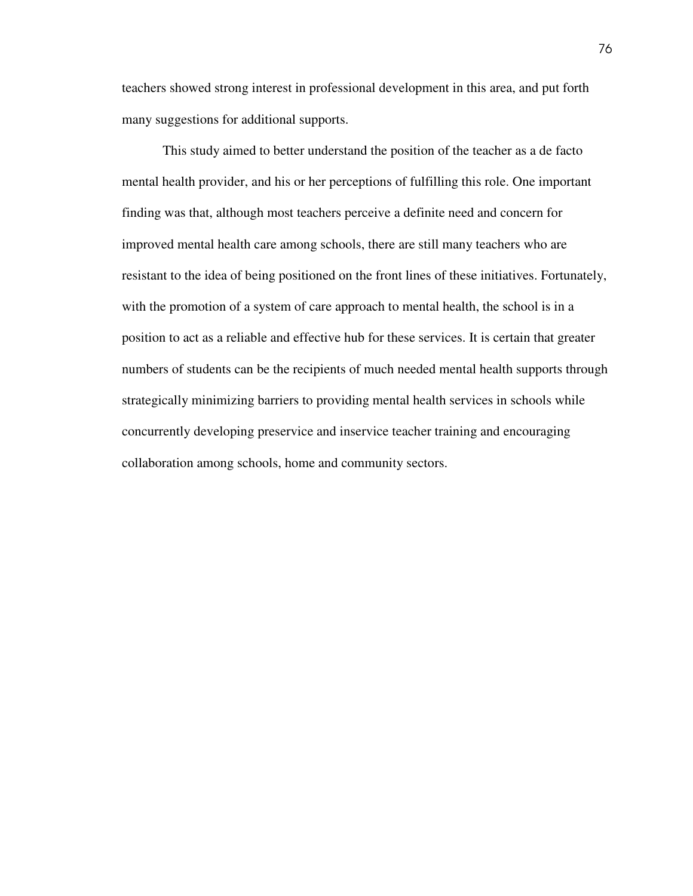teachers showed strong interest in professional development in this area, and put forth many suggestions for additional supports.

This study aimed to better understand the position of the teacher as a de facto mental health provider, and his or her perceptions of fulfilling this role. One important finding was that, although most teachers perceive a definite need and concern for improved mental health care among schools, there are still many teachers who are resistant to the idea of being positioned on the front lines of these initiatives. Fortunately, with the promotion of a system of care approach to mental health, the school is in a position to act as a reliable and effective hub for these services. It is certain that greater numbers of students can be the recipients of much needed mental health supports through strategically minimizing barriers to providing mental health services in schools while concurrently developing preservice and inservice teacher training and encouraging collaboration among schools, home and community sectors.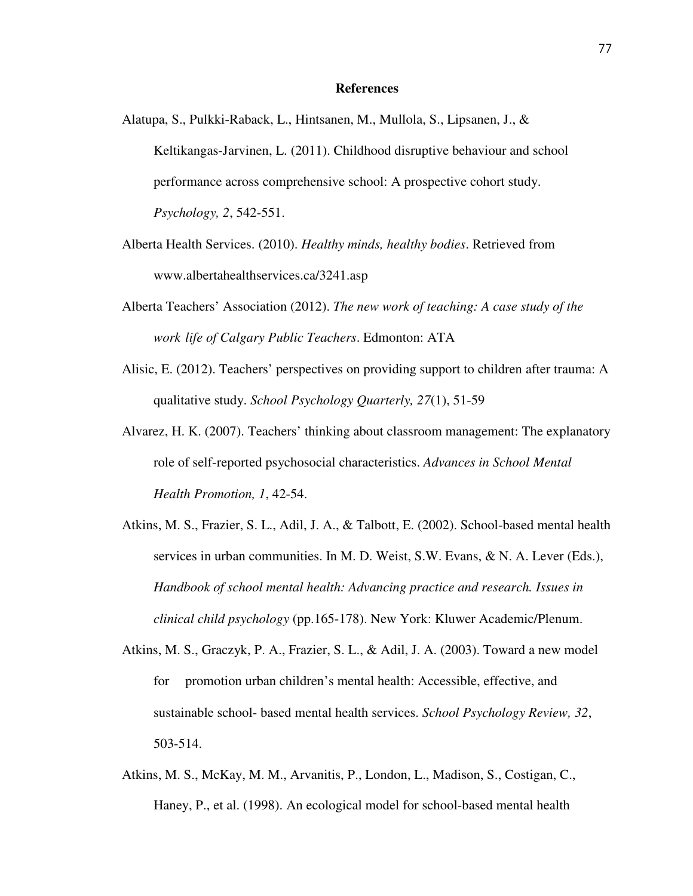#### **References**

- Alatupa, S., Pulkki-Raback, L., Hintsanen, M., Mullola, S., Lipsanen, J., & Keltikangas-Jarvinen, L. (2011). Childhood disruptive behaviour and school performance across comprehensive school: A prospective cohort study. *Psychology, 2*, 542-551.
- Alberta Health Services. (2010). *Healthy minds, healthy bodies*. Retrieved from www.albertahealthservices.ca/3241.asp
- Alberta Teachers' Association (2012). *The new work of teaching: A case study of the work life of Calgary Public Teachers*. Edmonton: ATA
- Alisic, E. (2012). Teachers' perspectives on providing support to children after trauma: A qualitative study. *School Psychology Quarterly, 27*(1), 51-59
- Alvarez, H. K. (2007). Teachers' thinking about classroom management: The explanatory role of self-reported psychosocial characteristics. *Advances in School Mental Health Promotion, 1*, 42-54.
- Atkins, M. S., Frazier, S. L., Adil, J. A., & Talbott, E. (2002). School-based mental health services in urban communities. In M. D. Weist, S.W. Evans, & N. A. Lever (Eds.), *Handbook of school mental health: Advancing practice and research. Issues in clinical child psychology* (pp.165-178). New York: Kluwer Academic/Plenum.
- Atkins, M. S., Graczyk, P. A., Frazier, S. L., & Adil, J. A. (2003). Toward a new model for promotion urban children's mental health: Accessible, effective, and sustainable school- based mental health services. *School Psychology Review, 32*, 503-514.
- Atkins, M. S., McKay, M. M., Arvanitis, P., London, L., Madison, S., Costigan, C., Haney, P., et al. (1998). An ecological model for school-based mental health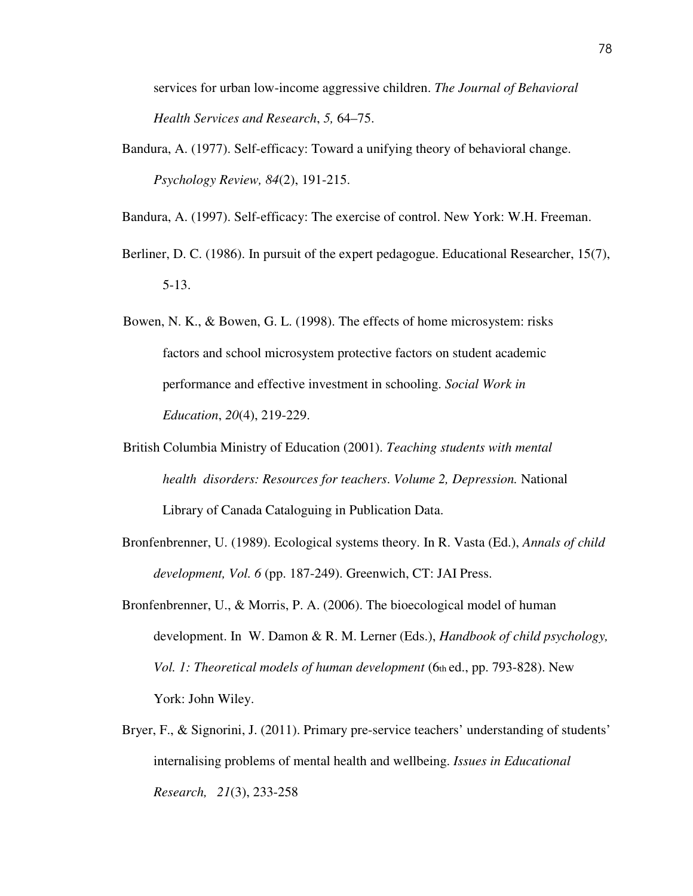services for urban low-income aggressive children. *The Journal of Behavioral Health Services and Research*, *5,* 64–75.

Bandura, A. (1977). Self-efficacy: Toward a unifying theory of behavioral change. *Psychology Review, 84*(2), 191-215.

Bandura, A. (1997). Self-efficacy: The exercise of control. New York: W.H. Freeman.

- Berliner, D. C. (1986). In pursuit of the expert pedagogue. Educational Researcher, 15(7), 5-13.
- Bowen, N. K., & Bowen, G. L. (1998). The effects of home microsystem: risks factors and school microsystem protective factors on student academic performance and effective investment in schooling. *Social Work in Education*, *20*(4), 219-229.
- British Columbia Ministry of Education (2001). *Teaching students with mental health disorders: Resources for teachers*. *Volume 2, Depression.* National Library of Canada Cataloguing in Publication Data.
- Bronfenbrenner, U. (1989). Ecological systems theory. In R. Vasta (Ed.), *Annals of child development, Vol. 6* (pp. 187-249). Greenwich, CT: JAI Press.
- Bronfenbrenner, U., & Morris, P. A. (2006). The bioecological model of human development. In W. Damon & R. M. Lerner (Eds.), *Handbook of child psychology, Vol. 1: Theoretical models of human development* (6th ed., pp. 793-828). New York: John Wiley.
- Bryer, F., & Signorini, J. (2011). Primary pre-service teachers' understanding of students' internalising problems of mental health and wellbeing. *Issues in Educational Research, 21*(3), 233-258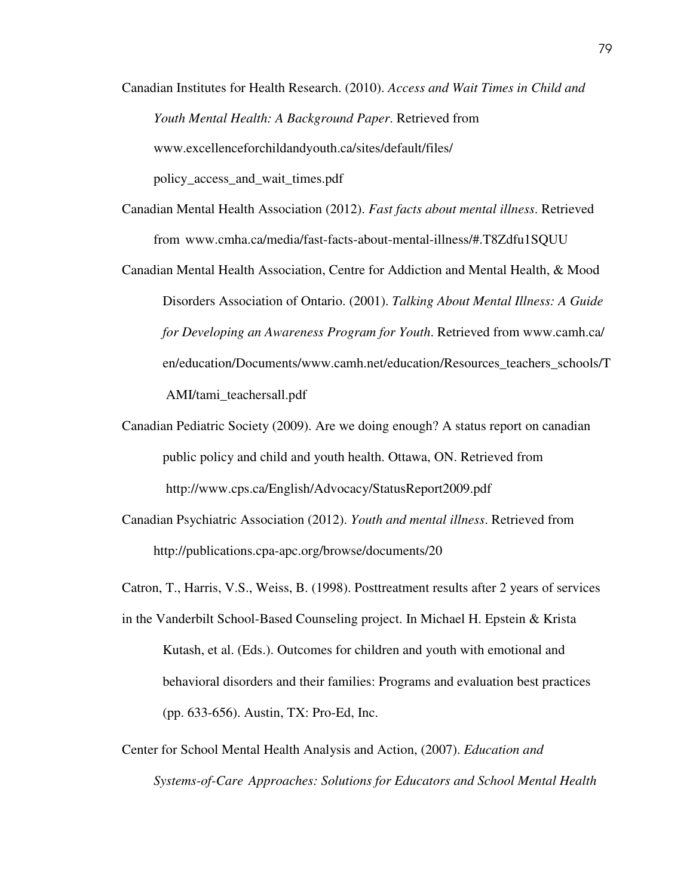Canadian Institutes for Health Research. (2010). *Access and Wait Times in Child and Youth Mental Health: A Background Paper*. Retrieved from www.excellenceforchildandyouth.ca/sites/default/files/ policy\_access\_and\_wait\_times.pdf

- Canadian Mental Health Association (2012). *Fast facts about mental illness*. Retrieved from www.cmha.ca/media/fast-facts-about-mental-illness/#.T8Zdfu1SQUU
- Canadian Mental Health Association, Centre for Addiction and Mental Health, & Mood Disorders Association of Ontario. (2001). *Talking About Mental Illness: A Guide for Developing an Awareness Program for Youth*. Retrieved from www.camh.ca/ en/education/Documents/www.camh.net/education/Resources\_teachers\_schools/T AMI/tami\_teachersall.pdf
- Canadian Pediatric Society (2009). Are we doing enough? A status report on canadian public policy and child and youth health. Ottawa, ON. Retrieved from http://www.cps.ca/English/Advocacy/StatusReport2009.pdf
- Canadian Psychiatric Association (2012). *Youth and mental illness*. Retrieved from http://publications.cpa-apc.org/browse/documents/20

Catron, T., Harris, V.S., Weiss, B. (1998). Posttreatment results after 2 years of services

- in the Vanderbilt School-Based Counseling project. In Michael H. Epstein & Krista Kutash, et al. (Eds.). Outcomes for children and youth with emotional and behavioral disorders and their families: Programs and evaluation best practices (pp. 633-656). Austin, TX: Pro-Ed, Inc.
- Center for School Mental Health Analysis and Action, (2007). *Education and Systems-of-Care Approaches: Solutions for Educators and School Mental Health*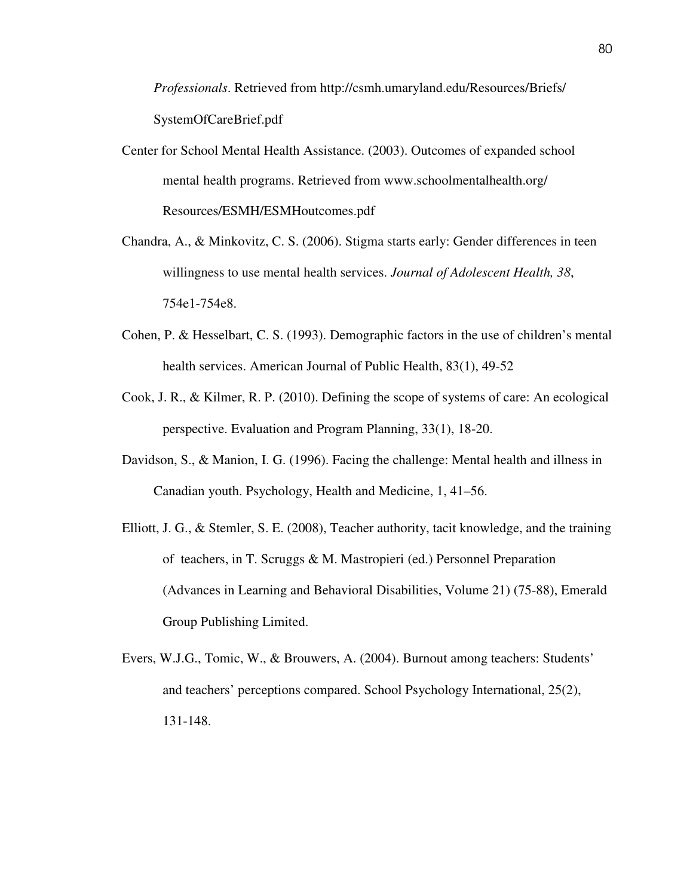*Professionals*. Retrieved from http://csmh.umaryland.edu/Resources/ Briefs/ SystemOfCareBrief.pdf

- Center for School Mental Health Assistance. (2003). Outcomes of expanded school mental health programs. Retrieved from www.schoolmentalhealth.org/ Resources/ESMH/ESMHoutcomes.pdf
- Chandra, A., & Minkovitz, C. S. (2006). Stigma starts early: Gender differences in teen willingness to use mental health services. *Journal of Adolescent Health, 38*, 754e1-754e8.
- Cohen, P. & Hesselbart, C. S. (1993). Demographic factors in the use of children's mental health services. American Journal of Public Health, 83(1), 49-52
- Cook, J. R., & Kilmer, R. P. (2010). Defining the scope of systems of care: An ecological perspective. Evaluation and Program Planning, 33(1), 18-20.
- Davidson, S., & Manion, I. G. (1996). Facing the challenge: Mental health and illness in Canadian youth. Psychology, Health and Medicine, 1, 41–56.
- Elliott, J. G., & Stemler, S. E. (2008), Teacher authority, tacit knowledge, and the training of teachers, in T. Scruggs & M. Mastropieri (ed.) Personnel Preparation (Advances in Learning and Behavioral Disabilities, Volume 21) (75-88), Emerald Group Publishing Limited.
- Evers, W.J.G., Tomic, W., & Brouwers, A. (2004). Burnout among teachers: Students' and teachers' perceptions compared. School Psychology International, 25(2), 131-148.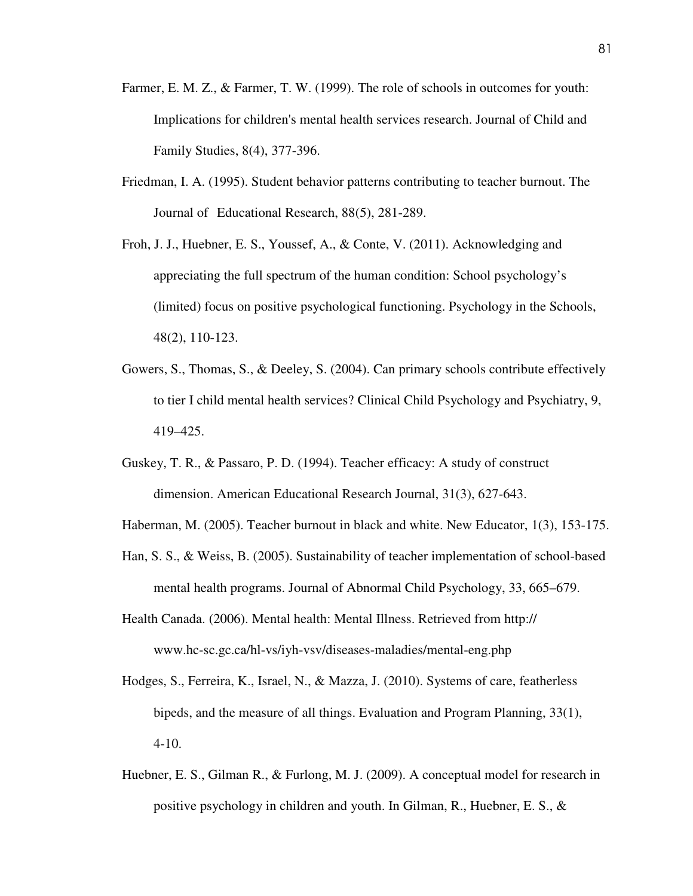- Farmer, E. M. Z., & Farmer, T. W. (1999). The role of schools in outcomes for youth: Implications for children's mental health services research. Journal of Child and Family Studies, 8(4), 377-396.
- Friedman, I. A. (1995). Student behavior patterns contributing to teacher burnout. The Journal of Educational Research, 88(5), 281-289.
- Froh, J. J., Huebner, E. S., Youssef, A., & Conte, V. (2011). Acknowledging and appreciating the full spectrum of the human condition: School psychology's (limited) focus on positive psychological functioning. Psychology in the Schools, 48(2), 110-123.
- Gowers, S., Thomas, S., & Deeley, S. (2004). Can primary schools contribute effectively to tier I child mental health services? Clinical Child Psychology and Psychiatry, 9, 419–425.
- Guskey, T. R., & Passaro, P. D. (1994). Teacher efficacy: A study of construct dimension. American Educational Research Journal, 31(3), 627-643.
- Haberman, M. (2005). Teacher burnout in black and white. New Educator, 1(3), 153-175.
- Han, S. S., & Weiss, B. (2005). Sustainability of teacher implementation of school-based mental health programs. Journal of Abnormal Child Psychology, 33, 665–679.
- Health Canada. (2006). Mental health: Mental Illness. Retrieved from http:// www.hc-sc.gc.ca/hl-vs/iyh-vsv/diseases-maladies/mental-eng.php
- Hodges, S., Ferreira, K., Israel, N., & Mazza, J. (2010). Systems of care, featherless bipeds, and the measure of all things. Evaluation and Program Planning, 33(1), 4-10.
- Huebner, E. S., Gilman R., & Furlong, M. J. (2009). A conceptual model for research in positive psychology in children and youth. In Gilman, R., Huebner, E. S., &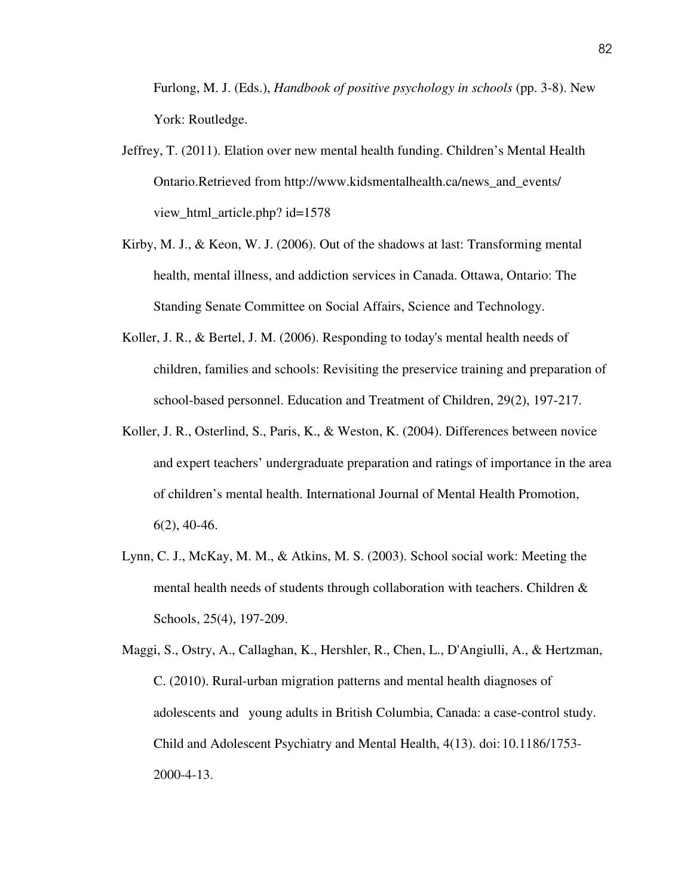Furlong, M. J. (Eds.), *Handbook of positive psychology in schools* (pp. 3-8). New York: Routledge.

- Jeffrey, T. (2011). Elation over new mental health funding. Children's Mental Health Ontario.Retrieved from http://www.kidsmentalhealth.ca/news\_and\_events/ view\_html\_article.php? id=1578
- Kirby, M. J., & Keon, W. J. (2006). Out of the shadows at last: Transforming mental health, mental illness, and addiction services in Canada. Ottawa, Ontario: The Standing Senate Committee on Social Affairs, Science and Technology.
- Koller, J. R., & Bertel, J. M. (2006). Responding to today's mental health needs of children, families and schools: Revisiting the preservice training and preparation of school-based personnel. Education and Treatment of Children, 29(2), 197-217.
- Koller, J. R., Osterlind, S., Paris, K., & Weston, K. (2004). Differences between novice and expert teachers' undergraduate preparation and ratings of importance in the area of children's mental health. International Journal of Mental Health Promotion,  $6(2)$ , 40-46.
- Lynn, C. J., McKay, M. M., & Atkins, M. S. (2003). School social work: Meeting the mental health needs of students through collaboration with teachers. Children  $\&$ Schools, 25(4), 197-209.

Maggi, S., Ostry, A., Callaghan, K., Hershler, R., Chen, L., D'Angiulli, A., & Hertzman, C. (2010). Rural-urban migration patterns and mental health diagnoses of adolescents and young adults in British Columbia, Canada: a case-control study. Child and Adolescent Psychiatry and Mental Health, 4(13). doi: 10.1186/1753- 2000-4-13.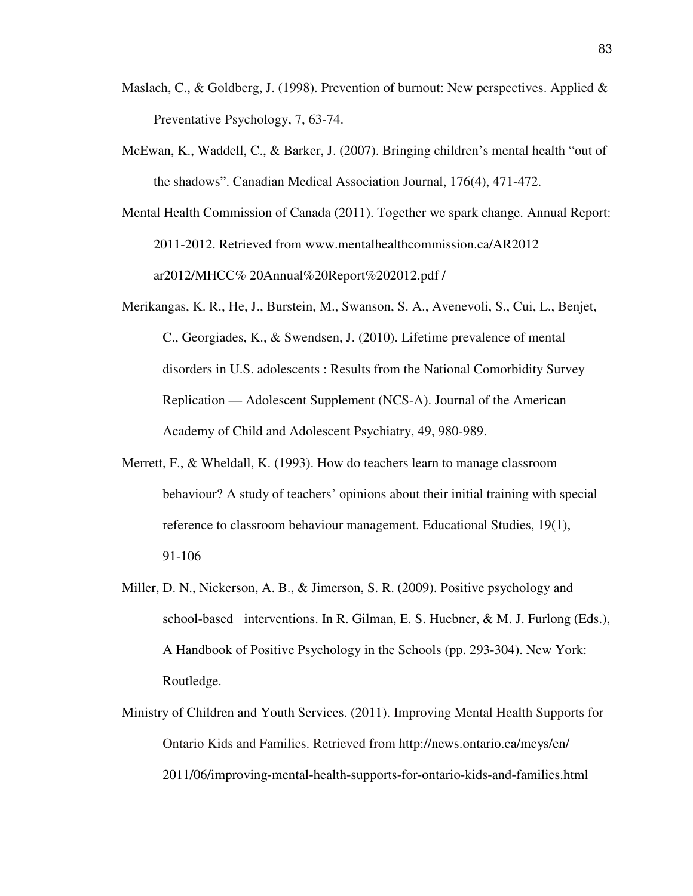- Maslach, C., & Goldberg, J. (1998). Prevention of burnout: New perspectives. Applied  $\&$ Preventative Psychology, 7, 63-74.
- McEwan, K., Waddell, C., & Barker, J. (2007). Bringing children's mental health "out of the shadows". Canadian Medical Association Journal, 176(4), 471-472.
- Mental Health Commission of Canada (2011). Together we spark change. Annual Report: 2011-2012. Retrieved from www.mentalhealthcommission.ca/AR2012 ar2012/MHCC% 20Annual%20Report%202012.pdf /
- Merikangas, K. R., He, J., Burstein, M., Swanson, S. A., Avenevoli, S., Cui, L., Benjet, C., Georgiades, K., & Swendsen, J. (2010). Lifetime prevalence of mental disorders in U.S. adolescents : Results from the National Comorbidity Survey Replication — Adolescent Supplement (NCS-A). Journal of the American Academy of Child and Adolescent Psychiatry, 49, 980-989.
- Merrett, F., & Wheldall, K. (1993). How do teachers learn to manage classroom behaviour? A study of teachers' opinions about their initial training with special reference to classroom behaviour management. Educational Studies, 19(1), 91-106
- Miller, D. N., Nickerson, A. B., & Jimerson, S. R. (2009). Positive psychology and school-based interventions. In R. Gilman, E. S. Huebner, & M. J. Furlong (Eds.), A Handbook of Positive Psychology in the Schools (pp. 293-304). New York: Routledge.
- Ministry of Children and Youth Services. (2011). Improving Mental Health Supports for Ontario Kids and Families. Retrieved from http://news.ontario.ca/mcys/en/ 2011/06/improving-mental-health-supports-for-ontario-kids-and-families.html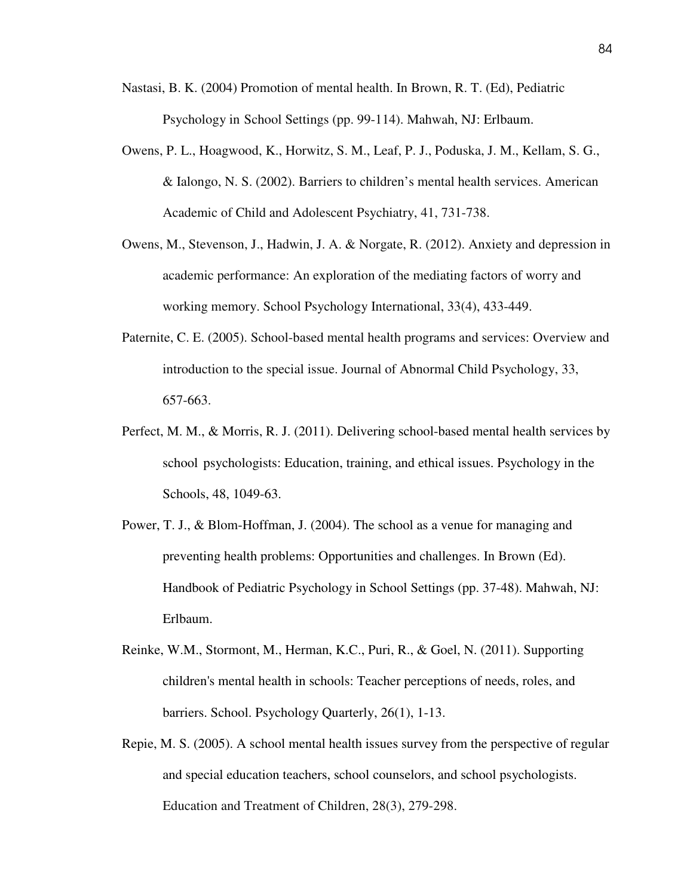- Nastasi, B. K. (2004) Promotion of mental health. In Brown, R. T. (Ed), Pediatric Psychology in School Settings (pp. 99-114). Mahwah, NJ: Erlbaum.
- Owens, P. L., Hoagwood, K., Horwitz, S. M., Leaf, P. J., Poduska, J. M., Kellam, S. G., & Ialongo, N. S. (2002). Barriers to children's mental health services. American Academic of Child and Adolescent Psychiatry, 41, 731-738.
- Owens, M., Stevenson, J., Hadwin, J. A. & Norgate, R. (2012). Anxiety and depression in academic performance: An exploration of the mediating factors of worry and working memory. School Psychology International, 33(4), 433-449.
- Paternite, C. E. (2005). School-based mental health programs and services: Overview and introduction to the special issue. Journal of Abnormal Child Psychology, 33, 657-663.
- Perfect, M. M., & Morris, R. J. (2011). Delivering school-based mental health services by school psychologists: Education, training, and ethical issues. Psychology in the Schools, 48, 1049-63.
- Power, T. J., & Blom-Hoffman, J. (2004). The school as a venue for managing and preventing health problems: Opportunities and challenges. In Brown (Ed). Handbook of Pediatric Psychology in School Settings (pp. 37-48). Mahwah, NJ: Erlbaum.
- Reinke, W.M., Stormont, M., Herman, K.C., Puri, R., & Goel, N. (2011). Supporting children's mental health in schools: Teacher perceptions of needs, roles, and barriers. School. Psychology Quarterly, 26(1), 1-13.
- Repie, M. S. (2005). A school mental health issues survey from the perspective of regular and special education teachers, school counselors, and school psychologists. Education and Treatment of Children, 28(3), 279-298.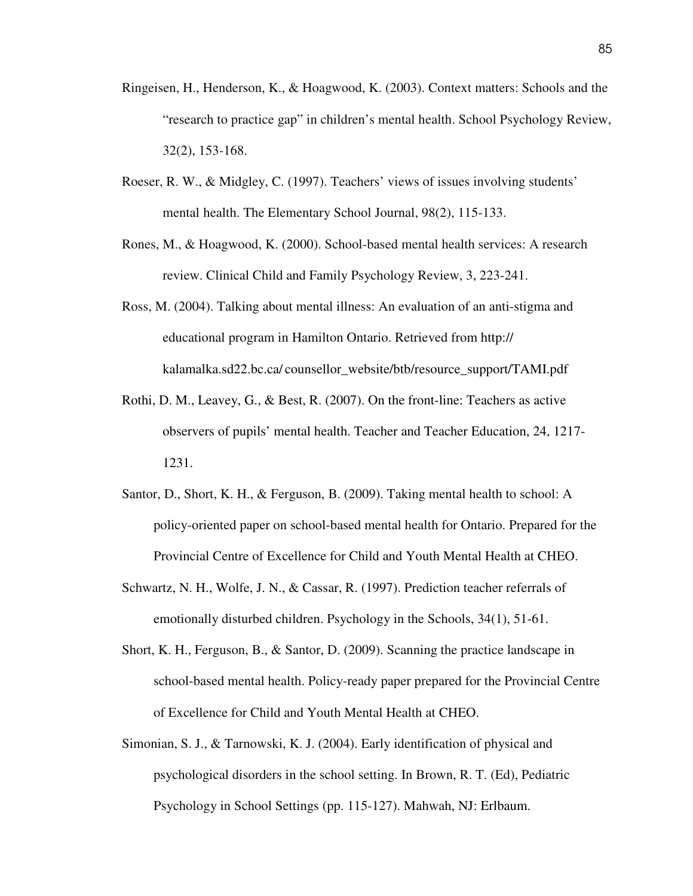- Ringeisen, H., Henderson, K., & Hoagwood, K. (2003). Context matters: Schools and the "research to practice gap" in children's mental health. School Psychology Review, 32(2), 153-168.
- Roeser, R. W., & Midgley, C. (1997). Teachers' views of issues involving students' mental health. The Elementary School Journal, 98(2), 115-133.
- Rones, M., & Hoagwood, K. (2000). School-based mental health services: A research review. Clinical Child and Family Psychology Review, 3, 223-241.
- Ross, M. (2004). Talking about mental illness: An evaluation of an anti-stigma and educational program in Hamilton Ontario. Retrieved from http:// kalamalka.sd22.bc.ca/ counsellor\_website/btb/resource\_support/TAMI.pdf
- Rothi, D. M., Leavey, G., & Best, R. (2007). On the front-line: Teachers as active observers of pupils' mental health. Teacher and Teacher Education, 24, 1217- 1231.
- Santor, D., Short, K. H., & Ferguson, B. (2009). Taking mental health to school: A policy-oriented paper on school-based mental health for Ontario. Prepared for the Provincial Centre of Excellence for Child and Youth Mental Health at CHEO.
- Schwartz, N. H., Wolfe, J. N., & Cassar, R. (1997). Prediction teacher referrals of emotionally disturbed children. Psychology in the Schools, 34(1), 51-61.
- Short, K. H., Ferguson, B., & Santor, D. (2009). Scanning the practice landscape in school-based mental health. Policy-ready paper prepared for the Provincial Centre of Excellence for Child and Youth Mental Health at CHEO.
- Simonian, S. J., & Tarnowski, K. J. (2004). Early identification of physical and psychological disorders in the school setting. In Brown, R. T. (Ed), Pediatric Psychology in School Settings (pp. 115-127). Mahwah, NJ: Erlbaum.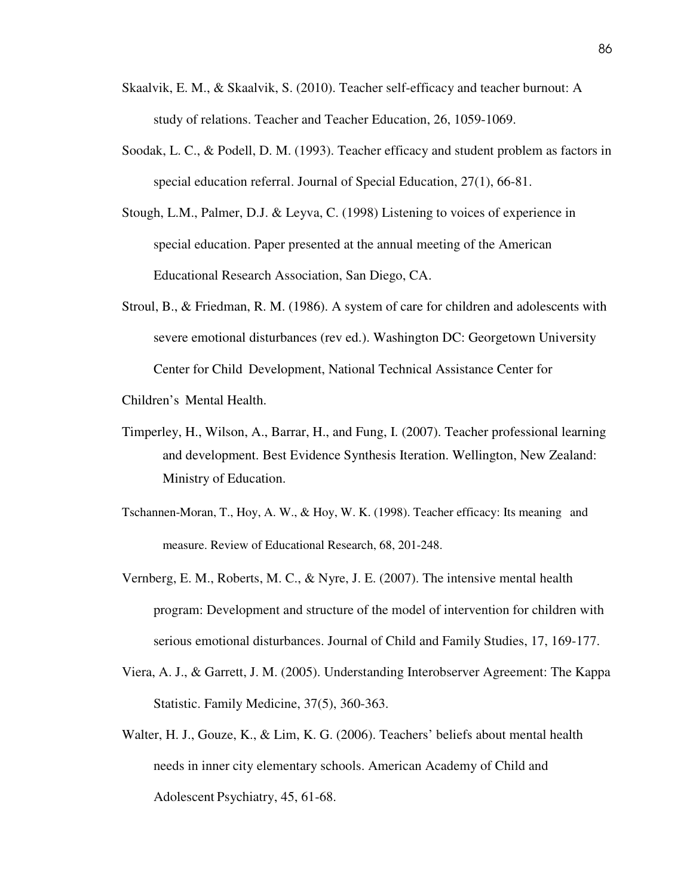- Skaalvik, E. M., & Skaalvik, S. (2010). Teacher self-efficacy and teacher burnout: A study of relations. Teacher and Teacher Education, 26, 1059-1069.
- Soodak, L. C., & Podell, D. M. (1993). Teacher efficacy and student problem as factors in special education referral. Journal of Special Education, 27(1), 66-81.
- Stough, L.M., Palmer, D.J. & Leyva, C. (1998) Listening to voices of experience in special education. Paper presented at the annual meeting of the American Educational Research Association, San Diego, CA.
- Stroul, B., & Friedman, R. M. (1986). A system of care for children and adolescents with severe emotional disturbances (rev ed.). Washington DC: Georgetown University Center for Child Development, National Technical Assistance Center for

Children's Mental Health.

- Timperley, H., Wilson, A., Barrar, H., and Fung, I. (2007). Teacher professional learning and development. Best Evidence Synthesis Iteration. Wellington, New Zealand: Ministry of Education.
- Tschannen-Moran, T., Hoy, A. W., & Hoy, W. K. (1998). Teacher efficacy: Its meaning and measure. Review of Educational Research, 68, 201-248.
- Vernberg, E. M., Roberts, M. C., & Nyre, J. E. (2007). The intensive mental health program: Development and structure of the model of intervention for children with serious emotional disturbances. Journal of Child and Family Studies, 17, 169-177.
- Viera, A. J., & Garrett, J. M. (2005). Understanding Interobserver Agreement: The Kappa Statistic. Family Medicine, 37(5), 360-363.
- Walter, H. J., Gouze, K., & Lim, K. G. (2006). Teachers' beliefs about mental health needs in inner city elementary schools. American Academy of Child and Adolescent Psychiatry, 45, 61-68.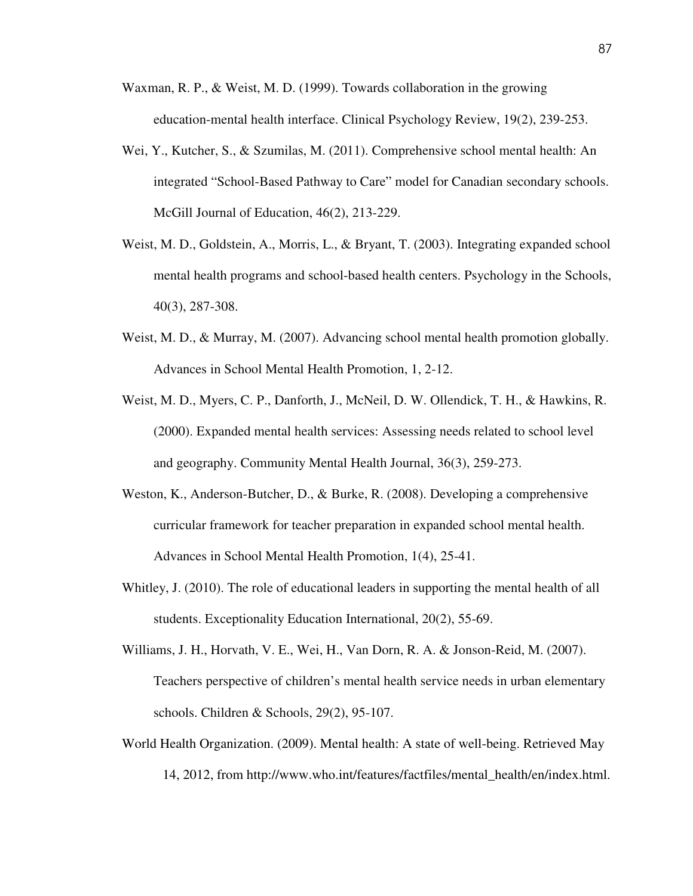- Waxman, R. P., & Weist, M. D. (1999). Towards collaboration in the growing education-mental health interface. Clinical Psychology Review, 19(2), 239-253.
- Wei, Y., Kutcher, S., & Szumilas, M. (2011). Comprehensive school mental health: An integrated "School-Based Pathway to Care" model for Canadian secondary schools. McGill Journal of Education, 46(2), 213-229.
- Weist, M. D., Goldstein, A., Morris, L., & Bryant, T. (2003). Integrating expanded school mental health programs and school-based health centers. Psychology in the Schools, 40(3), 287-308.
- Weist, M. D., & Murray, M. (2007). Advancing school mental health promotion globally. Advances in School Mental Health Promotion, 1, 2-12.
- Weist, M. D., Myers, C. P., Danforth, J., McNeil, D. W. Ollendick, T. H., & Hawkins, R. (2000). Expanded mental health services: Assessing needs related to school level and geography. Community Mental Health Journal, 36(3), 259-273.
- Weston, K., Anderson-Butcher, D., & Burke, R. (2008). Developing a comprehensive curricular framework for teacher preparation in expanded school mental health. Advances in School Mental Health Promotion, 1(4), 25-41.
- Whitley, J. (2010). The role of educational leaders in supporting the mental health of all students. Exceptionality Education International, 20(2), 55-69.
- Williams, J. H., Horvath, V. E., Wei, H., Van Dorn, R. A. & Jonson-Reid, M. (2007). Teachers perspective of children's mental health service needs in urban elementary schools. Children & Schools, 29(2), 95-107.
- World Health Organization. (2009). Mental health: A state of well-being. Retrieved May 14, 2012, from http://www.who.int/features/factfiles/mental\_health/en/index.html.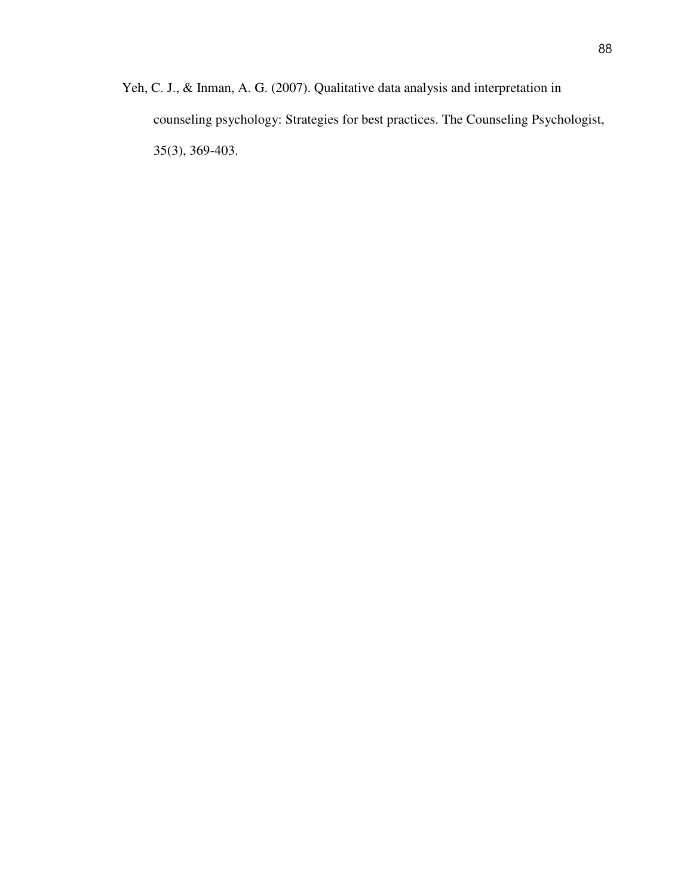Yeh, C. J., & Inman, A. G. (2007). Qualitative data analysis and interpretation in counseling psychology: Strategies for best practices. The Counseling Psychologist, 35(3), 369-403.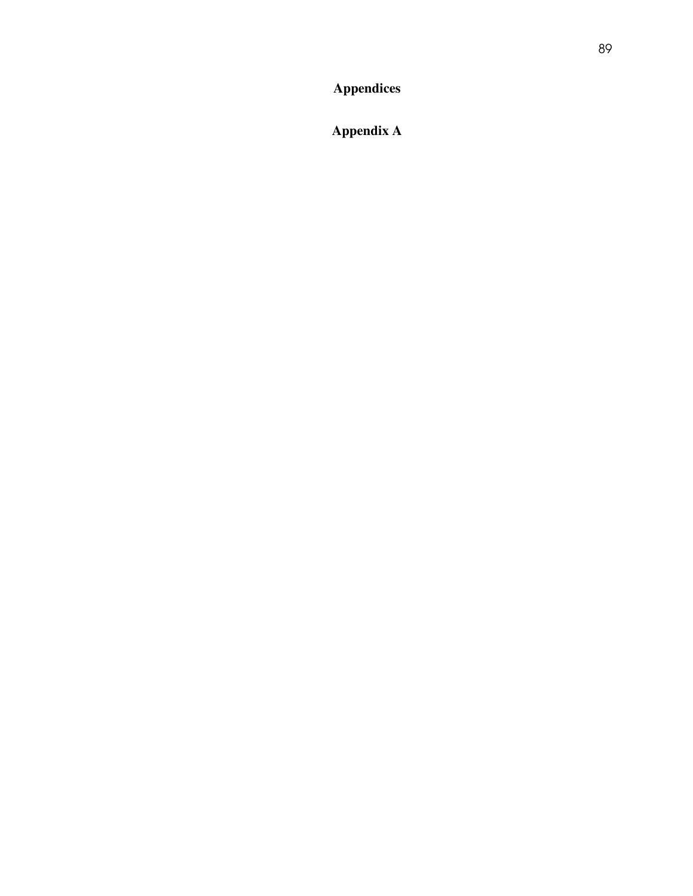**Appendix A**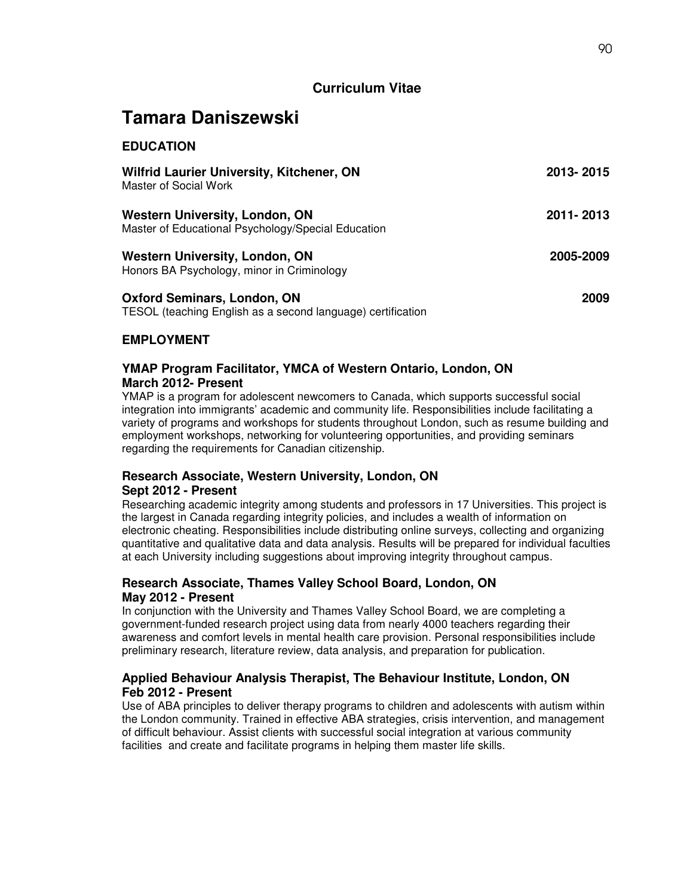## **Curriculum Vitae**

# **Tamara Daniszewski**

## **EDUCATION**

| <b>Wilfrid Laurier University, Kitchener, ON</b><br>Master of Social Work                         | 2013-2015 |
|---------------------------------------------------------------------------------------------------|-----------|
| <b>Western University, London, ON</b><br>Master of Educational Psychology/Special Education       | 2011-2013 |
| <b>Western University, London, ON</b><br>Honors BA Psychology, minor in Criminology               | 2005-2009 |
| <b>Oxford Seminars, London, ON</b><br>TESOL (teaching English as a second language) certification | 2009      |

## **EMPLOYMENT**

### **YMAP Program Facilitator, YMCA of Western Ontario, London, ON March 2012- Present**

YMAP is a program for adolescent newcomers to Canada, which supports successful social integration into immigrants' academic and community life. Responsibilities include facilitating a variety of programs and workshops for students throughout London, such as resume building and employment workshops, networking for volunteering opportunities, and providing seminars regarding the requirements for Canadian citizenship.

## **Research Associate, Western University, London, ON**

## **Sept 2012 - Present**

Researching academic integrity among students and professors in 17 Universities. This project is the largest in Canada regarding integrity policies, and includes a wealth of information on electronic cheating. Responsibilities include distributing online surveys, collecting and organizing quantitative and qualitative data and data analysis. Results will be prepared for individual faculties at each University including suggestions about improving integrity throughout campus.

## **Research Associate, Thames Valley School Board, London, ON May 2012 - Present**

In conjunction with the University and Thames Valley School Board, we are completing a government-funded research project using data from nearly 4000 teachers regarding their awareness and comfort levels in mental health care provision. Personal responsibilities include preliminary research, literature review, data analysis, and preparation for publication.

## **Applied Behaviour Analysis Therapist, The Behaviour Institute, London, ON Feb 2012 - Present**

Use of ABA principles to deliver therapy programs to children and adolescents with autism within the London community. Trained in effective ABA strategies, crisis intervention, and management of difficult behaviour. Assist clients with successful social integration at various community facilities and create and facilitate programs in helping them master life skills.